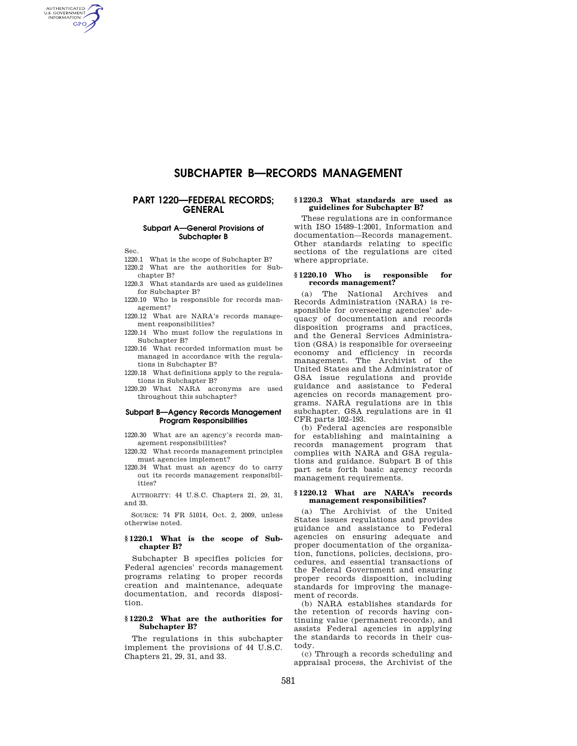# **SUBCHAPTER B—RECORDS MANAGEMENT**

# **PART 1220—FEDERAL RECORDS; GENERAL**

#### **Subpart A—General Provisions of Subchapter B**

Sec.

AUTHENTICATED<br>U.S. GOVERNMENT<br>INFORMATION **GPO** 

- 1220.1 What is the scope of Subchapter B?
- 1220.2 What are the authorities for Subchapter B?
- 1220.3 What standards are used as guidelines for Subchapter B?
- 1220.10 Who is responsible for records management?
- 1220.12 What are NARA's records management responsibilities?
- 1220.14 Who must follow the regulations in Subchapter B?
- 1220.16 What recorded information must be managed in accordance with the regulations in Subchapter B?
- 1220.18 What definitions apply to the regulations in Subchapter B?
- 1220.20 What NARA acronyms are used throughout this subchapter?

#### **Subpart B—Agency Records Management Program Responsibilities**

- 1220.30 What are an agency's records management responsibilities?
- 1220.32 What records management principles must agencies implement?
- 1220.34 What must an agency do to carry out its records management responsibilities?

AUTHORITY: 44 U.S.C. Chapters 21, 29, 31, and 33.

SOURCE: 74 FR 51014, Oct. 2, 2009, unless otherwise noted.

#### **§ 1220.1 What is the scope of Subchapter B?**

Subchapter B specifies policies for Federal agencies' records management programs relating to proper records creation and maintenance, adequate documentation, and records disposition.

#### **§ 1220.2 What are the authorities for Subchapter B?**

The regulations in this subchapter implement the provisions of 44 U.S.C. Chapters 21, 29, 31, and 33.

#### **§ 1220.3 What standards are used as guidelines for Subchapter B?**

These regulations are in conformance with ISO 15489–1:2001, Information and documentation—Records management. Other standards relating to specific sections of the regulations are cited where appropriate.

# **§ 1220.10 Who is responsible for records management?**

(a) The National Archives and Records Administration (NARA) is responsible for overseeing agencies' adequacy of documentation and records disposition programs and practices, and the General Services Administration (GSA) is responsible for overseeing economy and efficiency in records management. The Archivist of the United States and the Administrator of GSA issue regulations and provide guidance and assistance to Federal agencies on records management programs. NARA regulations are in this subchapter. GSA regulations are in 41 CFR parts 102–193.

(b) Federal agencies are responsible for establishing and maintaining a records management program that complies with NARA and GSA regulations and guidance. Subpart B of this part sets forth basic agency records management requirements.

#### **§ 1220.12 What are NARA's records management responsibilities?**

(a) The Archivist of the United States issues regulations and provides guidance and assistance to Federal agencies on ensuring adequate and proper documentation of the organization, functions, policies, decisions, procedures, and essential transactions of the Federal Government and ensuring proper records disposition, including standards for improving the management of records.

(b) NARA establishes standards for the retention of records having continuing value (permanent records), and assists Federal agencies in applying the standards to records in their custody.

(c) Through a records scheduling and appraisal process, the Archivist of the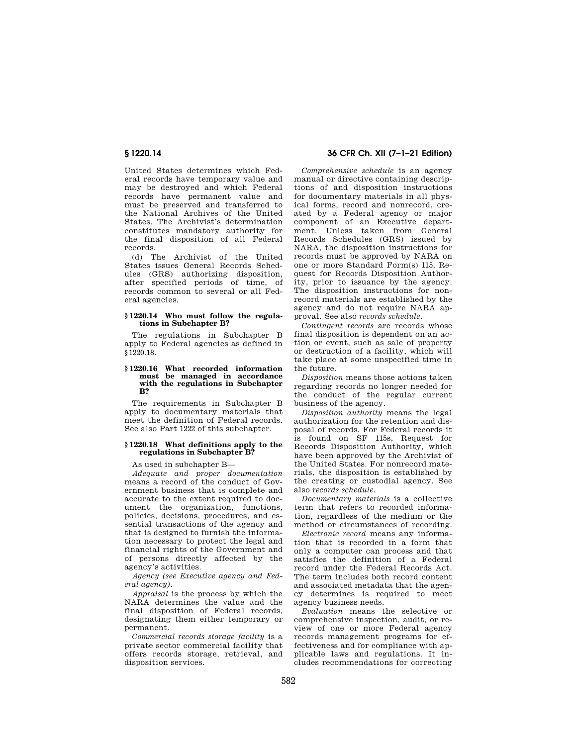United States determines which Federal records have temporary value and may be destroyed and which Federal records have permanent value and must be preserved and transferred to the National Archives of the United States. The Archivist's determination constitutes mandatory authority for the final disposition of all Federal records.

(d) The Archivist of the United States issues General Records Schedules (GRS) authorizing disposition, after specified periods of time, of records common to several or all Federal agencies.

#### **§ 1220.14 Who must follow the regulations in Subchapter B?**

The regulations in Subchapter B apply to Federal agencies as defined in §1220.18.

#### **§ 1220.16 What recorded information must be managed in accordance with the regulations in Subchapter B?**

The requirements in Subchapter B apply to documentary materials that meet the definition of Federal records. See also Part 1222 of this subchapter.

#### **§ 1220.18 What definitions apply to the regulations in Subchapter B?**

As used in subchapter B—

*Adequate and proper documentation*  means a record of the conduct of Government business that is complete and accurate to the extent required to document the organization, functions, policies, decisions, procedures, and essential transactions of the agency and that is designed to furnish the information necessary to protect the legal and financial rights of the Government and of persons directly affected by the agency's activities.

*Agency (see Executive agency and Federal agency).* 

*Appraisal* is the process by which the NARA determines the value and the final disposition of Federal records, designating them either temporary or permanent.

*Commercial records storage facility* is a private sector commercial facility that offers records storage, retrieval, and disposition services.

# **§ 1220.14 36 CFR Ch. XII (7–1–21 Edition)**

*Comprehensive schedule* is an agency manual or directive containing descriptions of and disposition instructions for documentary materials in all physical forms, record and nonrecord, created by a Federal agency or major component of an Executive department. Unless taken from General Records Schedules (GRS) issued by NARA, the disposition instructions for records must be approved by NARA on one or more Standard Form(s) 115, Request for Records Disposition Authority, prior to issuance by the agency. The disposition instructions for nonrecord materials are established by the agency and do not require NARA approval. See also *records schedule.* 

*Contingent records* are records whose final disposition is dependent on an action or event, such as sale of property or destruction of a facility, which will take place at some unspecified time in the future.

*Disposition* means those actions taken regarding records no longer needed for the conduct of the regular current business of the agency.

*Disposition authority* means the legal authorization for the retention and disposal of records. For Federal records it is found on SF 115s, Request for Records Disposition Authority, which have been approved by the Archivist of the United States. For nonrecord materials, the disposition is established by the creating or custodial agency. See also *records schedule.* 

*Documentary materials* is a collective term that refers to recorded information, regardless of the medium or the method or circumstances of recording.

*Electronic record* means any information that is recorded in a form that only a computer can process and that satisfies the definition of a Federal record under the Federal Records Act. The term includes both record content and associated metadata that the agency determines is required to meet agency business needs.

*Evaluation* means the selective or comprehensive inspection, audit, or review of one or more Federal agency records management programs for effectiveness and for compliance with applicable laws and regulations. It includes recommendations for correcting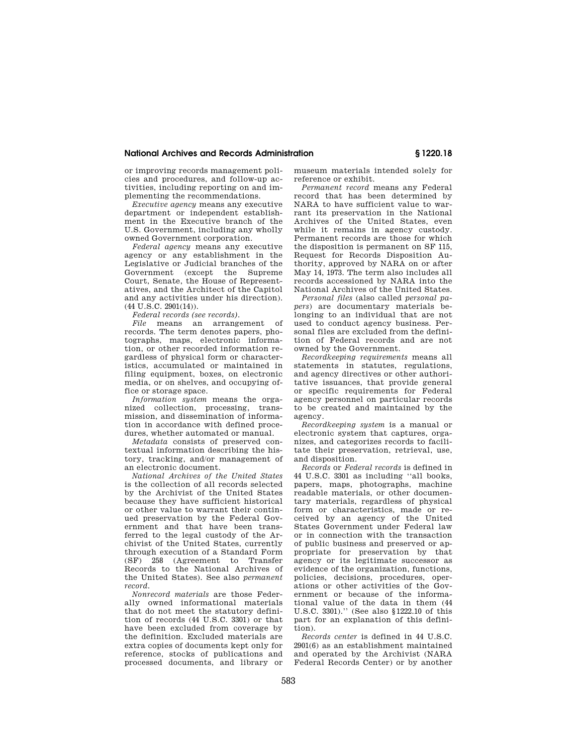# **National Archives and Records Administration § 1220.18**

or improving records management policies and procedures, and follow-up activities, including reporting on and implementing the recommendations.

*Executive agency* means any executive department or independent establishment in the Executive branch of the U.S. Government, including any wholly owned Government corporation.

*Federal agency* means any executive agency or any establishment in the Legislative or Judicial branches of the Government (except the Supreme Court, Senate, the House of Representatives, and the Architect of the Capitol and any activities under his direction). (44 U.S.C. 2901(14)).

*Federal records (see records).* 

*File* means an arrangement of records. The term denotes papers, photographs, maps, electronic information, or other recorded information regardless of physical form or characteristics, accumulated or maintained in filing equipment, boxes, on electronic media, or on shelves, and occupying office or storage space.

*Information system* means the organized collection, processing, transmission, and dissemination of information in accordance with defined procedures, whether automated or manual.

*Metadata* consists of preserved contextual information describing the history, tracking, and/or management of an electronic document.

*National Archives of the United States*  is the collection of all records selected by the Archivist of the United States because they have sufficient historical or other value to warrant their continued preservation by the Federal Government and that have been transferred to the legal custody of the Archivist of the United States, currently through execution of a Standard Form (SF) 258 (Agreement to Transfer Records to the National Archives of the United States). See also *permanent record.* 

*Nonrecord materials* are those Federally owned informational materials that do not meet the statutory definition of records (44 U.S.C. 3301) or that have been excluded from coverage by the definition. Excluded materials are extra copies of documents kept only for reference, stocks of publications and processed documents, and library or

museum materials intended solely for reference or exhibit.

*Permanent record* means any Federal record that has been determined by NARA to have sufficient value to warrant its preservation in the National Archives of the United States, even while it remains in agency custody. Permanent records are those for which the disposition is permanent on SF 115, Request for Records Disposition Authority, approved by NARA on or after May 14, 1973. The term also includes all records accessioned by NARA into the National Archives of the United States.

*Personal files* (also called *personal papers*) are documentary materials belonging to an individual that are not used to conduct agency business. Personal files are excluded from the definition of Federal records and are not owned by the Government.

*Recordkeeping requirements* means all statements in statutes, regulations, and agency directives or other authoritative issuances, that provide general or specific requirements for Federal agency personnel on particular records to be created and maintained by the agency.

*Recordkeeping system* is a manual or electronic system that captures, organizes, and categorizes records to facilitate their preservation, retrieval, use, and disposition.

*Records* or *Federal records* is defined in 44 U.S.C. 3301 as including ''all books, papers, maps, photographs, machine readable materials, or other documentary materials, regardless of physical form or characteristics, made or received by an agency of the United States Government under Federal law or in connection with the transaction of public business and preserved or appropriate for preservation by that agency or its legitimate successor as evidence of the organization, functions, policies, decisions, procedures, operations or other activities of the Government or because of the informational value of the data in them (44 U.S.C. 3301).'' (See also §1222.10 of this part for an explanation of this definition).

*Records center* is defined in 44 U.S.C. 2901(6) as an establishment maintained and operated by the Archivist (NARA Federal Records Center) or by another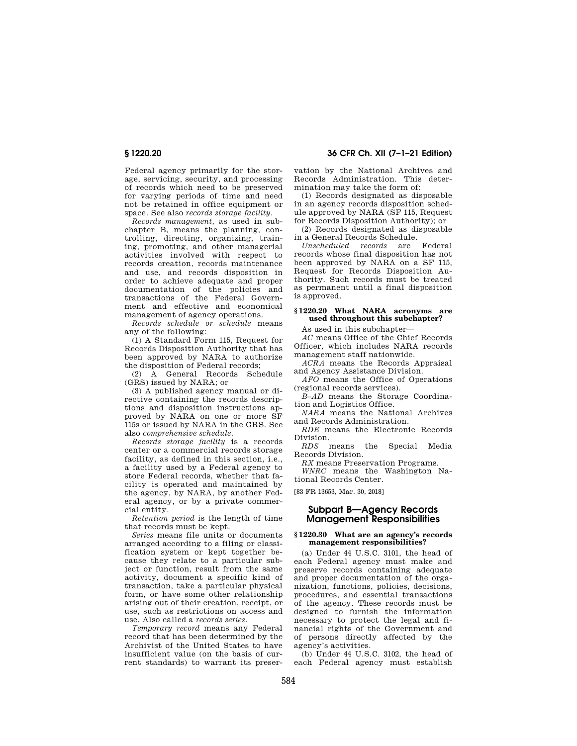Federal agency primarily for the storage, servicing, security, and processing of records which need to be preserved for varying periods of time and need not be retained in office equipment or space. See also *records storage facility.* 

*Records management,* as used in subchapter B, means the planning, controlling, directing, organizing, training, promoting, and other managerial activities involved with respect to records creation, records maintenance and use, and records disposition in order to achieve adequate and proper documentation of the policies and transactions of the Federal Government and effective and economical management of agency operations.

*Records schedule or schedule* means any of the following:

(1) A Standard Form 115, Request for Records Disposition Authority that has been approved by NARA to authorize the disposition of Federal records;

(2) A General Records Schedule (GRS) issued by NARA; or

(3) A published agency manual or directive containing the records descriptions and disposition instructions approved by NARA on one or more SF 115s or issued by NARA in the GRS. See also *comprehensive schedule.* 

*Records storage facility* is a records center or a commercial records storage facility, as defined in this section, i.e., a facility used by a Federal agency to store Federal records, whether that facility is operated and maintained by the agency, by NARA, by another Federal agency, or by a private commercial entity.

*Retention period* is the length of time that records must be kept.

*Series* means file units or documents arranged according to a filing or classification system or kept together because they relate to a particular subject or function, result from the same activity, document a specific kind of transaction, take a particular physical form, or have some other relationship arising out of their creation, receipt, or use, such as restrictions on access and use. Also called a *records series.* 

*Temporary record* means any Federal record that has been determined by the Archivist of the United States to have insufficient value (on the basis of current standards) to warrant its preser-

**§ 1220.20 36 CFR Ch. XII (7–1–21 Edition)** 

vation by the National Archives and Records Administration. This determination may take the form of:

(1) Records designated as disposable in an agency records disposition schedule approved by NARA (SF 115, Request for Records Disposition Authority); or

(2) Records designated as disposable in a General Records Schedule.

*Unscheduled records* are Federal records whose final disposition has not been approved by NARA on a SF 115, Request for Records Disposition Authority. Such records must be treated as permanent until a final disposition is approved.

# **§ 1220.20 What NARA acronyms are used throughout this subchapter?**

As used in this subchapter—

*AC* means Office of the Chief Records Officer, which includes NARA records management staff nationwide.

*ACRA* means the Records Appraisal and Agency Assistance Division.

*AFO* means the Office of Operations (regional records services).

*B–AD* means the Storage Coordination and Logistics Office.

*NARA* means the National Archives and Records Administration.

*RDE* means the Electronic Records Division.

*RDS* means the Special Media Records Division.

*RX* means Preservation Programs.

*WNRC* means the Washington National Records Center.

[83 FR 13653, Mar. 30, 2018]

# **Subpart B—Agency Records Management Responsibilities**

#### **§ 1220.30 What are an agency's records management responsibilities?**

(a) Under 44 U.S.C. 3101, the head of each Federal agency must make and preserve records containing adequate and proper documentation of the organization, functions, policies, decisions, procedures, and essential transactions of the agency. These records must be designed to furnish the information necessary to protect the legal and financial rights of the Government and of persons directly affected by the agency's activities.

(b) Under 44 U.S.C. 3102, the head of each Federal agency must establish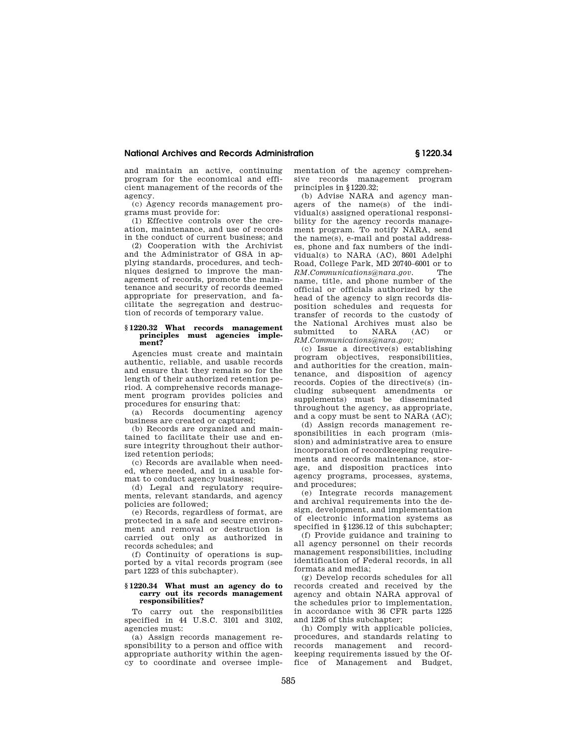# **National Archives and Records Administration § 1220.34**

and maintain an active, continuing program for the economical and efficient management of the records of the agency.

(c) Agency records management programs must provide for:

(1) Effective controls over the creation, maintenance, and use of records in the conduct of current business; and

(2) Cooperation with the Archivist and the Administrator of GSA in applying standards, procedures, and techniques designed to improve the management of records, promote the maintenance and security of records deemed appropriate for preservation, and facilitate the segregation and destruction of records of temporary value.

#### **§ 1220.32 What records management principles must agencies implement?**

Agencies must create and maintain authentic, reliable, and usable records and ensure that they remain so for the length of their authorized retention period. A comprehensive records management program provides policies and procedures for ensuring that:

(a) Records documenting agency business are created or captured;

(b) Records are organized and maintained to facilitate their use and ensure integrity throughout their authorized retention periods;

(c) Records are available when needed, where needed, and in a usable format to conduct agency business;

(d) Legal and regulatory requirements, relevant standards, and agency policies are followed;

(e) Records, regardless of format, are protected in a safe and secure environment and removal or destruction is carried out only as authorized in records schedules; and

(f) Continuity of operations is supported by a vital records program (see part 1223 of this subchapter).

#### **§ 1220.34 What must an agency do to carry out its records management responsibilities?**

To carry out the responsibilities specified in 44 U.S.C. 3101 and 3102, agencies must:

(a) Assign records management responsibility to a person and office with appropriate authority within the agency to coordinate and oversee implementation of the agency comprehensive records management program principles in §1220.32;

(b) Advise NARA and agency managers of the name(s) of the individual(s) assigned operational responsibility for the agency records management program. To notify NARA, send the name(s), e-mail and postal addresses, phone and fax numbers of the individual(s) to NARA (AC), 8601 Adelphi Road, College Park, MD 20740–6001 or to *RM.Communications@nara.gov.* The name, title, and phone number of the official or officials authorized by the head of the agency to sign records disposition schedules and requests for transfer of records to the custody of the National Archives must also be<br>submitted to NARA (AC) or submitted to NARA (AC) or *RM.Communications@nara.gov;* 

(c) Issue a directive(s) establishing program objectives, responsibilities, and authorities for the creation, maintenance, and disposition of agency records. Copies of the directive(s) (including subsequent amendments or supplements) must be disseminated throughout the agency, as appropriate, and a copy must be sent to NARA (AC);

(d) Assign records management responsibilities in each program (mission) and administrative area to ensure incorporation of recordkeeping requirements and records maintenance, storage, and disposition practices into agency programs, processes, systems, and procedures;

(e) Integrate records management and archival requirements into the design, development, and implementation of electronic information systems as specified in §1236.12 of this subchapter;

(f) Provide guidance and training to all agency personnel on their records management responsibilities, including identification of Federal records, in all formats and media;

(g) Develop records schedules for all records created and received by the agency and obtain NARA approval of the schedules prior to implementation, in accordance with 36 CFR parts 1225 and 1226 of this subchapter;

(h) Comply with applicable policies, procedures, and standards relating to records management and recordkeeping requirements issued by the Office of Management and Budget,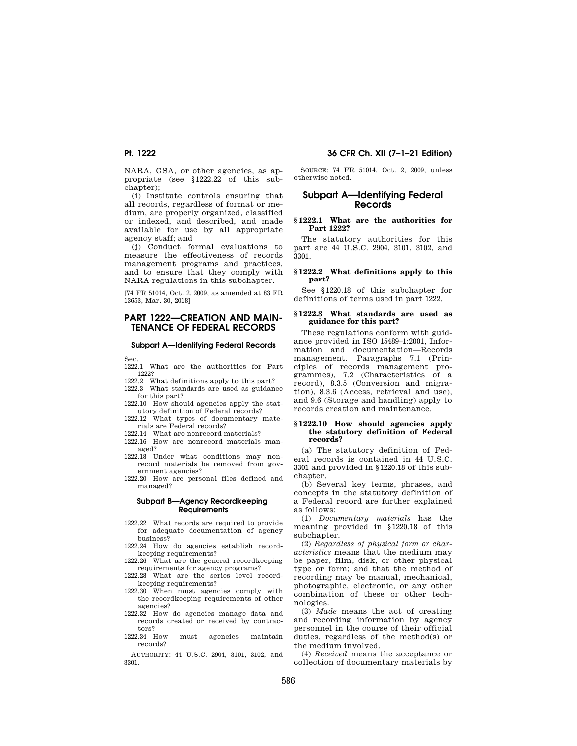NARA, GSA, or other agencies, as appropriate (see §1222.22 of this subchapter);

(i) Institute controls ensuring that all records, regardless of format or medium, are properly organized, classified or indexed, and described, and made available for use by all appropriate agency staff; and

(j) Conduct formal evaluations to measure the effectiveness of records management programs and practices, and to ensure that they comply with NARA regulations in this subchapter.

[74 FR 51014, Oct. 2, 2009, as amended at 83 FR 13653, Mar. 30, 2018]

# **PART 1222—CREATION AND MAIN-TENANCE OF FEDERAL RECORDS**

# **Subpart A—Identifying Federal Records**

Sec.<br>1222.1

What are the authorities for Part 1222?

- 1222.2 What definitions apply to this part?
- 1222.3 What standards are used as guidance for this part?
- 1222.10 How should agencies apply the statutory definition of Federal records?
- 1222.12 What types of documentary materials are Federal records?
- 1222.14 What are nonrecord materials?
- 1222.16 How are nonrecord materials managed?
- 1222.18 Under what conditions may nonrecord materials be removed from government agencies?
- 1222.20 How are personal files defined and managed?

#### **Subpart B—Agency Recordkeeping Requirements**

- 1222.22 What records are required to provide for adequate documentation of agency business?
- 1222.24 How do agencies establish recordkeeping requirements?
- 1222.26 What are the general recordkeeping requirements for agency programs?
- 1222.28 What are the series level recordkeeping requirements?
- 1222.30 When must agencies comply with the recordkeeping requirements of other agencies?
- 1222.32 How do agencies manage data and records created or received by contractors?
- 1222.34 How must agencies maintain records?

AUTHORITY: 44 U.S.C. 2904, 3101, 3102, and 3301.

# **Pt. 1222 36 CFR Ch. XII (7–1–21 Edition)**

SOURCE: 74 FR 51014, Oct. 2, 2009, unless otherwise noted.

# **Subpart A—Identifying Federal Records**

#### **§ 1222.1 What are the authorities for Part 1222?**

The statutory authorities for this part are 44 U.S.C. 2904, 3101, 3102, and 3301.

#### **§ 1222.2 What definitions apply to this part?**

See §1220.18 of this subchapter for definitions of terms used in part 1222.

# **§ 1222.3 What standards are used as guidance for this part?**

These regulations conform with guidance provided in ISO 15489–1:2001, Information and documentation—Records management. Paragraphs 7.1 (Principles of records management programmes), 7.2 (Characteristics of a record), 8.3.5 (Conversion and migration), 8.3.6 (Access, retrieval and use), and 9.6 (Storage and handling) apply to records creation and maintenance.

#### **§ 1222.10 How should agencies apply the statutory definition of Federal records?**

(a) The statutory definition of Federal records is contained in 44 U.S.C. 3301 and provided in §1220.18 of this subchapter.

(b) Several key terms, phrases, and concepts in the statutory definition of a Federal record are further explained as follows:

(1) *Documentary materials* has the meaning provided in §1220.18 of this subchapter.

(2) *Regardless of physical form or characteristics* means that the medium may be paper, film, disk, or other physical type or form; and that the method of recording may be manual, mechanical, photographic, electronic, or any other combination of these or other technologies.

(3) *Made* means the act of creating and recording information by agency personnel in the course of their official duties, regardless of the method(s) or the medium involved.

(4) *Received* means the acceptance or collection of documentary materials by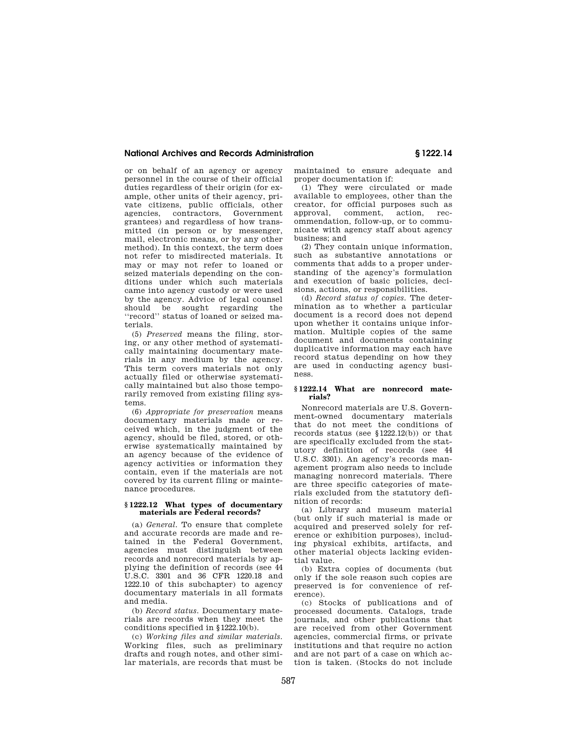# **National Archives and Records Administration § 1222.14**

or on behalf of an agency or agency personnel in the course of their official duties regardless of their origin (for example, other units of their agency, private citizens, public officials, other agencies, contractors, Government grantees) and regardless of how transmitted (in person or by messenger, mail, electronic means, or by any other method). In this context, the term does not refer to misdirected materials. It may or may not refer to loaned or seized materials depending on the conditions under which such materials came into agency custody or were used by the agency. Advice of legal counsel should be sought regarding the ''record'' status of loaned or seized materials.

(5) *Preserved* means the filing, storing, or any other method of systematically maintaining documentary materials in any medium by the agency. This term covers materials not only actually filed or otherwise systematically maintained but also those temporarily removed from existing filing systems.

(6) *Appropriate for preservation* means documentary materials made or received which, in the judgment of the agency, should be filed, stored, or otherwise systematically maintained by an agency because of the evidence of agency activities or information they contain, even if the materials are not covered by its current filing or maintenance procedures.

#### **§ 1222.12 What types of documentary materials are Federal records?**

(a) *General.* To ensure that complete and accurate records are made and retained in the Federal Government, agencies must distinguish between records and nonrecord materials by applying the definition of records (see 44 U.S.C. 3301 and 36 CFR 1220.18 and 1222.10 of this subchapter) to agency documentary materials in all formats and media.

(b) *Record status.* Documentary materials are records when they meet the conditions specified in §1222.10(b).

(c) *Working files and similar materials.*  Working files, such as preliminary drafts and rough notes, and other similar materials, are records that must be maintained to ensure adequate and proper documentation if:

(1) They were circulated or made available to employees, other than the creator, for official purposes such as approval, comment, action, recommendation, follow-up, or to communicate with agency staff about agency business; and

(2) They contain unique information, such as substantive annotations or comments that adds to a proper understanding of the agency's formulation and execution of basic policies, decisions, actions, or responsibilities.

(d) *Record status of copies.* The determination as to whether a particular document is a record does not depend upon whether it contains unique information. Multiple copies of the same document and documents containing duplicative information may each have record status depending on how they are used in conducting agency business.

#### **§ 1222.14 What are nonrecord materials?**

Nonrecord materials are U.S. Government-owned documentary materials that do not meet the conditions of records status (see §1222.12(b)) or that are specifically excluded from the statutory definition of records (see 44 U.S.C. 3301). An agency's records management program also needs to include managing nonrecord materials. There are three specific categories of materials excluded from the statutory definition of records:

(a) Library and museum material (but only if such material is made or acquired and preserved solely for reference or exhibition purposes), including physical exhibits, artifacts, and other material objects lacking evidential value.

(b) Extra copies of documents (but only if the sole reason such copies are preserved is for convenience of reference).

(c) Stocks of publications and of processed documents. Catalogs, trade journals, and other publications that are received from other Government agencies, commercial firms, or private institutions and that require no action and are not part of a case on which action is taken. (Stocks do not include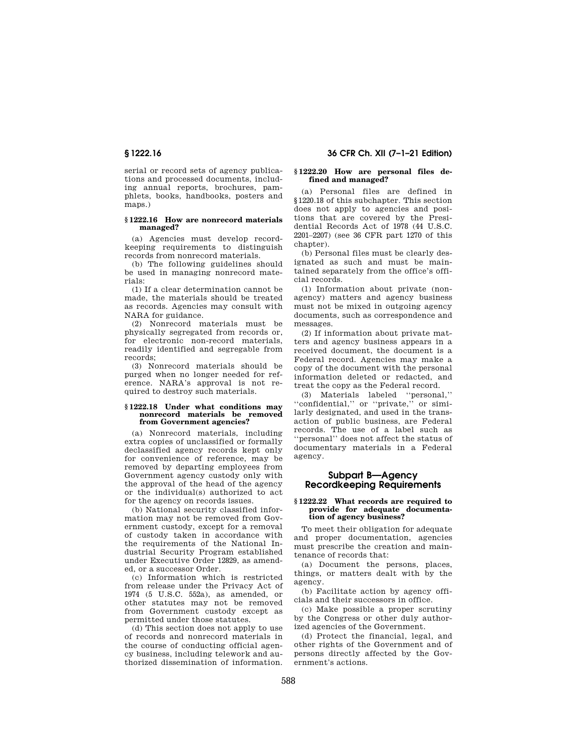# **§ 1222.16 36 CFR Ch. XII (7–1–21 Edition)**

serial or record sets of agency publications and processed documents, including annual reports, brochures, pamphlets, books, handbooks, posters and maps.)

#### **§ 1222.16 How are nonrecord materials managed?**

(a) Agencies must develop recordkeeping requirements to distinguish records from nonrecord materials.

(b) The following guidelines should be used in managing nonrecord materials:

(1) If a clear determination cannot be made, the materials should be treated as records. Agencies may consult with NARA for guidance.

(2) Nonrecord materials must be physically segregated from records or, for electronic non-record materials, readily identified and segregable from records;

(3) Nonrecord materials should be purged when no longer needed for reference. NARA's approval is not required to destroy such materials.

#### **§ 1222.18 Under what conditions may nonrecord materials be removed from Government agencies?**

(a) Nonrecord materials, including extra copies of unclassified or formally declassified agency records kept only for convenience of reference, may be removed by departing employees from Government agency custody only with the approval of the head of the agency or the individual(s) authorized to act for the agency on records issues.

(b) National security classified information may not be removed from Government custody, except for a removal of custody taken in accordance with the requirements of the National Industrial Security Program established under Executive Order 12829, as amended, or a successor Order.

(c) Information which is restricted from release under the Privacy Act of 1974 (5 U.S.C. 552a), as amended, or other statutes may not be removed from Government custody except as permitted under those statutes.

(d) This section does not apply to use of records and nonrecord materials in the course of conducting official agency business, including telework and authorized dissemination of information.

#### **§ 1222.20 How are personal files defined and managed?**

(a) Personal files are defined in §1220.18 of this subchapter. This section does not apply to agencies and positions that are covered by the Presidential Records Act of 1978 (44 U.S.C. 2201–2207) (see 36 CFR part 1270 of this chapter).

(b) Personal files must be clearly designated as such and must be maintained separately from the office's official records.

(1) Information about private (nonagency) matters and agency business must not be mixed in outgoing agency documents, such as correspondence and messages.

(2) If information about private matters and agency business appears in a received document, the document is a Federal record. Agencies may make a copy of the document with the personal information deleted or redacted, and treat the copy as the Federal record.

(3) Materials labeled ''personal,'' "confidential," or "private," or similarly designated, and used in the transaction of public business, are Federal records. The use of a label such as 'personal'' does not affect the status of documentary materials in a Federal agency.

# **Subpart B—Agency Recordkeeping Requirements**

#### **§ 1222.22 What records are required to provide for adequate documentation of agency business?**

To meet their obligation for adequate and proper documentation, agencies must prescribe the creation and maintenance of records that:

(a) Document the persons, places, things, or matters dealt with by the agency.

(b) Facilitate action by agency officials and their successors in office.

(c) Make possible a proper scrutiny by the Congress or other duly authorized agencies of the Government.

(d) Protect the financial, legal, and other rights of the Government and of persons directly affected by the Government's actions.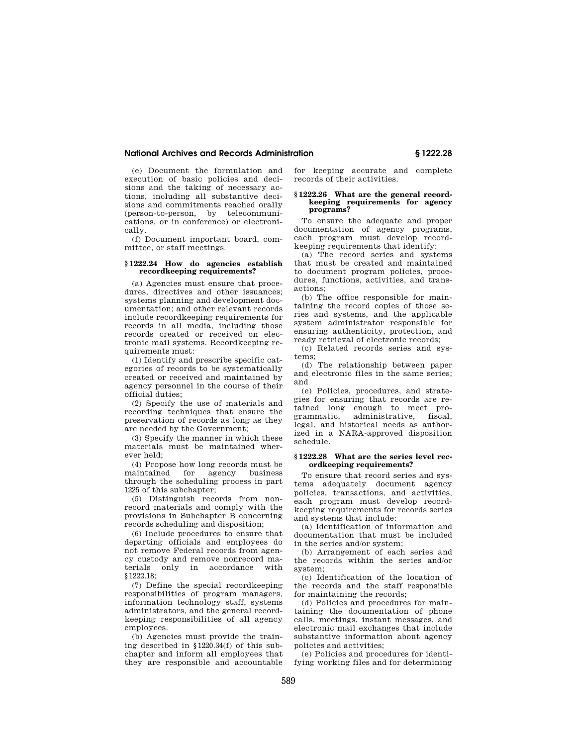#### **National Archives and Records Administration § 1222.28**

(e) Document the formulation and execution of basic policies and decisions and the taking of necessary actions, including all substantive decisions and commitments reached orally (person-to-person, by telecommunications, or in conference) or electronically.

(f) Document important board, committee, or staff meetings.

#### **§ 1222.24 How do agencies establish recordkeeping requirements?**

(a) Agencies must ensure that procedures, directives and other issuances; systems planning and development documentation; and other relevant records include recordkeeping requirements for records in all media, including those records created or received on electronic mail systems. Recordkeeping requirements must:

(1) Identify and prescribe specific categories of records to be systematically created or received and maintained by agency personnel in the course of their official duties;

(2) Specify the use of materials and recording techniques that ensure the preservation of records as long as they are needed by the Government;

(3) Specify the manner in which these materials must be maintained wherever held;

(4) Propose how long records must be maintained for agency business through the scheduling process in part 1225 of this subchapter;

(5) Distinguish records from nonrecord materials and comply with the provisions in Subchapter B concerning records scheduling and disposition;

(6) Include procedures to ensure that departing officials and employees do not remove Federal records from agency custody and remove nonrecord ma-<br>terials only in accordance with only in accordance with §1222.18;

(7) Define the special recordkeeping responsibilities of program managers, information technology staff, systems administrators, and the general recordkeeping responsibilities of all agency employees.

(b) Agencies must provide the training described in §1220.34(f) of this subchapter and inform all employees that they are responsible and accountable for keeping accurate and complete records of their activities.

#### **§ 1222.26 What are the general recordkeeping requirements for agency programs?**

To ensure the adequate and proper documentation of agency programs, each program must develop recordkeeping requirements that identify:

(a) The record series and systems that must be created and maintained to document program policies, procedures, functions, activities, and transactions;

(b) The office responsible for maintaining the record copies of those series and systems, and the applicable system administrator responsible for ensuring authenticity, protection, and ready retrieval of electronic records;

(c) Related records series and systems;

(d) The relationship between paper and electronic files in the same series; and

(e) Policies, procedures, and strategies for ensuring that records are retained long enough to meet programmatic, administrative, fiscal, legal, and historical needs as authorized in a NARA-approved disposition schedule.

#### **§ 1222.28 What are the series level recordkeeping requirements?**

To ensure that record series and systems adequately document agency policies, transactions, and activities, each program must develop recordkeeping requirements for records series and systems that include:

(a) Identification of information and documentation that must be included in the series and/or system;

(b) Arrangement of each series and the records within the series and/or system;

(c) Identification of the location of the records and the staff responsible for maintaining the records;

(d) Policies and procedures for maintaining the documentation of phone calls, meetings, instant messages, and electronic mail exchanges that include substantive information about agency policies and activities;

(e) Policies and procedures for identifying working files and for determining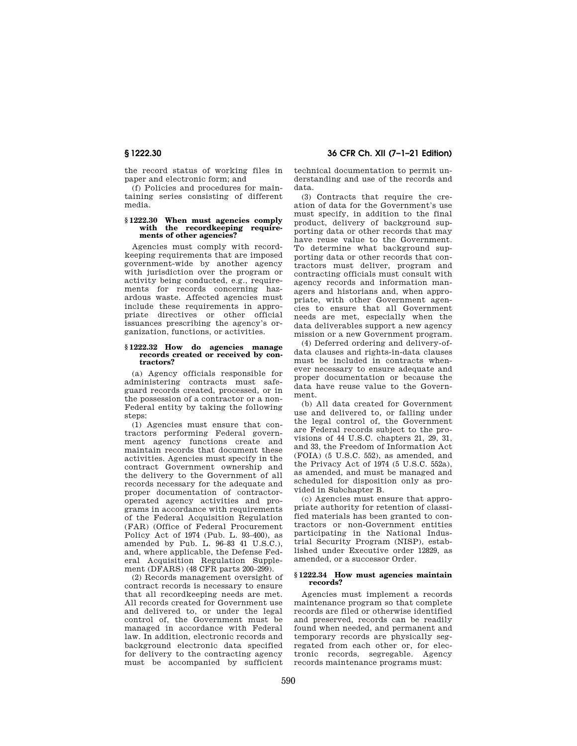the record status of working files in paper and electronic form; and

(f) Policies and procedures for maintaining series consisting of different media.

#### **§ 1222.30 When must agencies comply with the recordkeeping requirements of other agencies?**

Agencies must comply with recordkeeping requirements that are imposed government-wide by another agency with jurisdiction over the program or activity being conducted, e.g., requirements for records concerning hazardous waste. Affected agencies must include these requirements in appropriate directives or other official issuances prescribing the agency's organization, functions, or activities.

#### **§ 1222.32 How do agencies manage records created or received by contractors?**

(a) Agency officials responsible for administering contracts must safeguard records created, processed, or in the possession of a contractor or a non-Federal entity by taking the following steps:

(1) Agencies must ensure that contractors performing Federal government agency functions create and maintain records that document these activities. Agencies must specify in the contract Government ownership and the delivery to the Government of all records necessary for the adequate and proper documentation of contractoroperated agency activities and programs in accordance with requirements of the Federal Acquisition Regulation (FAR) (Office of Federal Procurement Policy Act of 1974 (Pub. L. 93–400), as amended by Pub. L. 96–83 41 U.S.C.), and, where applicable, the Defense Federal Acquisition Regulation Supplement (DFARS) (48 CFR parts 200–299).

(2) Records management oversight of contract records is necessary to ensure that all recordkeeping needs are met. All records created for Government use and delivered to, or under the legal control of, the Government must be managed in accordance with Federal law. In addition, electronic records and background electronic data specified for delivery to the contracting agency must be accompanied by sufficient

# **§ 1222.30 36 CFR Ch. XII (7–1–21 Edition)**

technical documentation to permit understanding and use of the records and data.

(3) Contracts that require the creation of data for the Government's use must specify, in addition to the final product, delivery of background supporting data or other records that may have reuse value to the Government. To determine what background supporting data or other records that contractors must deliver, program and contracting officials must consult with agency records and information managers and historians and, when appropriate, with other Government agencies to ensure that all Government needs are met, especially when the data deliverables support a new agency mission or a new Government program.

(4) Deferred ordering and delivery-ofdata clauses and rights-in-data clauses must be included in contracts whenever necessary to ensure adequate and proper documentation or because the data have reuse value to the Government.

(b) All data created for Government use and delivered to, or falling under the legal control of, the Government are Federal records subject to the provisions of 44 U.S.C. chapters 21, 29, 31, and 33, the Freedom of Information Act (FOIA) (5 U.S.C. 552), as amended, and the Privacy Act of 1974 (5 U.S.C. 552a), as amended, and must be managed and scheduled for disposition only as provided in Subchapter B.

(c) Agencies must ensure that appropriate authority for retention of classified materials has been granted to contractors or non-Government entities participating in the National Industrial Security Program (NISP), established under Executive order 12829, as amended, or a successor Order.

#### **§ 1222.34 How must agencies maintain records?**

Agencies must implement a records maintenance program so that complete records are filed or otherwise identified and preserved, records can be readily found when needed, and permanent and temporary records are physically segregated from each other or, for electronic records, segregable. Agency records maintenance programs must: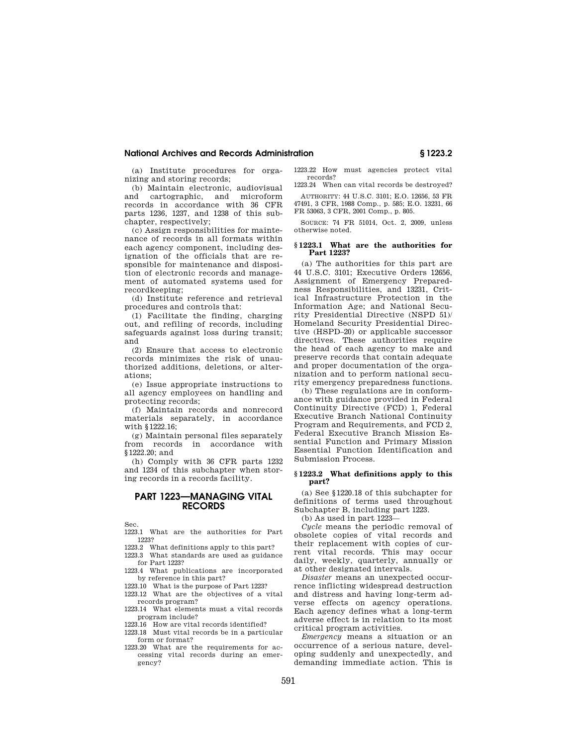#### **National Archives and Records Administration § 1223.2**

(a) Institute procedures for organizing and storing records;

(b) Maintain electronic, audiovisual and cartographic, and microform records in accordance with 36 CFR parts 1236, 1237, and 1238 of this subchapter, respectively;

(c) Assign responsibilities for maintenance of records in all formats within each agency component, including designation of the officials that are responsible for maintenance and disposition of electronic records and management of automated systems used for recordkeeping;

(d) Institute reference and retrieval procedures and controls that:

(1) Facilitate the finding, charging out, and refiling of records, including safeguards against loss during transit; and

(2) Ensure that access to electronic records minimizes the risk of unauthorized additions, deletions, or alterations;

(e) Issue appropriate instructions to all agency employees on handling and protecting records;

(f) Maintain records and nonrecord materials separately, in accordance with §1222.16;

(g) Maintain personal files separately from records in accordance with §1222.20; and

(h) Comply with 36 CFR parts 1232 and 1234 of this subchapter when storing records in a records facility.

# **PART 1223—MANAGING VITAL RECORDS**

Sec.

1223.1 What are the authorities for Part 1223?

1223.2 What definitions apply to this part?

1223.3 What standards are used as guidance for Part 1223?

1223.4 What publications are incorporated by reference in this part?

1223.10 What is the purpose of Part 1223?

1223.12 What are the objectives of a vital records program?

1223.14 What elements must a vital records program include?

1223.16 How are vital records identified?

1223.18 Must vital records be in a particular form or format?

1223.20 What are the requirements for accessing vital records during an emergency?

1223.22 How must agencies protect vital records? 1223.24 When can vital records be destroyed?

AUTHORITY: 44 U.S.C. 3101; E.O. 12656, 53 FR 47491, 3 CFR, 1988 Comp., p. 585; E.O. 13231, 66 FR 53063, 3 CFR, 2001 Comp., p. 805.

SOURCE: 74 FR 51014, Oct. 2, 2009, unless otherwise noted.

#### **§ 1223.1 What are the authorities for Part 1223?**

(a) The authorities for this part are 44 U.S.C. 3101; Executive Orders 12656, Assignment of Emergency Preparedness Responsibilities, and 13231, Critical Infrastructure Protection in the Information Age; and National Security Presidential Directive (NSPD 51)/ Homeland Security Presidential Directive (HSPD–20) or applicable successor directives. These authorities require the head of each agency to make and preserve records that contain adequate and proper documentation of the organization and to perform national security emergency preparedness functions.

(b) These regulations are in conformance with guidance provided in Federal Continuity Directive (FCD) 1, Federal Executive Branch National Continuity Program and Requirements, and FCD 2, Federal Executive Branch Mission Essential Function and Primary Mission Essential Function Identification and Submission Process.

#### **§ 1223.2 What definitions apply to this part?**

(a) See §1220.18 of this subchapter for definitions of terms used throughout Subchapter B, including part 1223.

(b) As used in part 1223—

*Cycle* means the periodic removal of obsolete copies of vital records and their replacement with copies of current vital records. This may occur daily, weekly, quarterly, annually or at other designated intervals.

*Disaster* means an unexpected occurrence inflicting widespread destruction and distress and having long-term adverse effects on agency operations. Each agency defines what a long-term adverse effect is in relation to its most critical program activities.

*Emergency* means a situation or an occurrence of a serious nature, developing suddenly and unexpectedly, and demanding immediate action. This is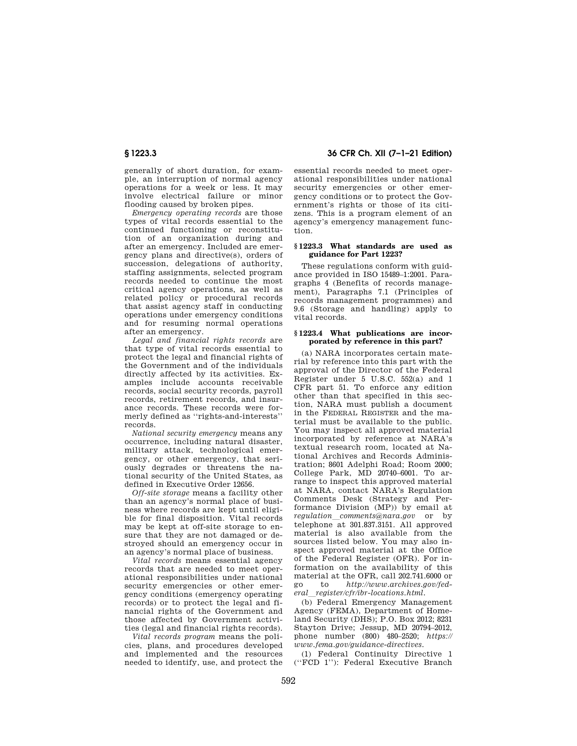generally of short duration, for example, an interruption of normal agency operations for a week or less. It may involve electrical failure or minor flooding caused by broken pipes.

*Emergency operating records* are those types of vital records essential to the continued functioning or reconstitution of an organization during and after an emergency. Included are emergency plans and directive(s), orders of succession, delegations of authority, staffing assignments, selected program records needed to continue the most critical agency operations, as well as related policy or procedural records that assist agency staff in conducting operations under emergency conditions and for resuming normal operations after an emergency.

*Legal and financial rights records* are that type of vital records essential to protect the legal and financial rights of the Government and of the individuals directly affected by its activities. Examples include accounts receivable records, social security records, payroll records, retirement records, and insurance records. These records were formerly defined as ''rights-and-interests'' records.

*National security emergency* means any occurrence, including natural disaster, military attack, technological emergency, or other emergency, that seriously degrades or threatens the national security of the United States, as defined in Executive Order 12656.

*Off-site storage* means a facility other than an agency's normal place of business where records are kept until eligible for final disposition. Vital records may be kept at off-site storage to ensure that they are not damaged or destroyed should an emergency occur in an agency's normal place of business.

*Vital records* means essential agency records that are needed to meet operational responsibilities under national security emergencies or other emergency conditions (emergency operating records) or to protect the legal and financial rights of the Government and those affected by Government activities (legal and financial rights records).

*Vital records program* means the policies, plans, and procedures developed and implemented and the resources needed to identify, use, and protect the

**§ 1223.3 36 CFR Ch. XII (7–1–21 Edition)** 

essential records needed to meet operational responsibilities under national security emergencies or other emergency conditions or to protect the Government's rights or those of its citizens. This is a program element of an agency's emergency management function.

#### **§ 1223.3 What standards are used as guidance for Part 1223?**

These regulations conform with guidance provided in ISO 15489–1:2001. Paragraphs 4 (Benefits of records management), Paragraphs 7.1 (Principles of records management programmes) and 9.6 (Storage and handling) apply to vital records.

#### **§ 1223.4 What publications are incorporated by reference in this part?**

(a) NARA incorporates certain material by reference into this part with the approval of the Director of the Federal Register under 5 U.S.C. 552(a) and 1 CFR part 51. To enforce any edition other than that specified in this section, NARA must publish a document in the FEDERAL REGISTER and the material must be available to the public. You may inspect all approved material incorporated by reference at NARA's textual research room, located at National Archives and Records Administration; 8601 Adelphi Road; Room 2000; College Park, MD 20740–6001. To arrange to inspect this approved material at NARA, contact NARA's Regulation Comments Desk (Strategy and Performance Division (MP)) by email at *regulation*l*comments@nara.gov* or by telephone at 301.837.3151. All approved material is also available from the sources listed below. You may also inspect approved material at the Office of the Federal Register (OFR). For information on the availability of this material at the OFR, call 202.741.6000 or go to *http://www.archives.gov/federal*l*register/cfr/ibr-locations.html.* 

(b) Federal Emergency Management Agency (FEMA), Department of Homeland Security (DHS); P.O. Box 2012; 8231 Stayton Drive; Jessup, MD 20794–2012, phone number (800) 480–2520; *https:// www.fema.gov/guidance-directives.* 

(1) Federal Continuity Directive 1 (''FCD 1''): Federal Executive Branch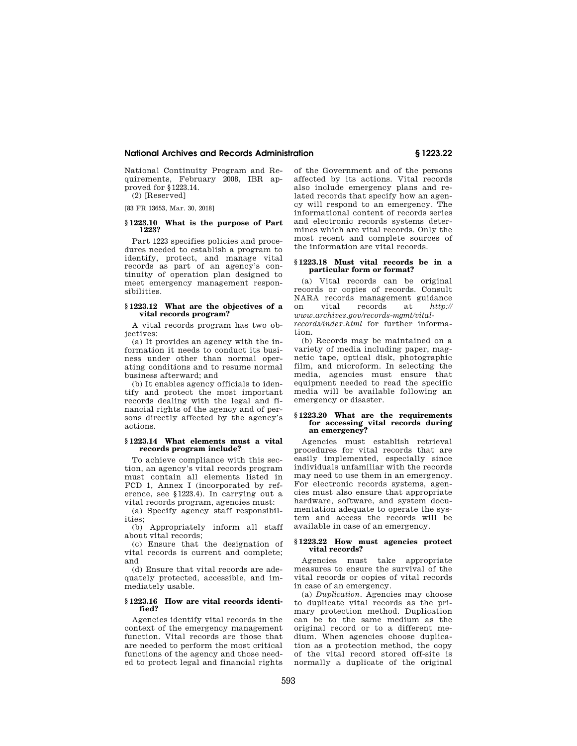#### **National Archives and Records Administration § 1223.22**

National Continuity Program and Requirements, February 2008, IBR approved for §1223.14. (2) [Reserved]

[83 FR 13653, Mar. 30, 2018]

#### **§ 1223.10 What is the purpose of Part 1223?**

Part 1223 specifies policies and procedures needed to establish a program to identify, protect, and manage vital records as part of an agency's continuity of operation plan designed to meet emergency management responsibilities.

# **§ 1223.12 What are the objectives of a vital records program?**

A vital records program has two objectives:

(a) It provides an agency with the information it needs to conduct its business under other than normal operating conditions and to resume normal business afterward; and

(b) It enables agency officials to identify and protect the most important records dealing with the legal and financial rights of the agency and of persons directly affected by the agency's actions.

#### **§ 1223.14 What elements must a vital records program include?**

To achieve compliance with this section, an agency's vital records program must contain all elements listed in FCD 1, Annex I (incorporated by reference, see §1223.4). In carrying out a vital records program, agencies must:

(a) Specify agency staff responsibilities;

(b) Appropriately inform all staff about vital records;

(c) Ensure that the designation of vital records is current and complete; and

(d) Ensure that vital records are adequately protected, accessible, and immediately usable.

#### **§ 1223.16 How are vital records identified?**

Agencies identify vital records in the context of the emergency management function. Vital records are those that are needed to perform the most critical functions of the agency and those needed to protect legal and financial rights

of the Government and of the persons affected by its actions. Vital records also include emergency plans and related records that specify how an agency will respond to an emergency. The informational content of records series and electronic records systems determines which are vital records. Only the most recent and complete sources of the information are vital records.

#### **§ 1223.18 Must vital records be in a particular form or format?**

(a) Vital records can be original records or copies of records. Consult NARA records management guidance on vital records at *http:// www.archives.gov/records-mgmt/vitalrecords/index.html* for further information.

(b) Records may be maintained on a variety of media including paper, magnetic tape, optical disk, photographic film, and microform. In selecting the media, agencies must ensure that equipment needed to read the specific media will be available following an emergency or disaster.

#### **§ 1223.20 What are the requirements for accessing vital records during an emergency?**

Agencies must establish retrieval procedures for vital records that are easily implemented, especially since individuals unfamiliar with the records may need to use them in an emergency. For electronic records systems, agencies must also ensure that appropriate hardware, software, and system documentation adequate to operate the system and access the records will be available in case of an emergency.

#### **§ 1223.22 How must agencies protect vital records?**

Agencies must take appropriate measures to ensure the survival of the vital records or copies of vital records in case of an emergency.

(a) *Duplication.* Agencies may choose to duplicate vital records as the primary protection method. Duplication can be to the same medium as the original record or to a different medium. When agencies choose duplication as a protection method, the copy of the vital record stored off-site is normally a duplicate of the original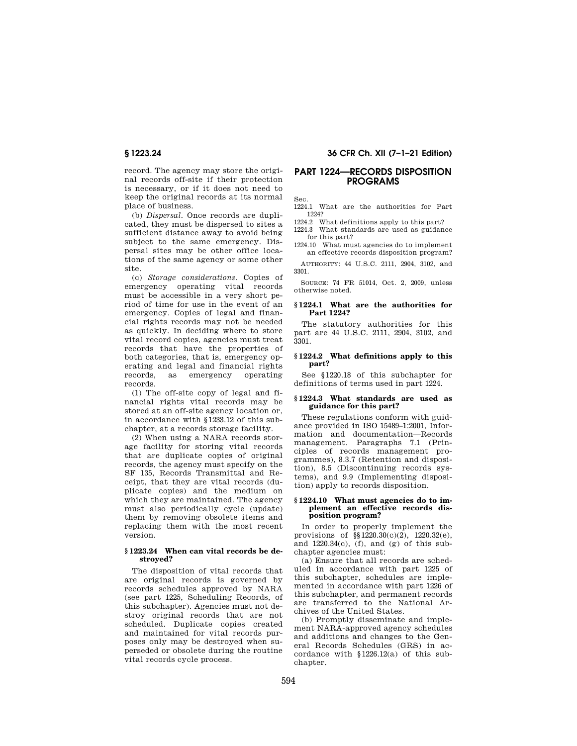record. The agency may store the original records off-site if their protection is necessary, or if it does not need to keep the original records at its normal place of business.

(b) *Dispersal.* Once records are duplicated, they must be dispersed to sites a sufficient distance away to avoid being subject to the same emergency. Dispersal sites may be other office locations of the same agency or some other site.

(c) *Storage considerations.* Copies of emergency operating vital records must be accessible in a very short period of time for use in the event of an emergency. Copies of legal and financial rights records may not be needed as quickly. In deciding where to store vital record copies, agencies must treat records that have the properties of both categories, that is, emergency operating and legal and financial rights records, as emergency operating records.

(1) The off-site copy of legal and financial rights vital records may be stored at an off-site agency location or, in accordance with §1233.12 of this subchapter, at a records storage facility.

(2) When using a NARA records storage facility for storing vital records that are duplicate copies of original records, the agency must specify on the SF 135, Records Transmittal and Receipt, that they are vital records (duplicate copies) and the medium on which they are maintained. The agency must also periodically cycle (update) them by removing obsolete items and replacing them with the most recent version.

### **§ 1223.24 When can vital records be destroyed?**

The disposition of vital records that are original records is governed by records schedules approved by NARA (see part 1225, Scheduling Records, of this subchapter). Agencies must not destroy original records that are not scheduled. Duplicate copies created and maintained for vital records purposes only may be destroyed when superseded or obsolete during the routine vital records cycle process.

# **§ 1223.24 36 CFR Ch. XII (7–1–21 Edition)**

# **PART 1224—RECORDS DISPOSITION PROGRAMS**

Sec.

1224.1 What are the authorities for Part 1224?

1224.2 What definitions apply to this part?

1224.3 What standards are used as guidance for this part?

1224.10 What must agencies do to implement an effective records disposition program?

AUTHORITY: 44 U.S.C. 2111, 2904, 3102, and 3301.

SOURCE: 74 FR 51014, Oct. 2, 2009, unless otherwise noted.

#### **§ 1224.1 What are the authorities for Part 1224?**

The statutory authorities for this part are 44 U.S.C. 2111, 2904, 3102, and 3301.

# **§ 1224.2 What definitions apply to this part?**

See §1220.18 of this subchapter for definitions of terms used in part 1224.

# **§ 1224.3 What standards are used as guidance for this part?**

These regulations conform with guidance provided in ISO 15489–1:2001, Information and documentation—Records management. Paragraphs 7.1 (Principles of records management programmes), 8.3.7 (Retention and disposition), 8.5 (Discontinuing records systems), and 9.9 (Implementing disposition) apply to records disposition.

#### **§ 1224.10 What must agencies do to implement an effective records disposition program?**

In order to properly implement the provisions of §§1220.30(c)(2), 1220.32(e), and  $1220.34(c)$ , (f), and (g) of this subchapter agencies must:

(a) Ensure that all records are scheduled in accordance with part 1225 of this subchapter, schedules are implemented in accordance with part 1226 of this subchapter, and permanent records are transferred to the National Archives of the United States.

(b) Promptly disseminate and implement NARA-approved agency schedules and additions and changes to the General Records Schedules (GRS) in accordance with §1226.12(a) of this subchapter.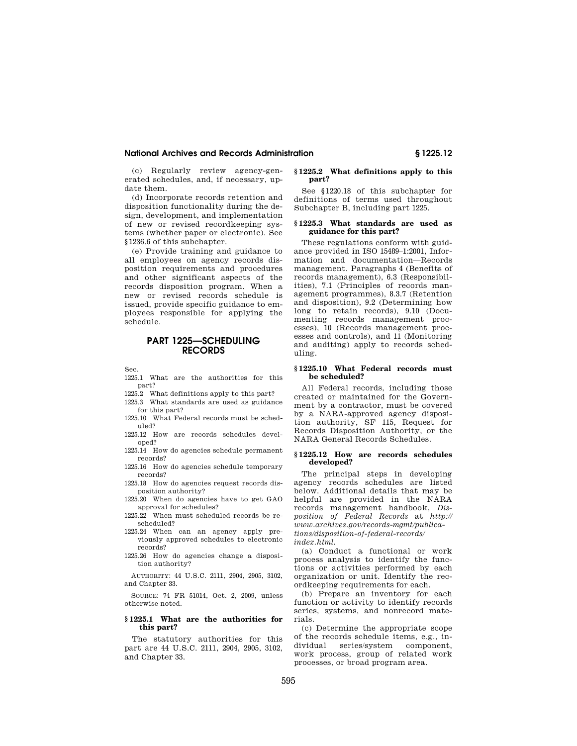#### **National Archives and Records Administration § 1225.12**

(c) Regularly review agency-generated schedules, and, if necessary, update them.

(d) Incorporate records retention and disposition functionality during the design, development, and implementation of new or revised recordkeeping systems (whether paper or electronic). See §1236.6 of this subchapter.

(e) Provide training and guidance to all employees on agency records disposition requirements and procedures and other significant aspects of the records disposition program. When a new or revised records schedule is issued, provide specific guidance to employees responsible for applying the schedule.

# **PART 1225—SCHEDULING RECORDS**

Sec.

1225.1 What are the authorities for this part?

1225.2 What definitions apply to this part?

1225.3 What standards are used as guidance for this part?

1225.10 What Federal records must be scheduled?

1225.12 How are records schedules developed?

1225.14 How do agencies schedule permanent records?

1225.16 How do agencies schedule temporary records?

1225.18 How do agencies request records disposition authority?

1225.20 When do agencies have to get GAO approval for schedules?

1225.22 When must scheduled records be rescheduled?

1225.24 When can an agency apply previously approved schedules to electronic records?

1225.26 How do agencies change a disposition authority?

AUTHORITY: 44 U.S.C. 2111, 2904, 2905, 3102, and Chapter 33.

SOURCE: 74 FR 51014, Oct. 2, 2009, unless otherwise noted.

#### **§ 1225.1 What are the authorities for this part?**

The statutory authorities for this part are 44 U.S.C. 2111, 2904, 2905, 3102, and Chapter 33.

#### **§ 1225.2 What definitions apply to this part?**

See §1220.18 of this subchapter for definitions of terms used throughout Subchapter B, including part 1225.

### **§ 1225.3 What standards are used as guidance for this part?**

These regulations conform with guidance provided in ISO 15489–1:2001, Information and documentation—Records management. Paragraphs 4 (Benefits of records management), 6.3 (Responsibilities), 7.1 (Principles of records management programmes), 8.3.7 (Retention and disposition), 9.2 (Determining how long to retain records), 9.10 (Documenting records management processes), 10 (Records management processes and controls), and 11 (Monitoring and auditing) apply to records scheduling.

#### **§ 1225.10 What Federal records must be scheduled?**

All Federal records, including those created or maintained for the Government by a contractor, must be covered by a NARA-approved agency disposition authority, SF 115, Request for Records Disposition Authority, or the NARA General Records Schedules.

#### **§ 1225.12 How are records schedules developed?**

The principal steps in developing agency records schedules are listed below. Additional details that may be helpful are provided in the NARA records management handbook, *Disposition of Federal Records* at *http:// www.archives.gov/records-mgmt/publications/disposition-of-federal-records/ index.html.* 

(a) Conduct a functional or work process analysis to identify the functions or activities performed by each organization or unit. Identify the recordkeeping requirements for each.

(b) Prepare an inventory for each function or activity to identify records series, systems, and nonrecord materials.

(c) Determine the appropriate scope of the records schedule items, e.g., individual series/system component, work process, group of related work processes, or broad program area.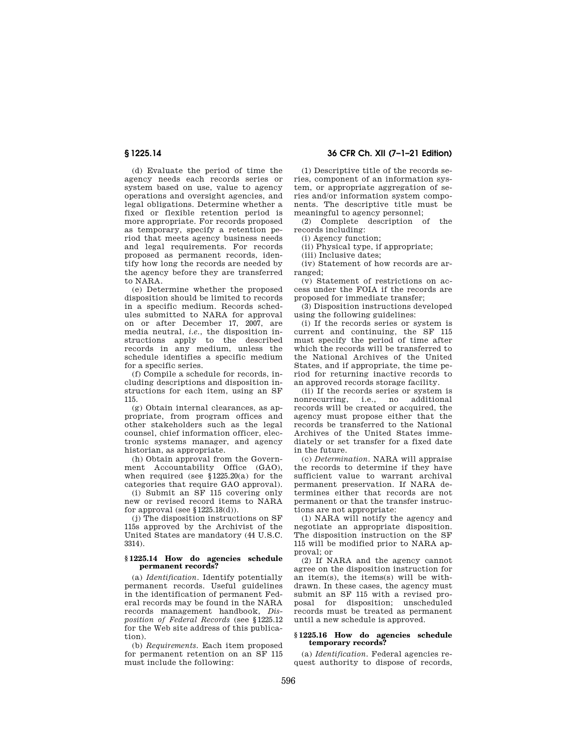(d) Evaluate the period of time the agency needs each records series or system based on use, value to agency operations and oversight agencies, and legal obligations. Determine whether a fixed or flexible retention period is more appropriate. For records proposed as temporary, specify a retention period that meets agency business needs and legal requirements. For records proposed as permanent records, identify how long the records are needed by the agency before they are transferred to NARA.

(e) Determine whether the proposed disposition should be limited to records in a specific medium. Records schedules submitted to NARA for approval on or after December 17, 2007, are media neutral, *i.e.*, the disposition instructions apply to the described records in any medium, unless the schedule identifies a specific medium for a specific series.

(f) Compile a schedule for records, including descriptions and disposition instructions for each item, using an SF 115.

(g) Obtain internal clearances, as appropriate, from program offices and other stakeholders such as the legal counsel, chief information officer, electronic systems manager, and agency historian, as appropriate.

(h) Obtain approval from the Government Accountability Office (GAO), when required (see §1225.20(a) for the categories that require GAO approval).

(i) Submit an SF 115 covering only new or revised record items to NARA for approval (see  $$1225.18(d)$ ).

(j) The disposition instructions on SF 115s approved by the Archivist of the United States are mandatory (44 U.S.C. 3314).

#### **§ 1225.14 How do agencies schedule permanent records?**

(a) *Identification.* Identify potentially permanent records. Useful guidelines in the identification of permanent Federal records may be found in the NARA records management handbook, *Disposition of Federal Records* (see §1225.12 for the Web site address of this publication).

(b) *Requirements.* Each item proposed for permanent retention on an SF 115 must include the following:

**§ 1225.14 36 CFR Ch. XII (7–1–21 Edition)** 

(1) Descriptive title of the records series, component of an information system, or appropriate aggregation of series and/or information system components. The descriptive title must be meaningful to agency personnel;

(2) Complete description of the records including:

(i) Agency function;

(ii) Physical type, if appropriate;

(iii) Inclusive dates;

(iv) Statement of how records are arranged;

(v) Statement of restrictions on access under the FOIA if the records are proposed for immediate transfer;

(3) Disposition instructions developed using the following guidelines:

(i) If the records series or system is current and continuing, the SF 115 must specify the period of time after which the records will be transferred to the National Archives of the United States, and if appropriate, the time period for returning inactive records to an approved records storage facility.

(ii) If the records series or system is nonrecurring, i.e., no additional records will be created or acquired, the agency must propose either that the records be transferred to the National Archives of the United States immediately or set transfer for a fixed date in the future.

(c) *Determination.* NARA will appraise the records to determine if they have sufficient value to warrant archival permanent preservation. If NARA determines either that records are not permanent or that the transfer instructions are not appropriate:

(1) NARA will notify the agency and negotiate an appropriate disposition. The disposition instruction on the SF 115 will be modified prior to NARA approval; or

(2) If NARA and the agency cannot agree on the disposition instruction for an item(s), the items(s) will be withdrawn. In these cases, the agency must submit an SF 115 with a revised proposal for disposition; unscheduled records must be treated as permanent until a new schedule is approved.

#### **§ 1225.16 How do agencies schedule temporary records?**

(a) *Identification.* Federal agencies request authority to dispose of records,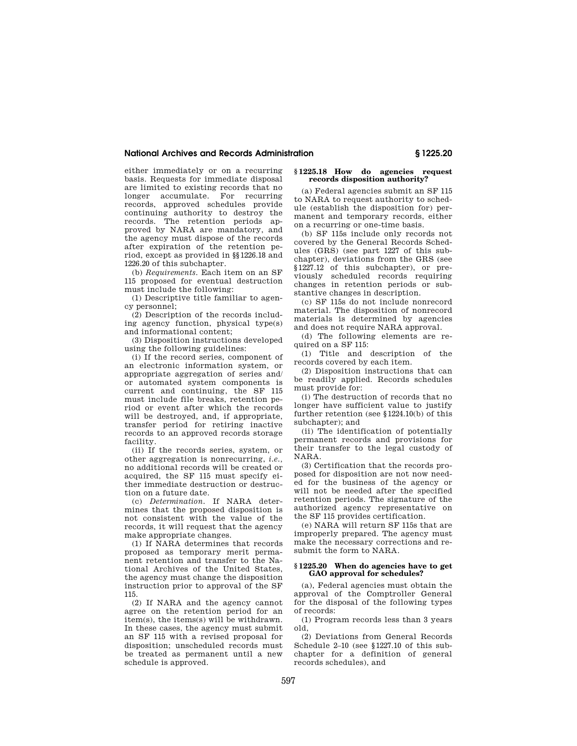# **National Archives and Records Administration § 1225.20**

either immediately or on a recurring basis. Requests for immediate disposal are limited to existing records that no longer accumulate. For recurring records, approved schedules provide continuing authority to destroy the records. The retention periods approved by NARA are mandatory, and the agency must dispose of the records after expiration of the retention period, except as provided in §§1226.18 and 1226.20 of this subchapter.

(b) *Requirements.* Each item on an SF 115 proposed for eventual destruction must include the following:

(1) Descriptive title familiar to agency personnel;

(2) Description of the records including agency function, physical type(s) and informational content;

(3) Disposition instructions developed using the following guidelines:

(i) If the record series, component of an electronic information system, or appropriate aggregation of series and/ or automated system components is current and continuing, the SF 115 must include file breaks, retention period or event after which the records will be destroyed, and, if appropriate, transfer period for retiring inactive records to an approved records storage facility.

(ii) If the records series, system, or other aggregation is nonrecurring, *i.e.,*  no additional records will be created or acquired, the SF 115 must specify either immediate destruction or destruction on a future date.

(c) *Determination.* If NARA determines that the proposed disposition is not consistent with the value of the records, it will request that the agency make appropriate changes.

(1) If NARA determines that records proposed as temporary merit permanent retention and transfer to the National Archives of the United States, the agency must change the disposition instruction prior to approval of the SF 115.

(2) If NARA and the agency cannot agree on the retention period for an item(s), the items(s) will be withdrawn. In these cases, the agency must submit an SF 115 with a revised proposal for disposition; unscheduled records must be treated as permanent until a new schedule is approved.

#### **§ 1225.18 How do agencies request records disposition authority?**

(a) Federal agencies submit an SF 115 to NARA to request authority to schedule (establish the disposition for) permanent and temporary records, either on a recurring or one-time basis.

(b) SF 115s include only records not covered by the General Records Schedules (GRS) (see part 1227 of this subchapter), deviations from the GRS (see §1227.12 of this subchapter), or previously scheduled records requiring changes in retention periods or substantive changes in description.

(c) SF 115s do not include nonrecord material. The disposition of nonrecord materials is determined by agencies and does not require NARA approval.

(d) The following elements are required on a SF 115:

(1) Title and description of the records covered by each item.

(2) Disposition instructions that can be readily applied. Records schedules must provide for:

(i) The destruction of records that no longer have sufficient value to justify further retention (see §1224.10(b) of this subchapter); and

(ii) The identification of potentially permanent records and provisions for their transfer to the legal custody of NARA.

(3) Certification that the records proposed for disposition are not now needed for the business of the agency or will not be needed after the specified retention periods. The signature of the authorized agency representative on the SF 115 provides certification.

(e) NARA will return SF 115s that are improperly prepared. The agency must make the necessary corrections and resubmit the form to NARA.

#### **§ 1225.20 When do agencies have to get GAO approval for schedules?**

(a), Federal agencies must obtain the approval of the Comptroller General for the disposal of the following types of records:

(1) Program records less than 3 years old,

(2) Deviations from General Records Schedule 2–10 (see §1227.10 of this subchapter for a definition of general records schedules), and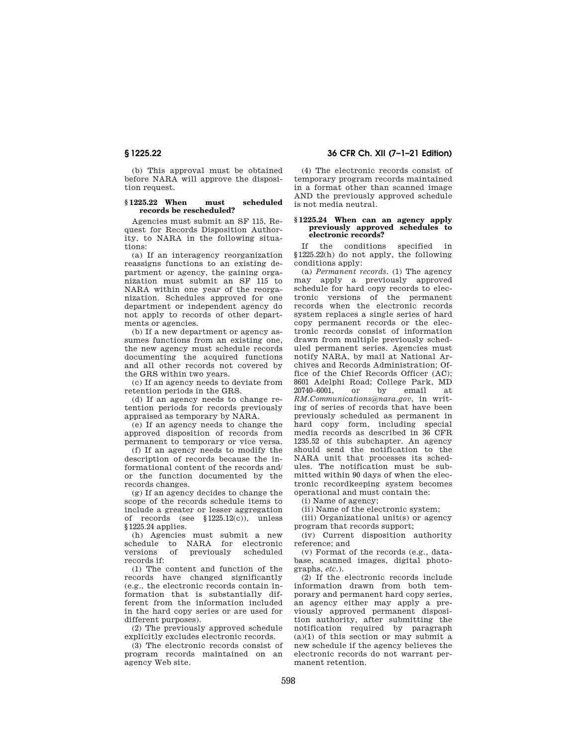(b) This approval must be obtained before NARA will approve the disposition request.

#### **§ 1225.22 When must scheduled records be rescheduled?**

Agencies must submit an SF 115, Request for Records Disposition Authority, to NARA in the following situations:

(a) If an interagency reorganization reassigns functions to an existing department or agency, the gaining organization must submit an SF 115 to NARA within one year of the reorganization. Schedules approved for one department or independent agency do not apply to records of other departments or agencies.

(b) If a new department or agency assumes functions from an existing one, the new agency must schedule records documenting the acquired functions and all other records not covered by the GRS within two years.

(c) If an agency needs to deviate from retention periods in the GRS.

(d) If an agency needs to change retention periods for records previously appraised as temporary by NARA.

(e) If an agency needs to change the approved disposition of records from permanent to temporary or vice versa.

(f) If an agency needs to modify the description of records because the informational content of the records and/ or the function documented by the records changes.

(g) If an agency decides to change the scope of the records schedule items to include a greater or lesser aggregation of records (see §1225.12(c)), unless §1225.24 applies.

(h) Agencies must submit a new schedule to NARA for electronic versions of previously scheduled records if:

(1) The content and function of the records have changed significantly (e.g., the electronic records contain information that is substantially different from the information included in the hard copy series or are used for different purposes)

(2) The previously approved schedule explicitly excludes electronic records.

(3) The electronic records consist of program records maintained on an agency Web site.

**§ 1225.22 36 CFR Ch. XII (7–1–21 Edition)** 

(4) The electronic records consist of temporary program records maintained in a format other than scanned image AND the previously approved schedule is not media neutral.

#### **§ 1225.24 When can an agency apply previously approved schedules to electronic records?**

If the conditions specified in §1225.22(h) do not apply, the following conditions apply:

(a) *Permanent records.* (1) The agency may apply a previously approved schedule for hard copy records to electronic versions of the permanent records when the electronic records system replaces a single series of hard copy permanent records or the electronic records consist of information drawn from multiple previously scheduled permanent series. Agencies must notify NARA, by mail at National Archives and Records Administration; Office of the Chief Records Officer (AC); 8601 Adelphi Road; College Park, MD 20740–6001, or by email at *RM.Communications@nara.gov*, in writing of series of records that have been previously scheduled as permanent in hard copy form, including special media records as described in 36 CFR 1235.52 of this subchapter. An agency should send the notification to the NARA unit that processes its schedules. The notification must be submitted within 90 days of when the electronic recordkeeping system becomes operational and must contain the:

(i) Name of agency;

(ii) Name of the electronic system;

(iii) Organizational unit(s) or agency program that records support;

(iv) Current disposition authority reference; and

(v) Format of the records (e.g., database, scanned images, digital photographs, *etc.*).

(2) If the electronic records include information drawn from both temporary and permanent hard copy series, an agency either may apply a previously approved permanent disposition authority, after submitting the notification required by paragraph  $(a)(1)$  of this section or may submit a new schedule if the agency believes the electronic records do not warrant permanent retention.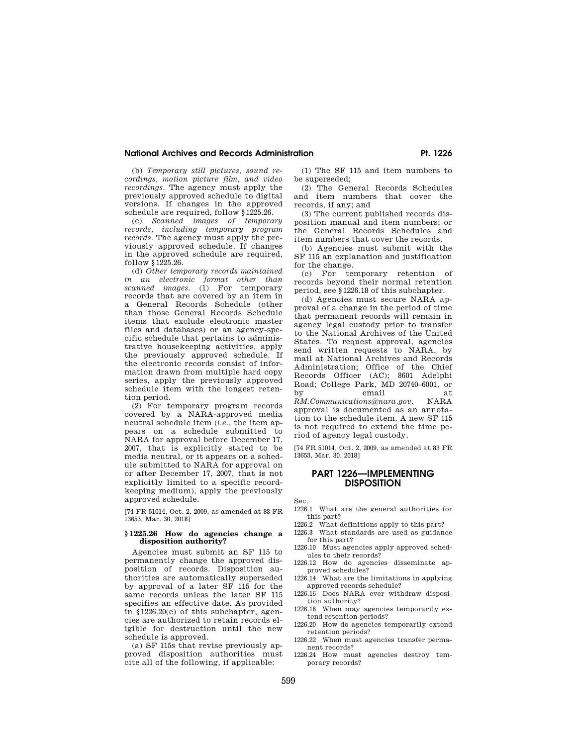# National Archives and Records Administration Pt. 1226

(b) *Temporary still pictures, sound recordings, motion picture film, and video recordings.* The agency must apply the previously approved schedule to digital versions. If changes in the approved schedule are required, follow §1225.26.

(c) *Scanned images of temporary records, including temporary program records.* The agency must apply the previously approved schedule. If changes in the approved schedule are required, follow §1225.26.

(d) *Other temporary records maintained in an electronic format other than scanned images.* (1) For temporary records that are covered by an item in a General Records Schedule (other than those General Records Schedule items that exclude electronic master files and databases) or an agency-specific schedule that pertains to administrative housekeeping activities, apply the previously approved schedule. If the electronic records consist of information drawn from multiple hard copy series, apply the previously approved schedule item with the longest retention period.

(2) For temporary program records covered by a NARA-approved media neutral schedule item (*i.e.*, the item appears on a schedule submitted to NARA for approval before December 17, 2007, that is explicitly stated to be media neutral, or it appears on a schedule submitted to NARA for approval on or after December 17, 2007, that is not explicitly limited to a specific recordkeeping medium), apply the previously approved schedule.

[74 FR 51014, Oct. 2, 2009, as amended at 83 FR 13653, Mar. 30, 2018]

#### **§ 1225.26 How do agencies change a disposition authority?**

Agencies must submit an SF 115 to permanently change the approved disposition of records. Disposition authorities are automatically superseded by approval of a later SF 115 for the same records unless the later SF 115 specifies an effective date. As provided in §1226.20(c) of this subchapter, agencies are authorized to retain records eligible for destruction until the new schedule is approved.

(a) SF 115s that revise previously approved disposition authorities must cite all of the following, if applicable:

(1) The SF 115 and item numbers to be superseded;

(2) The General Records Schedules and item numbers that cover the records, if any; and

(3) The current published records disposition manual and item numbers; or the General Records Schedules and item numbers that cover the records.

(b) Agencies must submit with the SF 115 an explanation and justification for the change.

(c) For temporary retention of records beyond their normal retention period, see §1226.18 of this subchapter.

(d) Agencies must secure NARA approval of a change in the period of time that permanent records will remain in agency legal custody prior to transfer to the National Archives of the United States. To request approval, agencies send written requests to NARA, by mail at National Archives and Records Administration; Office of the Chief Records Officer (AC); 8601 Adelphi Road; College Park, MD 20740–6001, or by email at *RM.Communications@nara.gov.* NARA approval is documented as an annotation to the schedule item. A new SF 115 is not required to extend the time period of agency legal custody.

[74 FR 51014, Oct. 2, 2009, as amended at 83 FR 13653, Mar. 30, 2018]

# **PART 1226—IMPLEMENTING DISPOSITION**

Sec.

- 1226.1 What are the general authorities for this part?
- 1226.2 What definitions apply to this part?
- 1226.3 What standards are used as guidance for this part?
- 1226.10 Must agencies apply approved schedules to their records?
- 1226.12 How do agencies disseminate approved schedules?
- 1226.14 What are the limitations in applying approved records schedule?
- 1226.16 Does NARA ever withdraw disposition authority?
- 1226.18 When may agencies temporarily extend retention periods?
- 1226.20 How do agencies temporarily extend retention periods?
- 1226.22 When must agencies transfer permanent records?
- 1226.24 How must agencies destroy temporary records?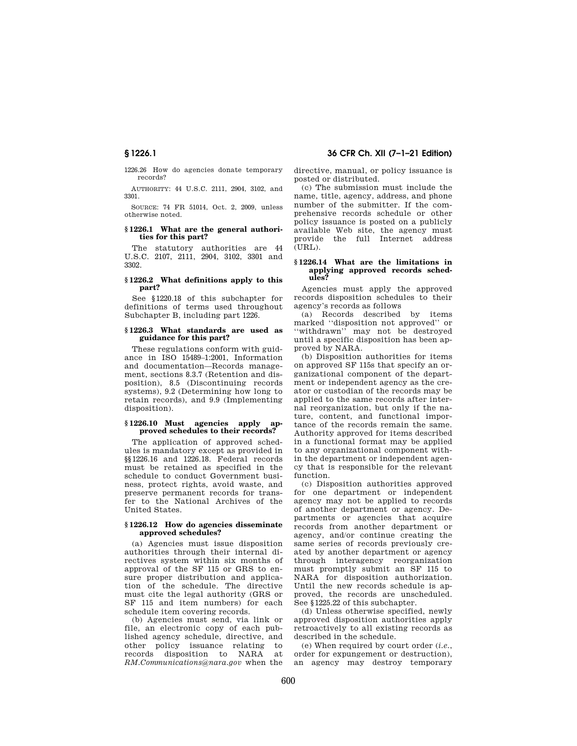1226.26 How do agencies donate temporary records?

AUTHORITY: 44 U.S.C. 2111, 2904, 3102, and 3301.

SOURCE: 74 FR 51014, Oct. 2, 2009, unless otherwise noted.

#### **§ 1226.1 What are the general authorities for this part?**

The statutory authorities are 44 U.S.C. 2107, 2111, 2904, 3102, 3301 and 3302.

#### **§ 1226.2 What definitions apply to this part?**

See §1220.18 of this subchapter for definitions of terms used throughout Subchapter B, including part 1226.

#### **§ 1226.3 What standards are used as guidance for this part?**

These regulations conform with guidance in ISO 15489–1:2001, Information and documentation—Records management, sections 8.3.7 (Retention and disposition), 8.5 (Discontinuing records systems), 9.2 (Determining how long to retain records), and 9.9 (Implementing disposition).

### **§ 1226.10 Must agencies apply approved schedules to their records?**

The application of approved schedules is mandatory except as provided in §§1226.16 and 1226.18. Federal records must be retained as specified in the schedule to conduct Government business, protect rights, avoid waste, and preserve permanent records for transfer to the National Archives of the United States.

#### **§ 1226.12 How do agencies disseminate approved schedules?**

(a) Agencies must issue disposition authorities through their internal directives system within six months of approval of the SF 115 or GRS to ensure proper distribution and application of the schedule. The directive must cite the legal authority (GRS or SF 115 and item numbers) for each schedule item covering records.

(b) Agencies must send, via link or file, an electronic copy of each published agency schedule, directive, and other policy issuance relating to records disposition to NARA at *RM.Communications@nara.gov* when the directive, manual, or policy issuance is posted or distributed.

(c) The submission must include the name, title, agency, address, and phone number of the submitter. If the comprehensive records schedule or other policy issuance is posted on a publicly available Web site, the agency must provide the full Internet address (URL).

#### **§ 1226.14 What are the limitations in applying approved records schedules?**

Agencies must apply the approved records disposition schedules to their agency's records as follows

(a) Records described by items marked ''disposition not approved'' or ''withdrawn'' may not be destroyed until a specific disposition has been approved by NARA.

(b) Disposition authorities for items on approved SF 115s that specify an organizational component of the department or independent agency as the creator or custodian of the records may be applied to the same records after internal reorganization, but only if the nature, content, and functional importance of the records remain the same. Authority approved for items described in a functional format may be applied to any organizational component within the department or independent agency that is responsible for the relevant function.

(c) Disposition authorities approved for one department or independent agency may not be applied to records of another department or agency. Departments or agencies that acquire records from another department or agency, and/or continue creating the same series of records previously created by another department or agency through interagency reorganization must promptly submit an SF 115 to NARA for disposition authorization. Until the new records schedule is approved, the records are unscheduled. See §1225.22 of this subchapter.

(d) Unless otherwise specified, newly approved disposition authorities apply retroactively to all existing records as described in the schedule.

(e) When required by court order (*i.e.*, order for expungement or destruction), an agency may destroy temporary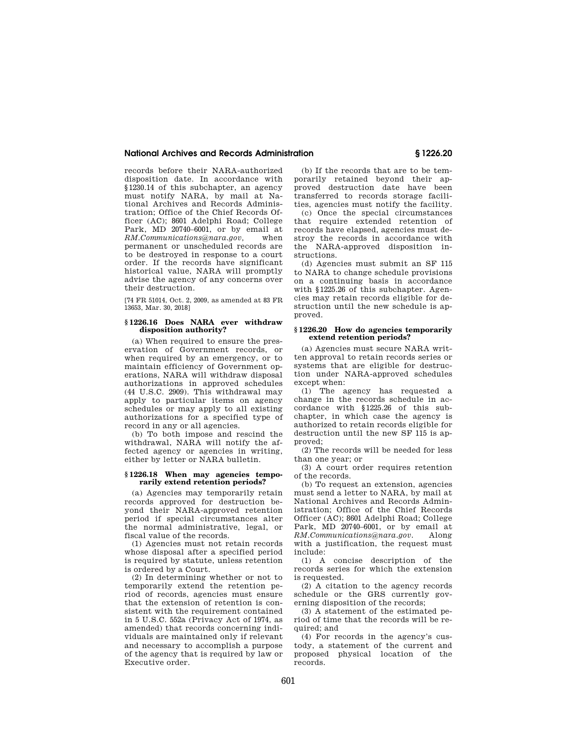#### **National Archives and Records Administration § 1226.20**

records before their NARA-authorized disposition date. In accordance with §1230.14 of this subchapter, an agency must notify NARA, by mail at National Archives and Records Administration; Office of the Chief Records Officer (AC); 8601 Adelphi Road; College Park, MD 20740–6001, or by email at *RM.Communications@nara.gov,* when permanent or unscheduled records are to be destroyed in response to a court order. If the records have significant historical value, NARA will promptly advise the agency of any concerns over their destruction.

[74 FR 51014, Oct. 2, 2009, as amended at 83 FR 13653, Mar. 30, 2018]

#### **§ 1226.16 Does NARA ever withdraw disposition authority?**

(a) When required to ensure the preservation of Government records, or when required by an emergency, or to maintain efficiency of Government operations, NARA will withdraw disposal authorizations in approved schedules (44 U.S.C. 2909). This withdrawal may apply to particular items on agency schedules or may apply to all existing authorizations for a specified type of record in any or all agencies.

(b) To both impose and rescind the withdrawal, NARA will notify the affected agency or agencies in writing, either by letter or NARA bulletin.

#### **§ 1226.18 When may agencies temporarily extend retention periods?**

(a) Agencies may temporarily retain records approved for destruction beyond their NARA-approved retention period if special circumstances alter the normal administrative, legal, or fiscal value of the records.

(1) Agencies must not retain records whose disposal after a specified period is required by statute, unless retention is ordered by a Court.

(2) In determining whether or not to temporarily extend the retention period of records, agencies must ensure that the extension of retention is consistent with the requirement contained in 5 U.S.C. 552a (Privacy Act of 1974, as amended) that records concerning individuals are maintained only if relevant and necessary to accomplish a purpose of the agency that is required by law or Executive order.

(b) If the records that are to be temporarily retained beyond their approved destruction date have been transferred to records storage facilities, agencies must notify the facility.

(c) Once the special circumstances that require extended retention of records have elapsed, agencies must destroy the records in accordance with the NARA-approved disposition instructions.

(d) Agencies must submit an SF 115 to NARA to change schedule provisions on a continuing basis in accordance with §1225.26 of this subchapter. Agencies may retain records eligible for destruction until the new schedule is approved.

#### **§ 1226.20 How do agencies temporarily extend retention periods?**

(a) Agencies must secure NARA written approval to retain records series or systems that are eligible for destruction under NARA-approved schedules except when:

(1) The agency has requested a change in the records schedule in accordance with §1225.26 of this subchapter, in which case the agency is authorized to retain records eligible for destruction until the new SF 115 is approved;

(2) The records will be needed for less than one year; or

(3) A court order requires retention of the records.

(b) To request an extension, agencies must send a letter to NARA, by mail at National Archives and Records Administration; Office of the Chief Records Officer (AC); 8601 Adelphi Road; College Park, MD 20740–6001, or by email at *RM.Communications@nara.gov.* Along with a justification, the request must include:

(1) A concise description of the records series for which the extension is requested.

(2) A citation to the agency records schedule or the GRS currently governing disposition of the records;

(3) A statement of the estimated period of time that the records will be required; and

(4) For records in the agency's custody, a statement of the current and proposed physical location of the records.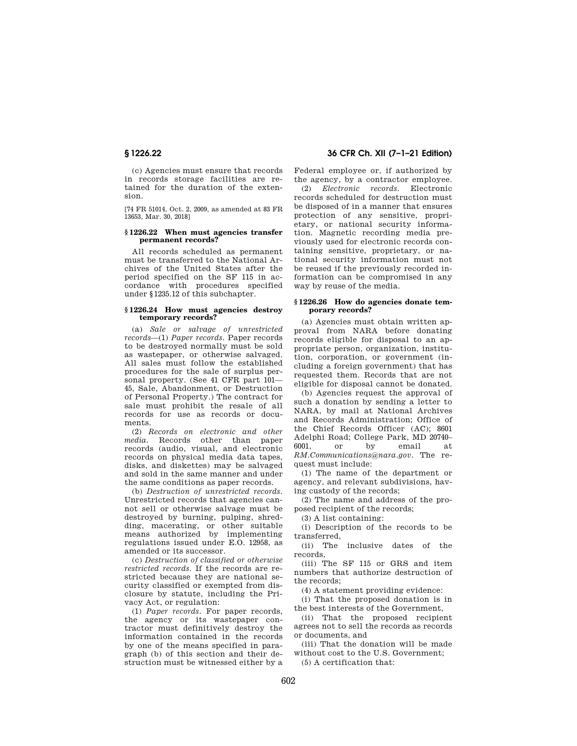(c) Agencies must ensure that records in records storage facilities are retained for the duration of the extension.

[74 FR 51014, Oct. 2, 2009, as amended at 83 FR 13653, Mar. 30, 2018]

#### **§ 1226.22 When must agencies transfer permanent records?**

All records scheduled as permanent must be transferred to the National Archives of the United States after the period specified on the SF 115 in accordance with procedures specified under §1235.12 of this subchapter.

#### **§ 1226.24 How must agencies destroy temporary records?**

(a) *Sale or salvage of unrestricted records*—(1) *Paper records.* Paper records to be destroyed normally must be sold as wastepaper, or otherwise salvaged. All sales must follow the established procedures for the sale of surplus personal property. (See 41 CFR part 101— 45, Sale, Abandonment, or Destruction of Personal Property.) The contract for sale must prohibit the resale of all records for use as records or documents.

(2) *Records on electronic and other media.* Records other than paper records (audio, visual, and electronic records on physical media data tapes, disks, and diskettes) may be salvaged and sold in the same manner and under the same conditions as paper records.

(b) *Destruction of unrestricted records.*  Unrestricted records that agencies cannot sell or otherwise salvage must be destroyed by burning, pulping, shredding, macerating, or other suitable means authorized by implementing regulations issued under E.O. 12958, as amended or its successor.

(c) *Destruction of classified or otherwise restricted records.* If the records are restricted because they are national security classified or exempted from disclosure by statute, including the Privacy Act, or regulation:

(1) *Paper records.* For paper records, the agency or its wastepaper contractor must definitively destroy the information contained in the records by one of the means specified in paragraph (b) of this section and their destruction must be witnessed either by a

**§ 1226.22 36 CFR Ch. XII (7–1–21 Edition)** 

Federal employee or, if authorized by the agency, by a contractor employee.

(2) *Electronic records.* Electronic records scheduled for destruction must be disposed of in a manner that ensures protection of any sensitive, proprietary, or national security information. Magnetic recording media previously used for electronic records containing sensitive, proprietary, or national security information must not be reused if the previously recorded information can be compromised in any way by reuse of the media.

#### **§ 1226.26 How do agencies donate temporary records?**

(a) Agencies must obtain written approval from NARA before donating records eligible for disposal to an appropriate person, organization, institution, corporation, or government (including a foreign government) that has requested them. Records that are not eligible for disposal cannot be donated.

(b) Agencies request the approval of such a donation by sending a letter to NARA, by mail at National Archives and Records Administration; Office of the Chief Records Officer (AC); 8601 Adelphi Road; College Park, MD 20740– 6001, or by email at *RM.Communications@nara.gov.* The request must include:

(1) The name of the department or agency, and relevant subdivisions, having custody of the records;

(2) The name and address of the proposed recipient of the records;

(3) A list containing:

(i) Description of the records to be transferred,

(ii) The inclusive dates of the records,

(iii) The SF 115 or GRS and item numbers that authorize destruction of the records;

(4) A statement providing evidence:

(i) That the proposed donation is in the best interests of the Government,

(ii) That the proposed recipient agrees not to sell the records as records or documents, and

(iii) That the donation will be made without cost to the U.S. Government;

(5) A certification that: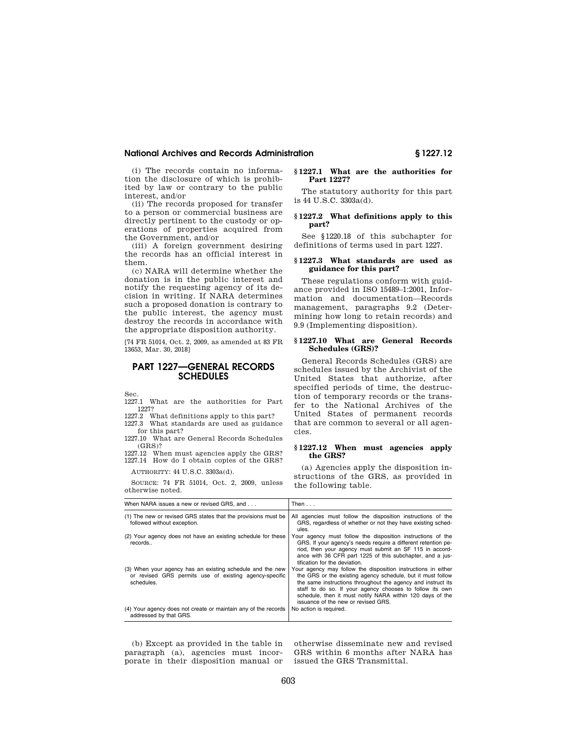# **National Archives and Records Administration § 1227.12**

(i) The records contain no information the disclosure of which is prohibited by law or contrary to the public interest, and/or

(ii) The records proposed for transfer to a person or commercial business are directly pertinent to the custody or operations of properties acquired from the Government, and/or

(iii) A foreign government desiring the records has an official interest in them.

(c) NARA will determine whether the donation is in the public interest and notify the requesting agency of its decision in writing. If NARA determines such a proposed donation is contrary to the public interest, the agency must destroy the records in accordance with the appropriate disposition authority.

[74 FR 51014, Oct. 2, 2009, as amended at 83 FR 13653, Mar. 30, 2018]

# **PART 1227—GENERAL RECORDS SCHEDULES**

Sec.

1227.1 What are the authorities for Part 1227?

1227.2 What definitions apply to this part? 1227.3 What standards are used as guidance

for this part? 1227.10 What are General Records Schedules (GRS)?

1227.12 When must agencies apply the GRS? 1227.14 How do I obtain copies of the GRS?

AUTHORITY: 44 U.S.C. 3303a(d).

SOURCE: 74 FR 51014, Oct. 2, 2009, unless otherwise noted.

#### **§ 1227.1 What are the authorities for Part 1227?**

The statutory authority for this part is 44 U.S.C. 3303a(d).

### **§ 1227.2 What definitions apply to this part?**

See §1220.18 of this subchapter for definitions of terms used in part 1227.

#### **§ 1227.3 What standards are used as guidance for this part?**

These regulations conform with guidance provided in ISO 15489–1:2001, Information and documentation—Records management, paragraphs 9.2 (Determining how long to retain records) and 9.9 (Implementing disposition).

#### **§ 1227.10 What are General Records Schedules (GRS)?**

General Records Schedules (GRS) are schedules issued by the Archivist of the United States that authorize, after specified periods of time, the destruction of temporary records or the transfer to the National Archives of the United States of permanent records that are common to several or all agencies.

#### **§ 1227.12 When must agencies apply the GRS?**

(a) Agencies apply the disposition instructions of the GRS, as provided in the following table.

| When NARA issues a new or revised GRS, and                                                                                        | Then $\ldots$                                                                                                                                                                                                                                                                                                                                                |
|-----------------------------------------------------------------------------------------------------------------------------------|--------------------------------------------------------------------------------------------------------------------------------------------------------------------------------------------------------------------------------------------------------------------------------------------------------------------------------------------------------------|
| (1) The new or revised GRS states that the provisions must be<br>followed without exception.                                      | All agencies must follow the disposition instructions of the<br>GRS, regardless of whether or not they have existing sched-<br>ules.                                                                                                                                                                                                                         |
| (2) Your agency does not have an existing schedule for these<br>records                                                           | Your agency must follow the disposition instructions of the<br>GRS. If your agency's needs require a different retention pe-<br>riod, then your agency must submit an SF 115 in accord-<br>ance with 36 CFR part 1225 of this subchapter, and a jus-<br>tification for the deviation.                                                                        |
| (3) When your agency has an existing schedule and the new<br>or revised GRS permits use of existing agency-specific<br>schedules. | Your agency may follow the disposition instructions in either<br>the GRS or the existing agency schedule, but it must follow<br>the same instructions throughout the agency and instruct its<br>staff to do so. If your agency chooses to follow its own<br>schedule, then it must notify NARA within 120 days of the<br>issuance of the new or revised GRS. |
| (4) Your agency does not create or maintain any of the records<br>addressed by that GRS.                                          | No action is required.                                                                                                                                                                                                                                                                                                                                       |

(b) Except as provided in the table in paragraph (a), agencies must incorporate in their disposition manual or

otherwise disseminate new and revised GRS within 6 months after NARA has issued the GRS Transmittal.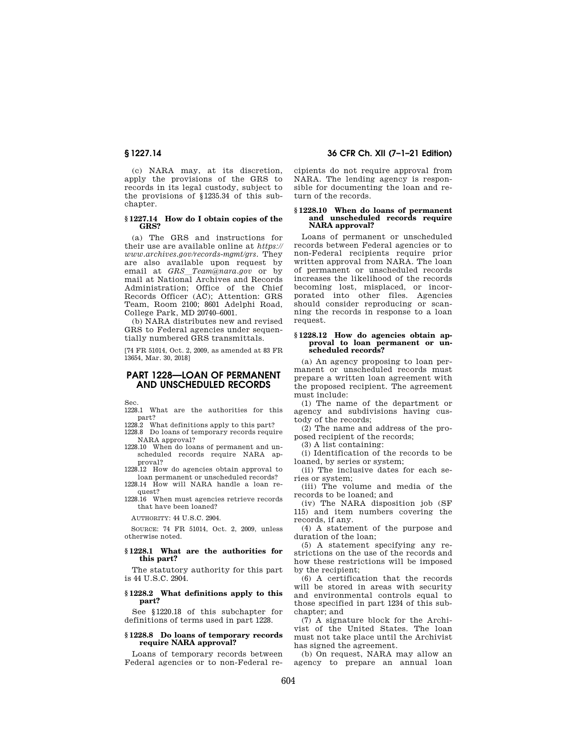(c) NARA may, at its discretion, apply the provisions of the GRS to records in its legal custody, subject to the provisions of §1235.34 of this subchapter.

# **§ 1227.14 How do I obtain copies of the GRS?**

(a) The GRS and instructions for their use are available online at *https:// www.archives.gov/records-mgmt/grs*. They are also available upon request by email at *GRS*l*Team@nara.gov* or by mail at National Archives and Records Administration; Office of the Chief Records Officer (AC); Attention: GRS Team, Room 2100; 8601 Adelphi Road, College Park, MD 20740–6001.

(b) NARA distributes new and revised GRS to Federal agencies under sequentially numbered GRS transmittals.

[74 FR 51014, Oct. 2, 2009, as amended at 83 FR 13654, Mar. 30, 2018]

# **PART 1228—LOAN OF PERMANENT AND UNSCHEDULED RECORDS**

Sec.

1228.1 What are the authorities for this part?

1228.2 What definitions apply to this part? 1228.8 Do loans of temporary records require

NARA approval? 1228.10 When do loans of permanent and un-

scheduled records require NARA approval? 1228.12 How do agencies obtain approval to

loan permanent or unscheduled records? 1228.14 How will NARA handle a loan re-

quest? 1228.16 When must agencies retrieve records

that have been loaned?

AUTHORITY: 44 U.S.C. 2904.

SOURCE: 74 FR 51014, Oct. 2, 2009, unless otherwise noted.

#### **§ 1228.1 What are the authorities for this part?**

The statutory authority for this part is 44 U.S.C. 2904.

### **§ 1228.2 What definitions apply to this part?**

See §1220.18 of this subchapter for definitions of terms used in part 1228.

# **§ 1228.8 Do loans of temporary records require NARA approval?**

Loans of temporary records between Federal agencies or to non-Federal re-

# **§ 1227.14 36 CFR Ch. XII (7–1–21 Edition)**

cipients do not require approval from NARA. The lending agency is responsible for documenting the loan and return of the records.

#### **§ 1228.10 When do loans of permanent and unscheduled records require NARA approval?**

Loans of permanent or unscheduled records between Federal agencies or to non-Federal recipients require prior written approval from NARA. The loan of permanent or unscheduled records increases the likelihood of the records becoming lost, misplaced, or incorporated into other files. Agencies should consider reproducing or scanning the records in response to a loan request.

#### **§ 1228.12 How do agencies obtain approval to loan permanent or unscheduled records?**

(a) An agency proposing to loan permanent or unscheduled records must prepare a written loan agreement with the proposed recipient. The agreement must include:

(1) The name of the department or agency and subdivisions having custody of the records;

(2) The name and address of the proposed recipient of the records;

(3) A list containing:

(i) Identification of the records to be loaned, by series or system;

(ii) The inclusive dates for each series or system;

(iii) The volume and media of the records to be loaned; and

(iv) The NARA disposition job (SF 115) and item numbers covering the records, if any.

(4) A statement of the purpose and duration of the loan;

(5) A statement specifying any restrictions on the use of the records and how these restrictions will be imposed by the recipient;

(6) A certification that the records will be stored in areas with security and environmental controls equal to those specified in part 1234 of this subchapter; and

(7) A signature block for the Archivist of the United States. The loan must not take place until the Archivist has signed the agreement.

(b) On request, NARA may allow an agency to prepare an annual loan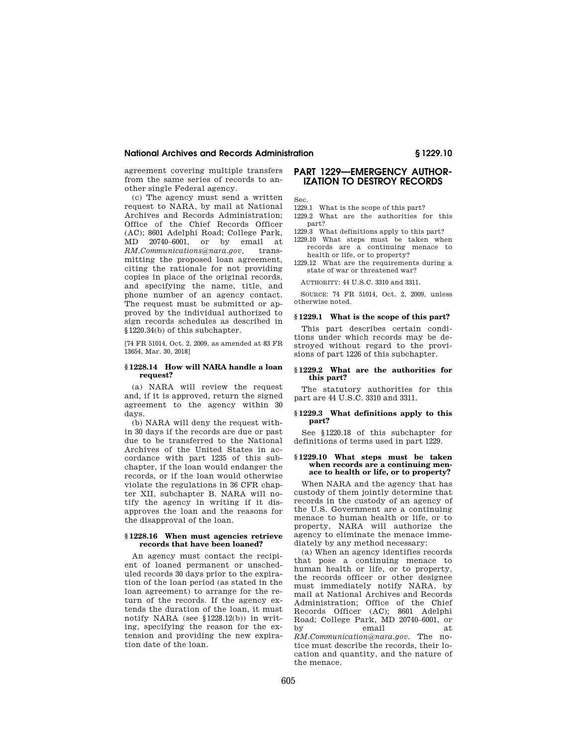#### **National Archives and Records Administration § 1229.10**

agreement covering multiple transfers from the same series of records to another single Federal agency.

(c) The agency must send a written request to NARA, by mail at National Archives and Records Administration; Office of the Chief Records Officer (AC); 8601 Adelphi Road; College Park, MD 20740–6001, or by email at *RM.Communications@nara.gov,* transmitting the proposed loan agreement, citing the rationale for not providing copies in place of the original records, and specifying the name, title, and phone number of an agency contact. The request must be submitted or approved by the individual authorized to sign records schedules as described in §1220.34(b) of this subchapter.

[74 FR 51014, Oct. 2, 2009, as amended at 83 FR 13654, Mar. 30, 2018]

# **§ 1228.14 How will NARA handle a loan request?**

(a) NARA will review the request and, if it is approved, return the signed agreement to the agency within 30 days.

(b) NARA will deny the request within 30 days if the records are due or past due to be transferred to the National Archives of the United States in accordance with part 1235 of this subchapter, if the loan would endanger the records, or if the loan would otherwise violate the regulations in 36 CFR chapter XII, subchapter B. NARA will notify the agency in writing if it disapproves the loan and the reasons for the disapproval of the loan.

#### **§ 1228.16 When must agencies retrieve records that have been loaned?**

An agency must contact the recipient of loaned permanent or unscheduled records 30 days prior to the expiration of the loan period (as stated in the loan agreement) to arrange for the return of the records. If the agency extends the duration of the loan, it must notify NARA (see  $$1228.12(b)$ ) in writing, specifying the reason for the extension and providing the new expiration date of the loan.

# **PART 1229—EMERGENCY AUTHOR-IZATION TO DESTROY RECORDS**

Sec.

- 1229.1 What is the scope of this part?
- 1229.2 What are the authorities for this part?
- 1229.3 What definitions apply to this part? 1229.10 What steps must be taken when
- records are a continuing menace to health or life, or to property?
- 1229.12 What are the requirements during a state of war or threatened war?

AUTHORITY: 44 U.S.C. 3310 and 3311.

SOURCE: 74 FR 51014, Oct. 2, 2009, unless otherwise noted.

#### **§ 1229.1 What is the scope of this part?**

This part describes certain conditions under which records may be destroyed without regard to the provisions of part 1226 of this subchapter.

#### **§ 1229.2 What are the authorities for this part?**

The statutory authorities for this part are 44 U.S.C. 3310 and 3311.

# **§ 1229.3 What definitions apply to this part?**

See §1220.18 of this subchapter for definitions of terms used in part 1229.

#### **§ 1229.10 What steps must be taken when records are a continuing menace to health or life, or to property?**

When NARA and the agency that has custody of them jointly determine that records in the custody of an agency of the U.S. Government are a continuing menace to human health or life, or to property, NARA will authorize the agency to eliminate the menace immediately by any method necessary:

(a) When an agency identifies records that pose a continuing menace to human health or life, or to property, the records officer or other designee must immediately notify NARA, by mail at National Archives and Records Administration; Office of the Chief Records Officer (AC); 8601 Adelphi Road; College Park, MD 20740–6001, or by email at *RM.Communication@nara.gov.* The notice must describe the records, their location and quantity, and the nature of the menace.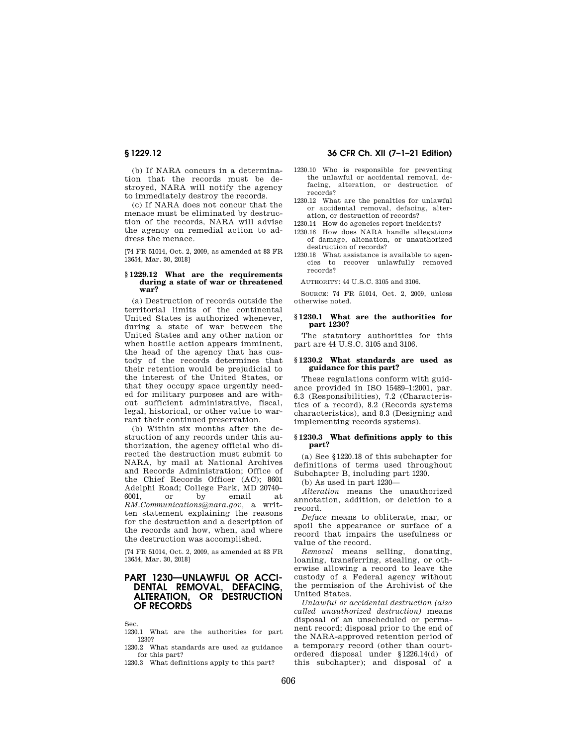(b) If NARA concurs in a determination that the records must be destroyed, NARA will notify the agency to immediately destroy the records.

(c) If NARA does not concur that the menace must be eliminated by destruction of the records, NARA will advise the agency on remedial action to address the menace.

[74 FR 51014, Oct. 2, 2009, as amended at 83 FR 13654, Mar. 30, 2018]

#### **§ 1229.12 What are the requirements during a state of war or threatened war?**

(a) Destruction of records outside the territorial limits of the continental United States is authorized whenever, during a state of war between the United States and any other nation or when hostile action appears imminent, the head of the agency that has custody of the records determines that their retention would be prejudicial to the interest of the United States, or that they occupy space urgently needed for military purposes and are without sufficient administrative, fiscal, legal, historical, or other value to warrant their continued preservation.

(b) Within six months after the destruction of any records under this authorization, the agency official who directed the destruction must submit to NARA, by mail at National Archives and Records Administration; Office of the Chief Records Officer (AC); 8601 Adelphi Road; College Park, MD 20740– 6001, or by email at *RM.Communications@nara.gov,* a written statement explaining the reasons for the destruction and a description of the records and how, when, and where the destruction was accomplished.

[74 FR 51014, Oct. 2, 2009, as amended at 83 FR 13654, Mar. 30, 2018]

# **PART 1230—UNLAWFUL OR ACCI-DENTAL REMOVAL, DEFACING<br>ALTERATION, OR DESTRUCTION OR DESTRUCTION OF RECORDS**

Sec.

1230.1 What are the authorities for part 1230?

1230.2 What standards are used as guidance for this part?

1230.3 What definitions apply to this part?

# **§ 1229.12 36 CFR Ch. XII (7–1–21 Edition)**

- 1230.10 Who is responsible for preventing the unlawful or accidental removal, defacing, alteration, or destruction of records?
- 1230.12 What are the penalties for unlawful or accidental removal, defacing, alteration, or destruction of records?

1230.14 How do agencies report incidents?

- 1230.16 How does NARA handle allegations of damage, alienation, or unauthorized destruction of records?
- 1230.18 What assistance is available to agencies to recover unlawfully removed records?

AUTHORITY: 44 U.S.C. 3105 and 3106.

SOURCE: 74 FR 51014, Oct. 2, 2009, unless otherwise noted.

#### **§ 1230.1 What are the authorities for part 1230?**

The statutory authorities for this part are 44 U.S.C. 3105 and 3106.

#### **§ 1230.2 What standards are used as guidance for this part?**

These regulations conform with guidance provided in ISO 15489–1:2001, par. 6.3 (Responsibilities), 7.2 (Characteristics of a record), 8.2 (Records systems characteristics), and 8.3 (Designing and implementing records systems).

#### **§ 1230.3 What definitions apply to this part?**

(a) See §1220.18 of this subchapter for definitions of terms used throughout Subchapter B, including part 1230.

(b) As used in part 1230—

*Alteration* means the unauthorized annotation, addition, or deletion to a record.

*Deface* means to obliterate, mar, or spoil the appearance or surface of a record that impairs the usefulness or value of the record.

*Removal* means selling, donating, loaning, transferring, stealing, or otherwise allowing a record to leave the custody of a Federal agency without the permission of the Archivist of the United States.

*Unlawful or accidental destruction (also called unauthorized destruction)* means disposal of an unscheduled or permanent record; disposal prior to the end of the NARA-approved retention period of a temporary record (other than courtordered disposal under §1226.14(d) of this subchapter); and disposal of a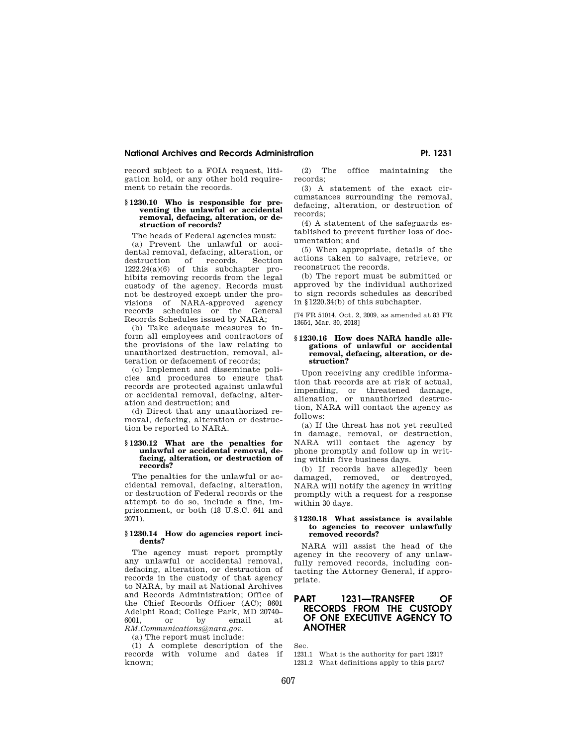# **National Archives and Records Administration Pt. 1231 Pt. 1231**

record subject to a FOIA request, litigation hold, or any other hold requirement to retain the records.

#### **§ 1230.10 Who is responsible for preventing the unlawful or accidental removal, defacing, alteration, or destruction of records?**

The heads of Federal agencies must:

(a) Prevent the unlawful or accidental removal, defacing, alteration, or destruction of records. Section 1222.24(a)(6) of this subchapter prohibits removing records from the legal custody of the agency. Records must not be destroyed except under the provisions of NARA-approved agency records schedules or the General Records Schedules issued by NARA;

(b) Take adequate measures to inform all employees and contractors of the provisions of the law relating to unauthorized destruction, removal, alteration or defacement of records;

(c) Implement and disseminate policies and procedures to ensure that records are protected against unlawful or accidental removal, defacing, alteration and destruction; and

(d) Direct that any unauthorized removal, defacing, alteration or destruction be reported to NARA.

# **§ 1230.12 What are the penalties for unlawful or accidental removal, defacing, alteration, or destruction of records?**

The penalties for the unlawful or accidental removal, defacing, alteration, or destruction of Federal records or the attempt to do so, include a fine, imprisonment, or both (18 U.S.C. 641 and 2071).

#### **§ 1230.14 How do agencies report incidents?**

The agency must report promptly any unlawful or accidental removal, defacing, alteration, or destruction of records in the custody of that agency to NARA, by mail at National Archives and Records Administration; Office of the Chief Records Officer (AC); 8601 Adelphi Road; College Park, MD 20740– 6001, or by email at *RM.Communications@nara.gov.* 

(a) The report must include:

(1) A complete description of the records with volume and dates if known;

(2) The office maintaining the records;

(3) A statement of the exact circumstances surrounding the removal, defacing, alteration, or destruction of records;

(4) A statement of the safeguards established to prevent further loss of documentation; and

(5) When appropriate, details of the actions taken to salvage, retrieve, or reconstruct the records.

(b) The report must be submitted or approved by the individual authorized to sign records schedules as described in §1220.34(b) of this subchapter.

[74 FR 51014, Oct. 2, 2009, as amended at 83 FR 13654, Mar. 30, 2018]

#### **§ 1230.16 How does NARA handle allegations of unlawful or accidental removal, defacing, alteration, or destruction?**

Upon receiving any credible information that records are at risk of actual, impending, or threatened damage, alienation, or unauthorized destruction, NARA will contact the agency as follows:

(a) If the threat has not yet resulted in damage, removal, or destruction, NARA will contact the agency by phone promptly and follow up in writing within five business days.

(b) If records have allegedly been damaged, removed, or destroyed, NARA will notify the agency in writing promptly with a request for a response within 30 days.

#### **§ 1230.18 What assistance is available to agencies to recover unlawfully removed records?**

NARA will assist the head of the agency in the recovery of any unlawfully removed records, including contacting the Attorney General, if appropriate.

# **PART 1231—TRANSFER OF RECORDS FROM THE CUSTODY OF ONE EXECUTIVE AGENCY TO ANOTHER**

Sec.

1231.1 What is the authority for part 1231? 1231.2 What definitions apply to this part?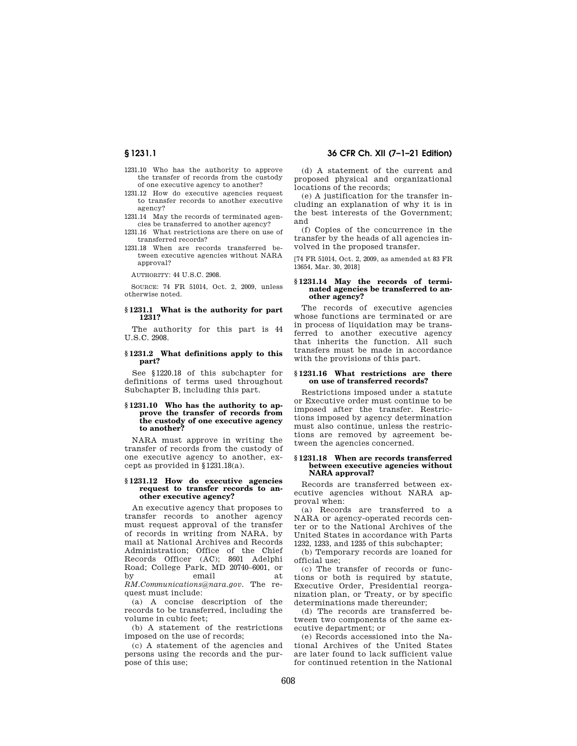- 
- 1231.10 Who has the authority to approve the transfer of records from the custody of one executive agency to another?
- 1231.12 How do executive agencies request to transfer records to another executive agency?
- 1231.14 May the records of terminated agencies be transferred to another agency?
- 1231.16 What restrictions are there on use of transferred records?
- 1231.18 When are records transferred between executive agencies without NARA approval?

AUTHORITY: 44 U.S.C. 2908.

SOURCE: 74 FR 51014, Oct. 2, 2009, unless otherwise noted.

#### **§ 1231.1 What is the authority for part 1231?**

The authority for this part is 44 U.S.C. 2908.

#### **§ 1231.2 What definitions apply to this part?**

See §1220.18 of this subchapter for definitions of terms used throughout Subchapter B, including this part.

#### **§ 1231.10 Who has the authority to approve the transfer of records from the custody of one executive agency to another?**

NARA must approve in writing the transfer of records from the custody of one executive agency to another, except as provided in §1231.18(a).

#### **§ 1231.12 How do executive agencies**  request to transfer records to an**other executive agency?**

An executive agency that proposes to transfer records to another agency must request approval of the transfer of records in writing from NARA, by mail at National Archives and Records Administration; Office of the Chief Records Officer (AC); 8601 Adelphi Road; College Park, MD 20740–6001, or by email at *RM.Communications@nara.gov.* The request must include:

(a) A concise description of the records to be transferred, including the volume in cubic feet;

(b) A statement of the restrictions imposed on the use of records;

(c) A statement of the agencies and persons using the records and the purpose of this use;

(d) A statement of the current and proposed physical and organizational locations of the records;

(e) A justification for the transfer including an explanation of why it is in the best interests of the Government; and

(f) Copies of the concurrence in the transfer by the heads of all agencies involved in the proposed transfer.

[74 FR 51014, Oct. 2, 2009, as amended at 83 FR 13654, Mar. 30, 2018]

#### **§ 1231.14 May the records of terminated agencies be transferred to another agency?**

The records of executive agencies whose functions are terminated or are in process of liquidation may be transferred to another executive agency that inherits the function. All such transfers must be made in accordance with the provisions of this part.

#### **§ 1231.16 What restrictions are there on use of transferred records?**

Restrictions imposed under a statute or Executive order must continue to be imposed after the transfer. Restrictions imposed by agency determination must also continue, unless the restrictions are removed by agreement between the agencies concerned.

#### **§ 1231.18 When are records transferred between executive agencies without NARA approval?**

Records are transferred between executive agencies without NARA approval when:

(a) Records are transferred to a NARA or agency-operated records center or to the National Archives of the United States in accordance with Parts 1232, 1233, and 1235 of this subchapter;

(b) Temporary records are loaned for official use;

(c) The transfer of records or functions or both is required by statute, Executive Order, Presidential reorganization plan, or Treaty, or by specific determinations made thereunder;

(d) The records are transferred between two components of the same executive department; or

(e) Records accessioned into the National Archives of the United States are later found to lack sufficient value for continued retention in the National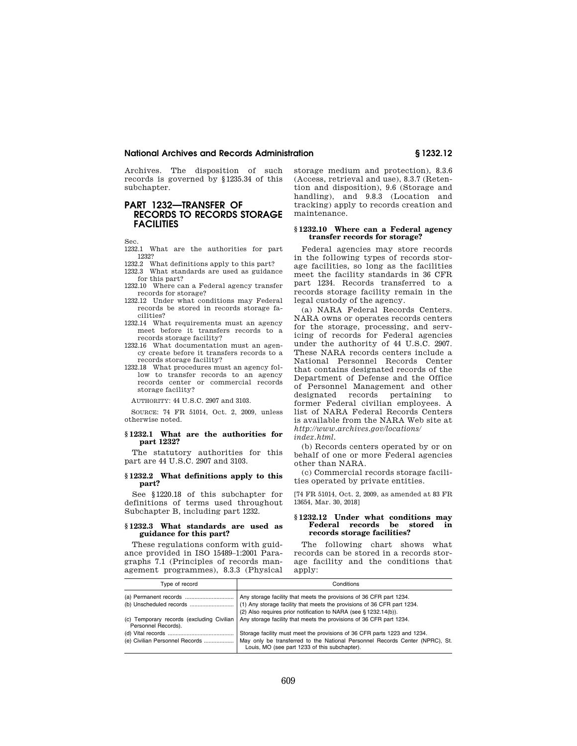#### **National Archives and Records Administration § 1232.12**

Archives. The disposition of such records is governed by §1235.34 of this subchapter.

# **PART 1232—TRANSFER OF RECORDS TO RECORDS STORAGE FACILITIES**

Sec.

1232.1 What are the authorities for part 1232?

- 1232.2 What definitions apply to this part? 1232.3 What standards are used as guidance
- for this part?
- 1232.10 Where can a Federal agency transfer records for storage?
- 1232.12 Under what conditions may Federal records be stored in records storage facilities?
- 1232.14 What requirements must an agency meet before it transfers records to a records storage facility?
- 1232.16 What documentation must an agency create before it transfers records to a records storage facility?
- 1232.18 What procedures must an agency follow to transfer records to an agency records center or commercial records storage facility?

AUTHORITY: 44 U.S.C. 2907 and 3103.

SOURCE: 74 FR 51014, Oct. 2, 2009, unless otherwise noted.

#### **§ 1232.1 What are the authorities for part 1232?**

The statutory authorities for this part are 44 U.S.C. 2907 and 3103.

#### **§ 1232.2 What definitions apply to this part?**

See §1220.18 of this subchapter for definitions of terms used throughout Subchapter B, including part 1232.

#### **§ 1232.3 What standards are used as guidance for this part?**

These regulations conform with guidance provided in ISO 15489–1:2001 Paragraphs 7.1 (Principles of records management programmes), 8.3.3 (Physical storage medium and protection), 8.3.6 (Access, retrieval and use), 8.3.7 (Retention and disposition), 9.6 (Storage and handling), and 9.8.3 (Location and tracking) apply to records creation and maintenance.

#### **§ 1232.10 Where can a Federal agency transfer records for storage?**

Federal agencies may store records in the following types of records storage facilities, so long as the facilities meet the facility standards in 36 CFR part 1234. Records transferred to a records storage facility remain in the legal custody of the agency.

(a) NARA Federal Records Centers. NARA owns or operates records centers for the storage, processing, and servicing of records for Federal agencies under the authority of 44 U.S.C. 2907. These NARA records centers include a National Personnel Records Center that contains designated records of the Department of Defense and the Office of Personnel Management and other designated records pertaining to former Federal civilian employees. A list of NARA Federal Records Centers is available from the NARA Web site at *http://www.archives.gov/locations/* 

*index.html.* 

(b) Records centers operated by or on behalf of one or more Federal agencies other than NARA.

(c) Commercial records storage facilities operated by private entities.

[74 FR 51014, Oct. 2, 2009, as amended at 83 FR 13654, Mar. 30, 2018]

#### **§ 1232.12 Under what conditions may Federal records be stored in records storage facilities?**

The following chart shows what records can be stored in a records storage facility and the conditions that apply:

| Type of record                 | Conditions                                                                                                                                                                                                |
|--------------------------------|-----------------------------------------------------------------------------------------------------------------------------------------------------------------------------------------------------------|
|                                | Any storage facility that meets the provisions of 36 CFR part 1234.<br>(2) Also requires prior notification to NARA (see § 1232.14(b)).                                                                   |
| Personnel Records).            | (c) Temporary records (excluding Civilian   Any storage facility that meets the provisions of 36 CFR part 1234.                                                                                           |
| (e) Civilian Personnel Records | Storage facility must meet the provisions of 36 CFR parts 1223 and 1234.<br>May only be transferred to the National Personnel Records Center (NPRC), St.<br>Louis, MO (see part 1233 of this subchapter). |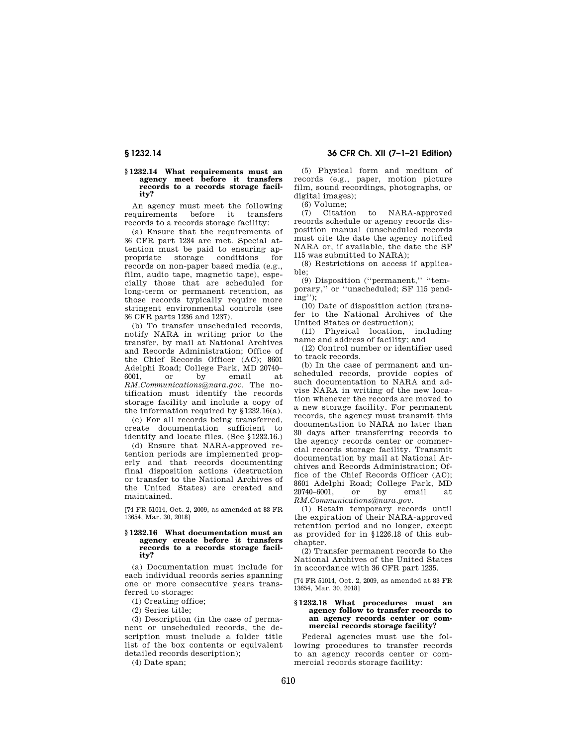#### **§ 1232.14 What requirements must an agency meet before it transfers records to a records storage facility?**

An agency must meet the following requirements before it transfers records to a records storage facility:

(a) Ensure that the requirements of 36 CFR part 1234 are met. Special attention must be paid to ensuring appropriate storage conditions for records on non-paper based media (e.g., film, audio tape, magnetic tape), especially those that are scheduled for long-term or permanent retention, as those records typically require more stringent environmental controls (see 36 CFR parts 1236 and 1237).

(b) To transfer unscheduled records, notify NARA in writing prior to the transfer, by mail at National Archives and Records Administration; Office of the Chief Records Officer (AC); 8601 Adelphi Road; College Park, MD 20740– 6001, or by email at *RM.Communications@nara.gov.* The notification must identify the records storage facility and include a copy of the information required by §1232.16(a).

(c) For all records being transferred, create documentation sufficient to identify and locate files. (See §1232.16.)

(d) Ensure that NARA-approved retention periods are implemented properly and that records documenting final disposition actions (destruction or transfer to the National Archives of the United States) are created and maintained.

[74 FR 51014, Oct. 2, 2009, as amended at 83 FR 13654, Mar. 30, 2018]

#### **§ 1232.16 What documentation must an agency create before it transfers records to a records storage facility?**

(a) Documentation must include for each individual records series spanning one or more consecutive years transferred to storage:

(1) Creating office;

(2) Series title;

(3) Description (in the case of permanent or unscheduled records, the description must include a folder title list of the box contents or equivalent detailed records description);

(4) Date span;

**§ 1232.14 36 CFR Ch. XII (7–1–21 Edition)** 

(5) Physical form and medium of records (e.g., paper, motion picture film, sound recordings, photographs, or digital images);

(6) Volume;

(7) Citation to NARA-approved records schedule or agency records disposition manual (unscheduled records must cite the date the agency notified NARA or, if available, the date the SF 115 was submitted to NARA);

(8) Restrictions on access if applicable;

(9) Disposition (''permanent,'' ''temporary,'' or ''unscheduled; SF 115 pending'');

(10) Date of disposition action (transfer to the National Archives of the United States or destruction);

(11) Physical location, including name and address of facility; and

(12) Control number or identifier used to track records.

(b) In the case of permanent and unscheduled records, provide copies of such documentation to NARA and advise NARA in writing of the new location whenever the records are moved to a new storage facility. For permanent records, the agency must transmit this documentation to NARA no later than 30 days after transferring records to the agency records center or commercial records storage facility. Transmit documentation by mail at National Archives and Records Administration; Office of the Chief Records Officer (AC); 8601 Adelphi Road; College Park, MD<br>20740-6001, or by email at 20740–6001, or by email at *RM.Communications@nara.gov.* 

(1) Retain temporary records until the expiration of their NARA-approved retention period and no longer, except as provided for in §1226.18 of this subchapter.

(2) Transfer permanent records to the National Archives of the United States in accordance with 36 CFR part 1235.

[74 FR 51014, Oct. 2, 2009, as amended at 83 FR 13654, Mar. 30, 2018]

#### §1232.18 What procedures must an **agency follow to transfer records to an agency records center or commercial records storage facility?**

Federal agencies must use the following procedures to transfer records to an agency records center or commercial records storage facility: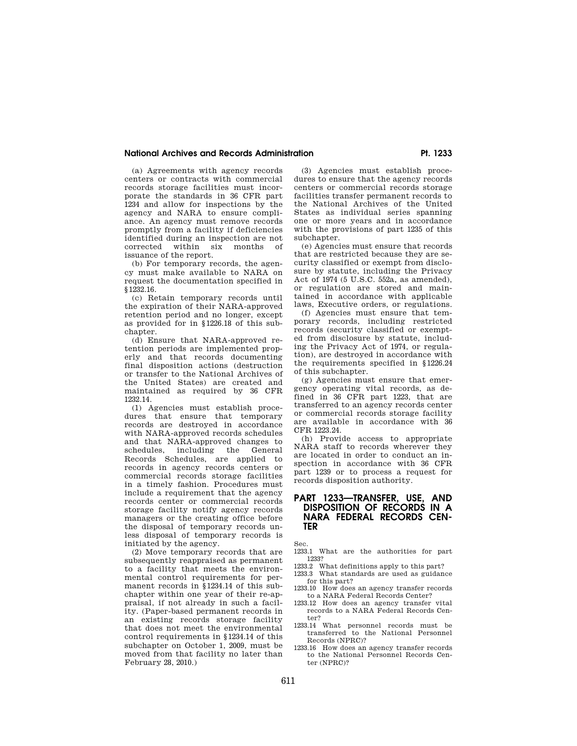# **National Archives and Records Administration Pt. 1233**

(a) Agreements with agency records centers or contracts with commercial records storage facilities must incorporate the standards in 36 CFR part 1234 and allow for inspections by the agency and NARA to ensure compliance. An agency must remove records promptly from a facility if deficiencies identified during an inspection are not corrected within six months of issuance of the report.

(b) For temporary records, the agency must make available to NARA on request the documentation specified in §1232.16.

(c) Retain temporary records until the expiration of their NARA-approved retention period and no longer, except as provided for in §1226.18 of this subchapter.

(d) Ensure that NARA-approved retention periods are implemented properly and that records documenting final disposition actions (destruction or transfer to the National Archives of the United States) are created and maintained as required by 36 CFR 1232.14.

(1) Agencies must establish procedures that ensure that temporary records are destroyed in accordance with NARA-approved records schedules and that NARA-approved changes to schedules, including the General Records Schedules, are applied to records in agency records centers or commercial records storage facilities in a timely fashion. Procedures must include a requirement that the agency records center or commercial records storage facility notify agency records managers or the creating office before the disposal of temporary records unless disposal of temporary records is initiated by the agency.

(2) Move temporary records that are subsequently reappraised as permanent to a facility that meets the environmental control requirements for permanent records in §1234.14 of this subchapter within one year of their re-appraisal, if not already in such a facility. (Paper-based permanent records in an existing records storage facility that does not meet the environmental control requirements in §1234.14 of this subchapter on October 1, 2009, must be moved from that facility no later than February 28, 2010.)

(3) Agencies must establish procedures to ensure that the agency records centers or commercial records storage facilities transfer permanent records to the National Archives of the United States as individual series spanning one or more years and in accordance with the provisions of part 1235 of this subchapter.

(e) Agencies must ensure that records that are restricted because they are security classified or exempt from disclosure by statute, including the Privacy Act of 1974 (5 U.S.C. 552a, as amended), or regulation are stored and maintained in accordance with applicable laws, Executive orders, or regulations.

(f) Agencies must ensure that temporary records, including restricted records (security classified or exempted from disclosure by statute, including the Privacy Act of 1974, or regulation), are destroyed in accordance with the requirements specified in §1226.24 of this subchapter.

(g) Agencies must ensure that emergency operating vital records, as defined in 36 CFR part 1223, that are transferred to an agency records center or commercial records storage facility are available in accordance with 36 CFR 1223.24.

(h) Provide access to appropriate NARA staff to records wherever they are located in order to conduct an inspection in accordance with 36 CFR part 1239 or to process a request for records disposition authority.

# **PART 1233—TRANSFER, USE, AND DISPOSITION OF RECORDS IN A NARA FEDERAL RECORDS CEN-TER**

Sec.

- 1233.1 What are the authorities for part 1233?
- 1233.2 What definitions apply to this part?
- 1233.3 What standards are used as guidance for this part?
- 1233.10 How does an agency transfer records to a NARA Federal Records Center?
- 1233.12 How does an agency transfer vital records to a NARA Federal Records Center?
- 1233.14 What personnel records must be transferred to the National Personnel Records (NPRC)?
- 1233.16 How does an agency transfer records to the National Personnel Records Center (NPRC)?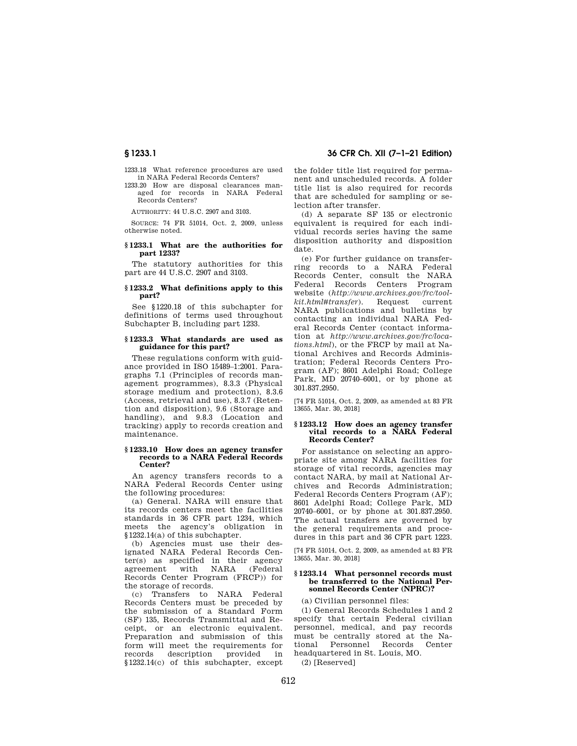1233.18 What reference procedures are used in NARA Federal Records Centers?

# 1233.20 How are disposal clearances managed for records in NARA Federal Records Centers?

AUTHORITY: 44 U.S.C. 2907 and 3103.

SOURCE: 74 FR 51014, Oct. 2, 2009, unless otherwise noted.

#### **§ 1233.1 What are the authorities for part 1233?**

The statutory authorities for this part are 44 U.S.C. 2907 and 3103.

#### **§ 1233.2 What definitions apply to this part?**

See §1220.18 of this subchapter for definitions of terms used throughout Subchapter B, including part 1233.

#### **§ 1233.3 What standards are used as guidance for this part?**

These regulations conform with guidance provided in ISO 15489–1:2001. Paragraphs 7.1 (Principles of records management programmes), 8.3.3 (Physical storage medium and protection), 8.3.6 (Access, retrieval and use), 8.3.7 (Retention and disposition), 9.6 (Storage and handling), and 9.8.3 (Location and tracking) apply to records creation and maintenance.

#### **§ 1233.10 How does an agency transfer records to a NARA Federal Records Center?**

An agency transfers records to a NARA Federal Records Center using the following procedures:

(a) General. NARA will ensure that its records centers meet the facilities standards in 36 CFR part 1234, which meets the agency's obligation in §1232.14(a) of this subchapter.

(b) Agencies must use their designated NARA Federal Records Center(s) as specified in their agency<br>agreement with NARA (Federal agreement with NARA Records Center Program (FRCP)) for the storage of records.

(c) Transfers to NARA Federal Records Centers must be preceded by the submission of a Standard Form (SF) 135, Records Transmittal and Receipt, or an electronic equivalent. Preparation and submission of this form will meet the requirements for records description provided in §1232.14(c) of this subchapter, except the folder title list required for permanent and unscheduled records. A folder title list is also required for records that are scheduled for sampling or selection after transfer.

(d) A separate SF 135 or electronic equivalent is required for each individual records series having the same disposition authority and disposition date.

(e) For further guidance on transferring records to a NARA Federal Records Center, consult the NARA<br>Federal Records Centers Program Records Centers Program website (*http://www.archives.gov/frc/toolkit.html#transfer*). Request current NARA publications and bulletins by contacting an individual NARA Federal Records Center (contact information at *http://www.archives.gov/frc/locations.html*), or the FRCP by mail at National Archives and Records Administration; Federal Records Centers Program (AF); 8601 Adelphi Road; College Park, MD 20740–6001, or by phone at 301.837.2950.

[74 FR 51014, Oct. 2, 2009, as amended at 83 FR 13655, Mar. 30, 2018]

#### **§ 1233.12 How does an agency transfer vital records to a NARA Federal Records Center?**

For assistance on selecting an appropriate site among NARA facilities for storage of vital records, agencies may contact NARA, by mail at National Archives and Records Administration; Federal Records Centers Program (AF); 8601 Adelphi Road; College Park, MD 20740–6001, or by phone at 301.837.2950. The actual transfers are governed by the general requirements and procedures in this part and 36 CFR part 1223.

[74 FR 51014, Oct. 2, 2009, as amended at 83 FR 13655, Mar. 30, 2018]

#### **§ 1233.14 What personnel records must be transferred to the National Personnel Records Center (NPRC)?**

(a) Civilian personnel files:

(1) General Records Schedules 1 and 2 specify that certain Federal civilian personnel, medical, and pay records must be centrally stored at the National Personnel Records Center headquartered in St. Louis, MO. (2) [Reserved]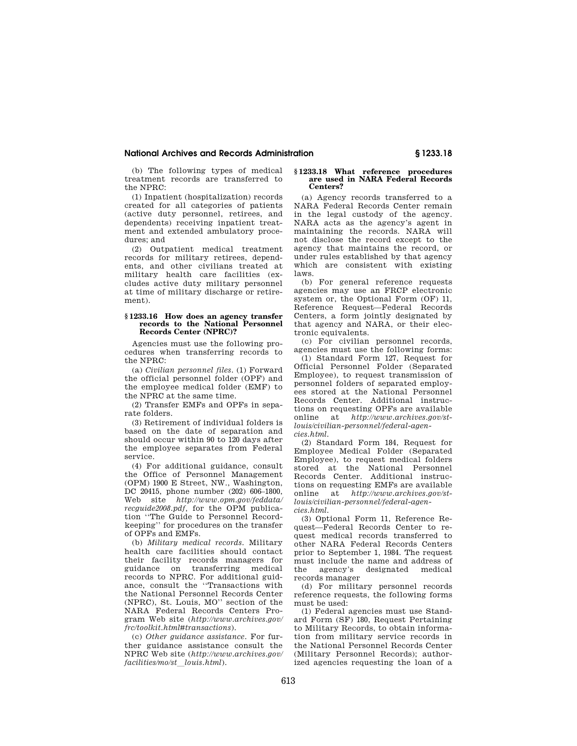# **National Archives and Records Administration § 1233.18**

(b) The following types of medical treatment records are transferred to the NPRC:

(1) Inpatient (hospitalization) records created for all categories of patients (active duty personnel, retirees, and dependents) receiving inpatient treatment and extended ambulatory procedures; and

(2) Outpatient medical treatment records for military retirees, dependents, and other civilians treated at military health care facilities (excludes active duty military personnel at time of military discharge or retirement).

#### **§ 1233.16 How does an agency transfer records to the National Personnel Records Center (NPRC)?**

Agencies must use the following procedures when transferring records to the NPRC:

(a) *Civilian personnel files.* (1) Forward the official personnel folder (OPF) and the employee medical folder (EMF) to the NPRC at the same time.

(2) Transfer EMFs and OPFs in separate folders.

(3) Retirement of individual folders is based on the date of separation and should occur within 90 to 120 days after the employee separates from Federal service.

(4) For additional guidance, consult the Office of Personnel Management (OPM) 1900 E Street, NW., Washington, DC 20415, phone number (202) 606–1800, Web site *http://www.opm.gov/feddata/ recguide2008.pdf,* for the OPM publication ''The Guide to Personnel Recordkeeping'' for procedures on the transfer of OPFs and EMFs.

(b) *Military medical records.* Military health care facilities should contact their facility records managers for guidance on transferring medical records to NPRC. For additional guidance, consult the ''Transactions with the National Personnel Records Center (NPRC), St. Louis, MO'' section of the NARA Federal Records Centers Program Web site (*http://www.archives.gov/ frc/toolkit.html#transactions*).

(c) *Other guidance assistance.* For further guidance assistance consult the NPRC Web site (*http://www.archives.gov/*   $facilities/molst$  *louis.html*).

#### **§ 1233.18 What reference procedures are used in NARA Federal Records Centers?**

(a) Agency records transferred to a NARA Federal Records Center remain in the legal custody of the agency. NARA acts as the agency's agent in maintaining the records. NARA will not disclose the record except to the agency that maintains the record, or under rules established by that agency which are consistent with existing laws.

(b) For general reference requests agencies may use an FRCP electronic system or, the Optional Form (OF) 11, Reference Request—Federal Records Centers, a form jointly designated by that agency and NARA, or their electronic equivalents.

(c) For civilian personnel records, agencies must use the following forms: (1) Standard Form 127, Request for Official Personnel Folder (Separated Employee), to request transmission of personnel folders of separated employees stored at the National Personnel Records Center. Additional instructions on requesting OPFs are available online at *http://www.archives.gov/stlouis/civilian-personnel/federal-agencies.html.* 

(2) Standard Form 184, Request for Employee Medical Folder (Separated Employee), to request medical folders stored at the National Personnel Records Center. Additional instructions on requesting EMFs are available<br>online at  $http://www.archive.gov/st$ http://www.archives.gov/st*louis/civilian-personnel/federal-agencies.html.* 

(3) Optional Form 11, Reference Request—Federal Records Center to request medical records transferred to other NARA Federal Records Centers prior to September 1, 1984. The request must include the name and address of the agency's designated medical records manager

(d) For military personnel records reference requests, the following forms must be used:

(1) Federal agencies must use Standard Form (SF) 180, Request Pertaining to Military Records, to obtain information from military service records in the National Personnel Records Center (Military Personnel Records); authorized agencies requesting the loan of a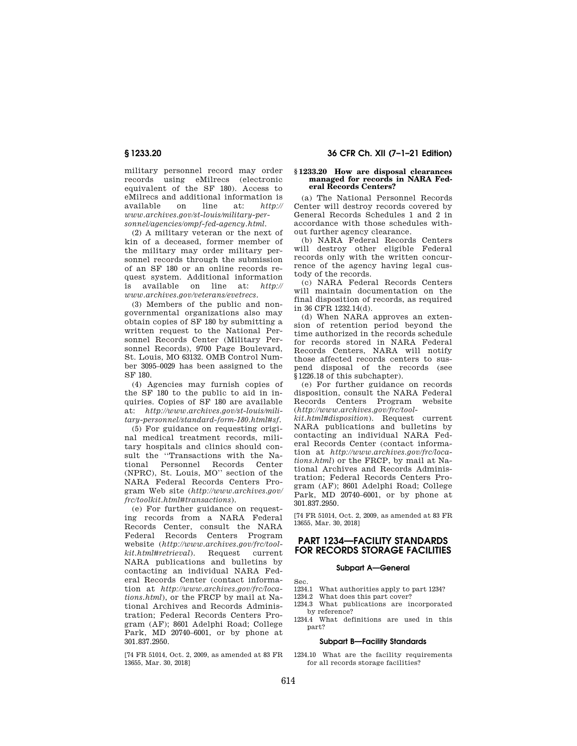military personnel record may order records using eMilrecs (electronic equivalent of the SF 180). Access to eMilrecs and additional information is available on line at: *http:// www.archives.gov/st-louis/military-personnel/agencies/ompf-fed-agency.html.* 

(2) A military veteran or the next of kin of a deceased, former member of the military may order military personnel records through the submission of an SF 180 or an online records request system. Additional information is available on line at: *http:// www.archives.gov/veterans/evetrecs.* 

(3) Members of the public and nongovernmental organizations also may obtain copies of SF 180 by submitting a written request to the National Personnel Records Center (Military Personnel Records), 9700 Page Boulevard, St. Louis, MO 63132. OMB Control Number 3095–0029 has been assigned to the SF 180.

(4) Agencies may furnish copies of the SF 180 to the public to aid in inquiries. Copies of SF 180 are available at: *http://www.archives.gov/st-louis/military-personnel/standard-form-180.html#sf.* 

(5) For guidance on requesting original medical treatment records, military hospitals and clinics should consult the ''Transactions with the National Personnel Records Center (NPRC), St. Louis, MO'' section of the NARA Federal Records Centers Program Web site (*http://www.archives.gov/ frc/toolkit.html#transactions*).

(e) For further guidance on requesting records from a NARA Federal Records Center, consult the NARA Federal Records Centers Program website (*http://www.archives.gov/frc/toolkit.html#retrieval*). Request current NARA publications and bulletins by contacting an individual NARA Federal Records Center (contact information at *http://www.archives.gov/frc/locations.html*), or the FRCP by mail at National Archives and Records Administration; Federal Records Centers Program (AF); 8601 Adelphi Road; College Park, MD 20740–6001, or by phone at 301.837.2950.

[74 FR 51014, Oct. 2, 2009, as amended at 83 FR 13655, Mar. 30, 2018]

# **§ 1233.20 36 CFR Ch. XII (7–1–21 Edition)**

#### **§ 1233.20 How are disposal clearances managed for records in NARA Federal Records Centers?**

(a) The National Personnel Records Center will destroy records covered by General Records Schedules 1 and 2 in accordance with those schedules without further agency clearance.

(b) NARA Federal Records Centers will destroy other eligible Federal records only with the written concurrence of the agency having legal custody of the records.

(c) NARA Federal Records Centers will maintain documentation on the final disposition of records, as required in 36 CFR 1232.14(d).

(d) When NARA approves an extension of retention period beyond the time authorized in the records schedule for records stored in NARA Federal Records Centers, NARA will notify those affected records centers to suspend disposal of the records (see §1226.18 of this subchapter).

(e) For further guidance on records disposition, consult the NARA Federal Records Centers Program website (*http://www.archives.gov/frc/tool-*

*kit.html#disposition*). Request current NARA publications and bulletins by contacting an individual NARA Federal Records Center (contact information at *http://www.archives.gov/frc/locations.html*) or the FRCP, by mail at National Archives and Records Administration; Federal Records Centers Program (AF); 8601 Adelphi Road; College Park, MD 20740–6001, or by phone at 301.837.2950.

[74 FR 51014, Oct. 2, 2009, as amended at 83 FR 13655, Mar. 30, 2018]

# **PART 1234—FACILITY STANDARDS FOR RECORDS STORAGE FACILITIES**

# **Subpart A—General**

- 1234.1 What authorities apply to part 1234?
- 1234.2 What does this part cover? 1234.3 What publications are incorporated
- by reference?
- 1234.4 What definitions are used in this part?

#### **Subpart B—Facility Standards**

1234.10 What are the facility requirements for all records storage facilities?

Sec.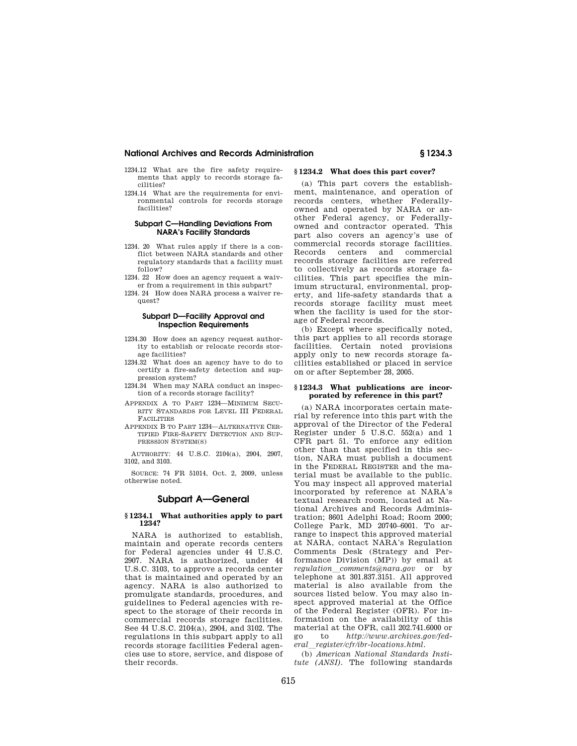# **National Archives and Records Administration § 1234.3**

- 1234.12 What are the fire safety requirements that apply to records storage facilities?
- 1234.14 What are the requirements for environmental controls for records storage facilities?

#### **Subpart C—Handling Deviations From NARA's Facility Standards**

- 1234. 20 What rules apply if there is a conflict between NARA standards and other regulatory standards that a facility must follow?
- 1234. 22 How does an agency request a waiver from a requirement in this subpart?
- 1234. 24 How does NARA process a waiver request?

#### **Subpart D—Facility Approval and Inspection Requirements**

- 1234.30 How does an agency request authority to establish or relocate records storage facilities?
- 1234.32 What does an agency have to do to certify a fire-safety detection and suppression system?
- 1234.34 When may NARA conduct an inspection of a records storage facility?
- APPENDIX A TO PART 1234—MINIMUM SECU-RITY STANDARDS FOR LEVEL III FEDERAL **FACILITIES**
- APPENDIX B TO PART 1234—ALTERNATIVE CER-TIFIED FIRE-SAFETY DETECTION AND SUP-PRESSION SYSTEM(S)

AUTHORITY: 44 U.S.C. 2104(a), 2904, 2907, 3102, and 3103.

SOURCE: 74 FR 51014, Oct. 2, 2009, unless otherwise noted.

# **Subpart A—General**

#### **§ 1234.1 What authorities apply to part 1234?**

NARA is authorized to establish, maintain and operate records centers for Federal agencies under 44 U.S.C. 2907. NARA is authorized, under 44 U.S.C. 3103, to approve a records center that is maintained and operated by an agency. NARA is also authorized to promulgate standards, procedures, and guidelines to Federal agencies with respect to the storage of their records in commercial records storage facilities. See 44 U.S.C. 2104(a), 2904, and 3102. The regulations in this subpart apply to all records storage facilities Federal agencies use to store, service, and dispose of their records.

#### **§ 1234.2 What does this part cover?**

(a) This part covers the establishment, maintenance, and operation of records centers, whether Federallyowned and operated by NARA or another Federal agency, or Federallyowned and contractor operated. This part also covers an agency's use of commercial records storage facilities. Records centers and commercial records storage facilities are referred to collectively as records storage facilities. This part specifies the minimum structural, environmental, property, and life-safety standards that a records storage facility must meet when the facility is used for the storage of Federal records.

(b) Except where specifically noted, this part applies to all records storage facilities. Certain noted provisions apply only to new records storage facilities established or placed in service on or after September 28, 2005.

#### **§ 1234.3 What publications are incorporated by reference in this part?**

(a) NARA incorporates certain material by reference into this part with the approval of the Director of the Federal Register under 5 U.S.C. 552(a) and 1 CFR part 51. To enforce any edition other than that specified in this section, NARA must publish a document in the FEDERAL REGISTER and the material must be available to the public. You may inspect all approved material incorporated by reference at NARA's textual research room, located at National Archives and Records Administration; 8601 Adelphi Road; Room 2000; College Park, MD 20740–6001. To arrange to inspect this approved material at NARA, contact NARA's Regulation Comments Desk (Strategy and Performance Division (MP)) by email at *regulation*l*comments@nara.gov* or by telephone at 301.837.3151. All approved material is also available from the sources listed below. You may also inspect approved material at the Office of the Federal Register (OFR). For information on the availability of this material at the OFR, call 202.741.6000 or go to *http://www.archives.gov/federal*l*register/cfr/ibr-locations.html.* 

(b) *American National Standards Institute (ANSI).* The following standards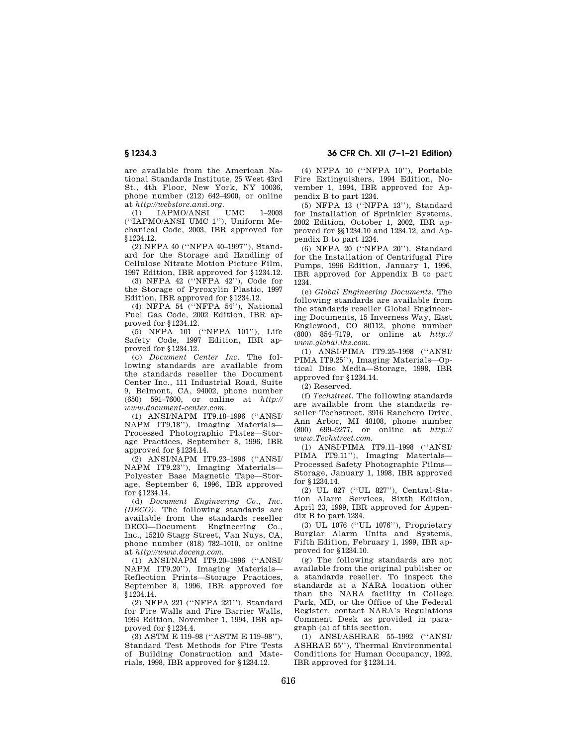are available from the American National Standards Institute, 25 West 43rd St., 4th Floor, New York, NY 10036, phone number (212) 642–4900, or online at *http://webstore.ansi.org.*<br>
(1) IAPMO/ANSI UMC

(1) IAPMO/ANSI UMC 1–2003 (''IAPMO/ANSI UMC 1''), Uniform Mechanical Code, 2003, IBR approved for §1234.12.

(2) NFPA 40 (''NFPA 40–1997''), Standard for the Storage and Handling of Cellulose Nitrate Motion Picture Film, 1997 Edition, IBR approved for §1234.12.

(3) NFPA 42 (''NFPA 42''), Code for the Storage of Pyroxylin Plastic, 1997 Edition, IBR approved for §1234.12.

(4) NFPA 54 (''NFPA 54''), National Fuel Gas Code, 2002 Edition, IBR approved for §1234.12.

(5) NFPA 101 (''NFPA 101''), Life Safety Code, 1997 Edition, IBR approved for §1234.12.

(c) *Document Center Inc.* The following standards are available from the standards reseller the Document Center Inc., 111 Industrial Road, Suite 9, Belmont, CA, 94002, phone number (650) 591–7600, or online at *http:// www.document-center.com.* 

(1) ANSI/NAPM IT9.18–1996 (''ANSI/ NAPM IT9.18''), Imaging Materials— Processed Photographic Plates—Storage Practices, September 8, 1996, IBR approved for §1234.14.

(2) ANSI/NAPM IT9.23–1996 (''ANSI/ NAPM IT9.23''), Imaging Materials— Polyester Base Magnetic Tape—Storage, September 6, 1996, IBR approved for §1234.14.

(d) *Document Engineering Co., Inc. (DECO).* The following standards are available from the standards reseller DECO—Document Engineering Co., Inc., 15210 Stagg Street, Van Nuys, CA, phone number (818) 782–1010, or online at *http://www.doceng.com.* 

(1) ANSI/NAPM IT9.20–1996 (''ANSI/ NAPM IT9.20''), Imaging Materials— Reflection Prints—Storage Practices, September 8, 1996, IBR approved for §1234.14.

(2) NFPA 221 (''NFPA 221''), Standard for Fire Walls and Fire Barrier Walls, 1994 Edition, November 1, 1994, IBR approved for §1234.4.

(3) ASTM E 119–98 (''ASTM E 119–98''), Standard Test Methods for Fire Tests of Building Construction and Materials, 1998, IBR approved for §1234.12.

**§ 1234.3 36 CFR Ch. XII (7–1–21 Edition)** 

(4) NFPA 10 (''NFPA 10''), Portable Fire Extinguishers, 1994 Edition, November 1, 1994, IBR approved for Appendix B to part 1234.

(5) NFPA 13 (''NFPA 13''), Standard for Installation of Sprinkler Systems, 2002 Edition, October 1, 2002, IBR approved for §§1234.10 and 1234.12, and Appendix B to part 1234.

(6) NFPA 20 (''NFPA 20''), Standard for the Installation of Centrifugal Fire Pumps, 1996 Edition, January 1, 1996, IBR approved for Appendix B to part 1234.

(e) *Global Engineering Documents.* The following standards are available from the standards reseller Global Engineering Documents, 15 Inverness Way, East Englewood, CO 80112, phone number (800) 854–7179, or online at *http:// www.global.ihs.com.* 

(1) ANSI/PIMA IT9.25–1998 (''ANSI/ PIMA IT9.25''), Imaging Materials—Optical Disc Media—Storage, 1998, IBR approved for §1234.14.

(2) Reserved.

(f) *Techstreet.* The following standards are available from the standards reseller Techstreet, 3916 Ranchero Drive, Ann Arbor, MI 48108, phone number (800) 699–9277, or online at *http:// www.Techstreet.com.* 

(1) ANSI/PIMA IT9.11–1998 (''ANSI/ PIMA IT9.11''), Imaging Materials— Processed Safety Photographic Films— Storage, January 1, 1998, IBR approved for §1234.14.

(2) UL 827 (''UL 827''), Central-Station Alarm Services, Sixth Edition, April 23, 1999, IBR approved for Appendix B to part 1234.

(3) UL 1076 (''UL 1076''), Proprietary Burglar Alarm Units and Systems, Fifth Edition, February 1, 1999, IBR approved for §1234.10.

(g) The following standards are not available from the original publisher or a standards reseller. To inspect the standards at a NARA location other than the NARA facility in College Park, MD, or the Office of the Federal Register, contact NARA's Regulations Comment Desk as provided in paragraph (a) of this section.

(1) ANSI/ASHRAE 55–1992 (''ANSI/ ASHRAE 55''), Thermal Environmental Conditions for Human Occupancy, 1992, IBR approved for §1234.14.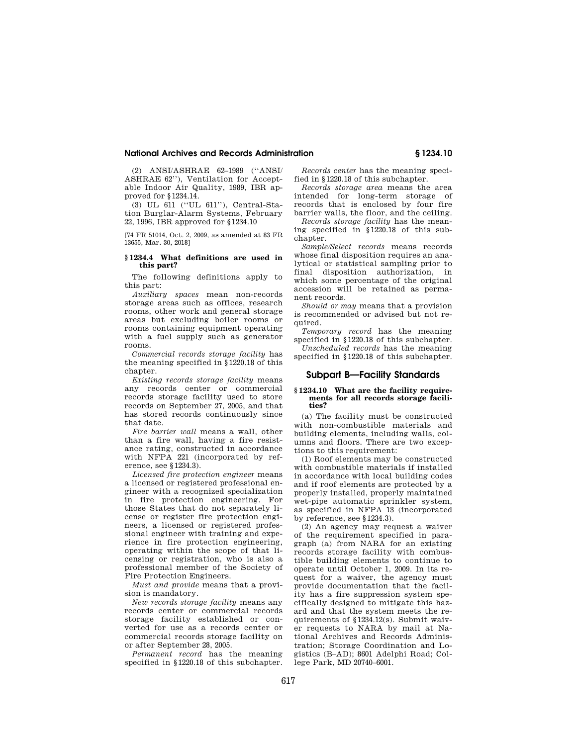## **National Archives and Records Administration § 1234.10**

(2) ANSI/ASHRAE 62–1989 (''ANSI/ ASHRAE 62''), Ventilation for Acceptable Indoor Air Quality, 1989, IBR approved for §1234.14.

(3) UL 611 (''UL 611''), Central-Station Burglar-Alarm Systems, February 22, 1996, IBR approved for §1234.10

[74 FR 51014, Oct. 2, 2009, as amended at 83 FR 13655, Mar. 30, 2018]

#### **§ 1234.4 What definitions are used in this part?**

The following definitions apply to this part:

*Auxiliary spaces* mean non-records storage areas such as offices, research rooms, other work and general storage areas but excluding boiler rooms or rooms containing equipment operating with a fuel supply such as generator rooms.

*Commercial records storage facility* has the meaning specified in §1220.18 of this chapter

*Existing records storage facility* means any records center or commercial records storage facility used to store records on September 27, 2005, and that has stored records continuously since that date.

*Fire barrier wall* means a wall, other than a fire wall, having a fire resistance rating, constructed in accordance with NFPA 221 (incorporated by reference, see §1234.3).

*Licensed fire protection engineer* means a licensed or registered professional engineer with a recognized specialization in fire protection engineering. For those States that do not separately license or register fire protection engineers, a licensed or registered professional engineer with training and experience in fire protection engineering, operating within the scope of that licensing or registration, who is also a professional member of the Society of Fire Protection Engineers.

*Must and provide* means that a provision is mandatory.

*New records storage facility* means any records center or commercial records storage facility established or converted for use as a records center or commercial records storage facility on or after September 28, 2005.

*Permanent record* has the meaning specified in §1220.18 of this subchapter.

*Records center* has the meaning specified in §1220.18 of this subchapter.

*Records storage area* means the area intended for long-term storage of records that is enclosed by four fire barrier walls, the floor, and the ceiling.

*Records storage facility* has the meaning specified in §1220.18 of this subchapter.

*Sample/Select records* means records whose final disposition requires an analytical or statistical sampling prior to final disposition authorization, in which some percentage of the original accession will be retained as permanent records.

*Should or may* means that a provision is recommended or advised but not required.

*Temporary record* has the meaning specified in §1220.18 of this subchapter.

*Unscheduled records* has the meaning specified in §1220.18 of this subchapter.

## **Subpart B—Facility Standards**

#### **§ 1234.10 What are the facility requirements for all records storage facilities?**

(a) The facility must be constructed with non-combustible materials and building elements, including walls, columns and floors. There are two exceptions to this requirement:

(1) Roof elements may be constructed with combustible materials if installed in accordance with local building codes and if roof elements are protected by a properly installed, properly maintained wet-pipe automatic sprinkler system, as specified in NFPA 13 (incorporated by reference, see §1234.3).

(2) An agency may request a waiver of the requirement specified in paragraph (a) from NARA for an existing records storage facility with combustible building elements to continue to operate until October 1, 2009. In its request for a waiver, the agency must provide documentation that the facility has a fire suppression system specifically designed to mitigate this hazard and that the system meets the requirements of §1234.12(s). Submit waiver requests to NARA by mail at National Archives and Records Administration; Storage Coordination and Logistics (B–AD); 8601 Adelphi Road; College Park, MD 20740–6001.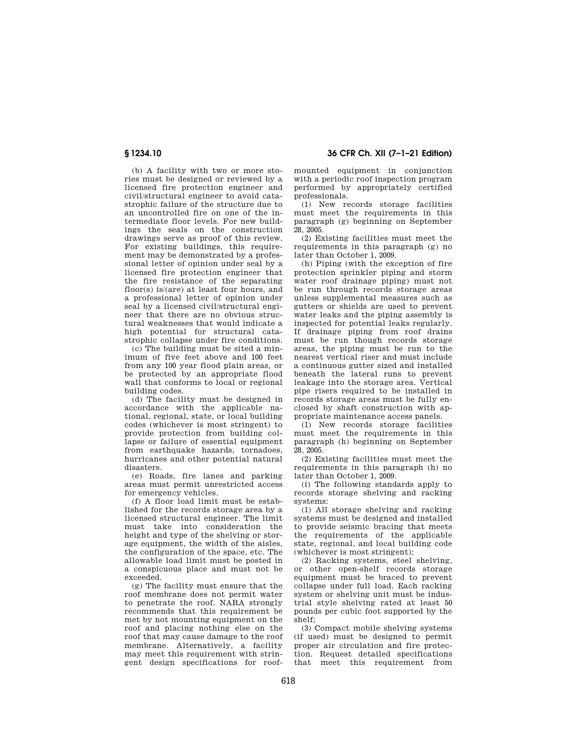(b) A facility with two or more stories must be designed or reviewed by a licensed fire protection engineer and civil/structural engineer to avoid catastrophic failure of the structure due to an uncontrolled fire on one of the intermediate floor levels. For new buildings the seals on the construction drawings serve as proof of this review. For existing buildings, this requirement may be demonstrated by a professional letter of opinion under seal by a licensed fire protection engineer that the fire resistance of the separating floor(s) is/(are) at least four hours, and a professional letter of opinion under seal by a licensed civil/structural engineer that there are no obvious structural weaknesses that would indicate a high potential for structural catastrophic collapse under fire conditions.

(c) The building must be sited a minimum of five feet above and 100 feet from any 100 year flood plain areas, or be protected by an appropriate flood wall that conforms to local or regional building codes.

(d) The facility must be designed in accordance with the applicable national, regional, state, or local building codes (whichever is most stringent) to provide protection from building collapse or failure of essential equipment from earthquake hazards, tornadoes, hurricanes and other potential natural disasters.

(e) Roads, fire lanes and parking areas must permit unrestricted access for emergency vehicles.

(f) A floor load limit must be established for the records storage area by a licensed structural engineer. The limit must take into consideration the height and type of the shelving or storage equipment, the width of the aisles, the configuration of the space, etc. The allowable load limit must be posted in a conspicuous place and must not be exceeded.

(g) The facility must ensure that the roof membrane does not permit water to penetrate the roof. NARA strongly recommends that this requirement be met by not mounting equipment on the roof and placing nothing else on the roof that may cause damage to the roof membrane. Alternatively, a facility may meet this requirement with stringent design specifications for roof-

**§ 1234.10 36 CFR Ch. XII (7–1–21 Edition)** 

mounted equipment in conjunction with a periodic roof inspection program performed by appropriately certified professionals.

(1) New records storage facilities must meet the requirements in this paragraph (g) beginning on September 28, 2005.

(2) Existing facilities must meet the requirements in this paragraph (g) no later than October 1, 2009.

(h) Piping (with the exception of fire protection sprinkler piping and storm water roof drainage piping) must not be run through records storage areas unless supplemental measures such as gutters or shields are used to prevent water leaks and the piping assembly is inspected for potential leaks regularly. If drainage piping from roof drains must be run though records storage areas, the piping must be run to the nearest vertical riser and must include a continuous gutter sized and installed beneath the lateral runs to prevent leakage into the storage area. Vertical pipe risers required to be installed in records storage areas must be fully enclosed by shaft construction with appropriate maintenance access panels.

(1) New records storage facilities must meet the requirements in this paragraph (h) beginning on September 28, 2005.

(2) Existing facilities must meet the requirements in this paragraph (h) no later than October 1, 2009.

(i) The following standards apply to records storage shelving and racking systems:

(1) All storage shelving and racking systems must be designed and installed to provide seismic bracing that meets the requirements of the applicable state, regional, and local building code (whichever is most stringent);

(2) Racking systems, steel shelving, or other open-shelf records storage equipment must be braced to prevent collapse under full load. Each racking system or shelving unit must be industrial style shelving rated at least 50 pounds per cubic foot supported by the  $shelf$ 

(3) Compact mobile shelving systems (if used) must be designed to permit proper air circulation and fire protection. Request detailed specifications that meet this requirement from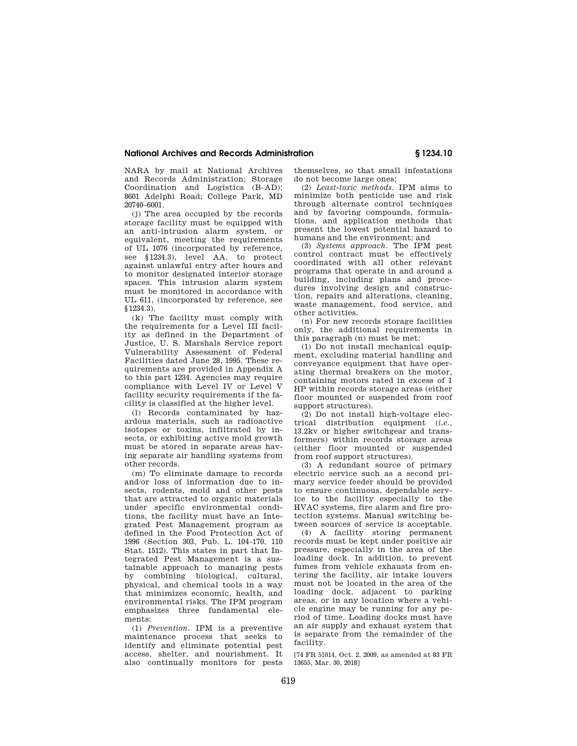## **National Archives and Records Administration § 1234.10**

NARA by mail at National Archives and Records Administration; Storage Coordination and Logistics (B–AD); 8601 Adelphi Road; College Park, MD 20740–6001.

(j) The area occupied by the records storage facility must be equipped with an anti-intrusion alarm system, or equivalent, meeting the requirements of UL 1076 (incorporated by reference, see §1234.3), level AA, to protect against unlawful entry after hours and to monitor designated interior storage spaces. This intrusion alarm system must be monitored in accordance with UL 611, (incorporated by reference, see §1234.3).

(k) The facility must comply with the requirements for a Level III facility as defined in the Department of Justice, U. S. Marshals Service report Vulnerability Assessment of Federal Facilities dated June 28, 1995. These requirements are provided in Appendix A to this part 1234. Agencies may require compliance with Level IV or Level V facility security requirements if the facility is classified at the higher level.

(l) Records contaminated by hazardous materials, such as radioactive isotopes or toxins, infiltrated by insects, or exhibiting active mold growth must be stored in separate areas having separate air handling systems from other records.

(m) To eliminate damage to records and/or loss of information due to insects, rodents, mold and other pests that are attracted to organic materials under specific environmental conditions, the facility must have an Integrated Pest Management program as defined in the Food Protection Act of 1996 (Section 303, Pub. L. 104–170, 110 Stat. 1512). This states in part that Integrated Pest Management is a sustainable approach to managing pests by combining biological, cultural, physical, and chemical tools in a way that minimizes economic, health, and environmental risks. The IPM program emphasizes three fundamental elements:

(1) *Prevention.* IPM is a preventive maintenance process that seeks to identify and eliminate potential pest access, shelter, and nourishment. It also continually monitors for pests

themselves, so that small infestations do not become large ones;

(2) *Least-toxic methods.* IPM aims to minimize both pesticide use and risk through alternate control techniques and by favoring compounds, formulations, and application methods that present the lowest potential hazard to humans and the environment; and

(3) *Systems approach.* The IPM pest control contract must be effectively coordinated with all other relevant programs that operate in and around a building, including plans and procedures involving design and construction, repairs and alterations, cleaning, waste management, food service, and other activities.

(n) For new records storage facilities only, the additional requirements in this paragraph (n) must be met:

 $(1)$  Do not install mechanical equipment, excluding material handling and conveyance equipment that have operating thermal breakers on the motor, containing motors rated in excess of 1 HP within records storage areas (either floor mounted or suspended from roof support structures).

(2) Do not install high-voltage electrical distribution equipment (*i.e.,*  13.2kv or higher switchgear and transformers) within records storage areas (either floor mounted or suspended from roof support structures).

(3) A redundant source of primary electric service such as a second primary service feeder should be provided to ensure continuous, dependable service to the facility especially to the HVAC systems, fire alarm and fire protection systems. Manual switching between sources of service is acceptable.

(4) A facility storing permanent records must be kept under positive air pressure, especially in the area of the loading dock. In addition, to prevent fumes from vehicle exhausts from entering the facility, air intake louvers must not be located in the area of the loading dock, adjacent to parking areas, or in any location where a vehicle engine may be running for any period of time. Loading docks must have an air supply and exhaust system that is separate from the remainder of the facility.

[74 FR 51014, Oct. 2, 2009, as amended at 83 FR 13655, Mar. 30, 2018]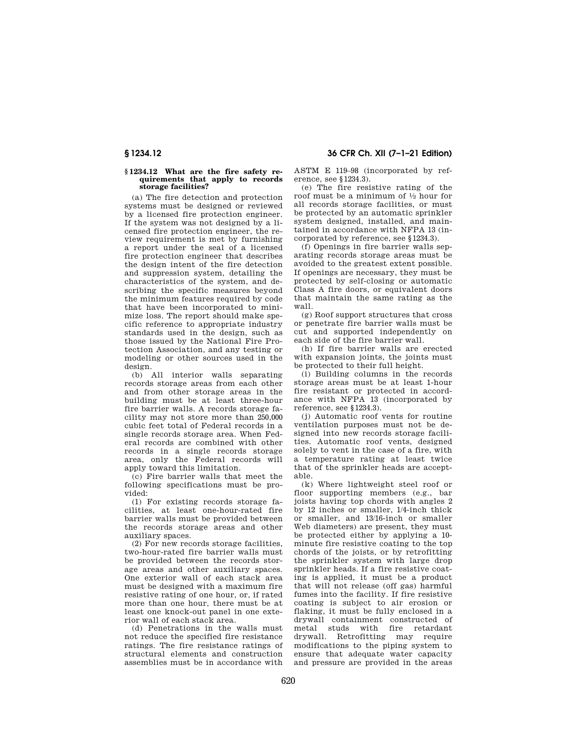#### **§ 1234.12 What are the fire safety requirements that apply to records storage facilities?**

(a) The fire detection and protection systems must be designed or reviewed by a licensed fire protection engineer. If the system was not designed by a licensed fire protection engineer, the review requirement is met by furnishing a report under the seal of a licensed fire protection engineer that describes the design intent of the fire detection and suppression system, detailing the characteristics of the system, and describing the specific measures beyond the minimum features required by code that have been incorporated to minimize loss. The report should make specific reference to appropriate industry standards used in the design, such as those issued by the National Fire Protection Association, and any testing or modeling or other sources used in the design.

(b) All interior walls separating records storage areas from each other and from other storage areas in the building must be at least three-hour fire barrier walls. A records storage facility may not store more than 250,000 cubic feet total of Federal records in a single records storage area. When Federal records are combined with other records in a single records storage area, only the Federal records will apply toward this limitation.

(c) Fire barrier walls that meet the following specifications must be provided:

(1) For existing records storage facilities, at least one-hour-rated fire barrier walls must be provided between the records storage areas and other auxiliary spaces.

(2) For new records storage facilities, two-hour-rated fire barrier walls must be provided between the records storage areas and other auxiliary spaces. One exterior wall of each stack area must be designed with a maximum fire resistive rating of one hour, or, if rated more than one hour, there must be at least one knock-out panel in one exterior wall of each stack area.

(d) Penetrations in the walls must not reduce the specified fire resistance ratings. The fire resistance ratings of structural elements and construction assemblies must be in accordance with

**§ 1234.12 36 CFR Ch. XII (7–1–21 Edition)** 

ASTM E 119–98 (incorporated by reference, see §1234.3).

(e) The fire resistive rating of the roof must be a minimum of 1⁄2 hour for all records storage facilities, or must be protected by an automatic sprinkler system designed, installed, and maintained in accordance with NFPA 13 (incorporated by reference, see §1234.3).

(f) Openings in fire barrier walls separating records storage areas must be avoided to the greatest extent possible. If openings are necessary, they must be protected by self-closing or automatic Class A fire doors, or equivalent doors that maintain the same rating as the wall.

(g) Roof support structures that cross or penetrate fire barrier walls must be cut and supported independently on each side of the fire barrier wall.

(h) If fire barrier walls are erected with expansion joints, the joints must be protected to their full height.

(i) Building columns in the records storage areas must be at least 1-hour fire resistant or protected in accordance with NFPA 13 (incorporated by reference, see §1234.3).

(j) Automatic roof vents for routine ventilation purposes must not be designed into new records storage facilities. Automatic roof vents, designed solely to vent in the case of a fire, with a temperature rating at least twice that of the sprinkler heads are acceptable.

(k) Where lightweight steel roof or floor supporting members (e.g., bar joists having top chords with angles 2 by 12 inches or smaller, 1/4-inch thick or smaller, and 13/16-inch or smaller Web diameters) are present, they must be protected either by applying a 10 minute fire resistive coating to the top chords of the joists, or by retrofitting the sprinkler system with large drop sprinkler heads. If a fire resistive coating is applied, it must be a product that will not release (off gas) harmful fumes into the facility. If fire resistive coating is subject to air erosion or flaking, it must be fully enclosed in a drywall containment constructed of metal studs with fire retardant drywall. Retrofitting may require modifications to the piping system to ensure that adequate water capacity and pressure are provided in the areas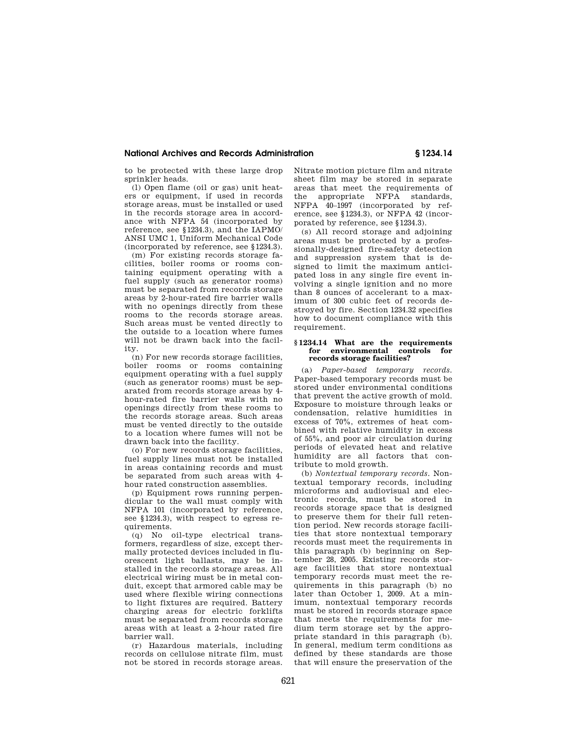## **National Archives and Records Administration § 1234.14**

to be protected with these large drop sprinkler heads.

(l) Open flame (oil or gas) unit heaters or equipment, if used in records storage areas, must be installed or used in the records storage area in accordance with NFPA 54 (incorporated by reference, see §1234.3), and the IAPMO/ ANSI UMC 1, Uniform Mechanical Code (incorporated by reference, see §1234.3).

(m) For existing records storage facilities, boiler rooms or rooms containing equipment operating with a fuel supply (such as generator rooms) must be separated from records storage areas by 2-hour-rated fire barrier walls with no openings directly from these rooms to the records storage areas. Such areas must be vented directly to the outside to a location where fumes will not be drawn back into the facility.

(n) For new records storage facilities, boiler rooms or rooms containing equipment operating with a fuel supply (such as generator rooms) must be separated from records storage areas by 4 hour-rated fire barrier walls with no openings directly from these rooms to the records storage areas. Such areas must be vented directly to the outside to a location where fumes will not be drawn back into the facility.

(o) For new records storage facilities, fuel supply lines must not be installed in areas containing records and must be separated from such areas with 4 hour rated construction assemblies.

(p) Equipment rows running perpendicular to the wall must comply with NFPA 101 (incorporated by reference, see §1234.3), with respect to egress requirements.

(q) No oil-type electrical transformers, regardless of size, except thermally protected devices included in fluorescent light ballasts, may be installed in the records storage areas. All electrical wiring must be in metal conduit, except that armored cable may be used where flexible wiring connections to light fixtures are required. Battery charging areas for electric forklifts must be separated from records storage areas with at least a 2-hour rated fire barrier wall.

(r) Hazardous materials, including records on cellulose nitrate film, must not be stored in records storage areas. Nitrate motion picture film and nitrate sheet film may be stored in separate areas that meet the requirements of the appropriate NFPA standards, NFPA 40–1997 (incorporated by reference, see §1234.3), or NFPA 42 (incorporated by reference, see §1234.3).

(s) All record storage and adjoining areas must be protected by a professionally-designed fire-safety detection and suppression system that is designed to limit the maximum anticipated loss in any single fire event involving a single ignition and no more than 8 ounces of accelerant to a maximum of 300 cubic feet of records destroyed by fire. Section 1234.32 specifies how to document compliance with this requirement.

#### **§ 1234.14 What are the requirements for environmental controls for records storage facilities?**

(a) *Paper-based temporary records.*  Paper-based temporary records must be stored under environmental conditions that prevent the active growth of mold. Exposure to moisture through leaks or condensation, relative humidities in excess of 70%, extremes of heat combined with relative humidity in excess of 55%, and poor air circulation during periods of elevated heat and relative humidity are all factors that contribute to mold growth.

(b) *Nontextual temporary records.* Nontextual temporary records, including microforms and audiovisual and electronic records, must be stored in records storage space that is designed to preserve them for their full retention period. New records storage facilities that store nontextual temporary records must meet the requirements in this paragraph (b) beginning on September 28, 2005. Existing records storage facilities that store nontextual temporary records must meet the requirements in this paragraph (b) no later than October 1, 2009. At a minimum, nontextual temporary records must be stored in records storage space that meets the requirements for medium term storage set by the appropriate standard in this paragraph (b). In general, medium term conditions as defined by these standards are those that will ensure the preservation of the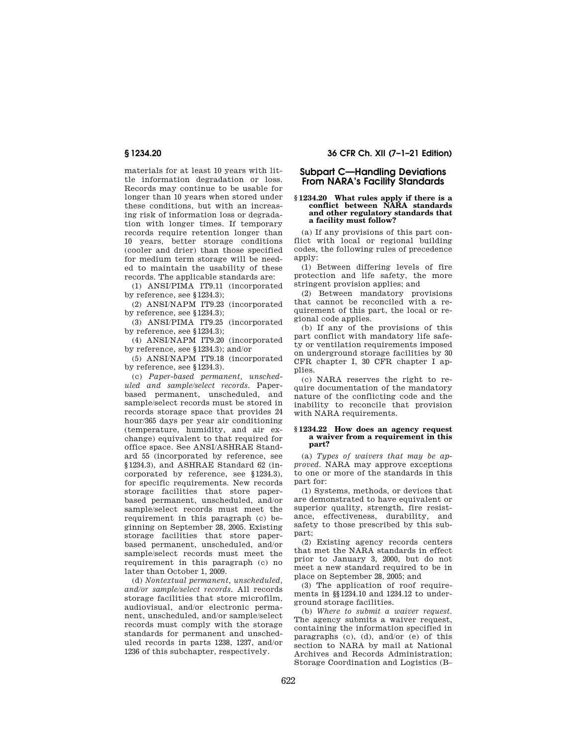materials for at least 10 years with little information degradation or loss. Records may continue to be usable for longer than 10 years when stored under these conditions, but with an increasing risk of information loss or degradation with longer times. If temporary records require retention longer than 10 years, better storage conditions (cooler and drier) than those specified for medium term storage will be needed to maintain the usability of these records. The applicable standards are:

(1) ANSI/PIMA IT9.11 (incorporated by reference, see §1234.3);

(2) ANSI/NAPM IT9.23 (incorporated by reference, see §1234.3);

(3) ANSI/PIMA IT9.25 (incorporated by reference, see §1234.3);

(4) ANSI/NAPM IT9.20 (incorporated by reference, see §1234.3); and/or

(5) ANSI/NAPM IT9.18 (incorporated by reference, see §1234.3).

(c) *Paper-based permanent, unscheduled and sample/select records.* Paperbased permanent, unscheduled, and sample/select records must be stored in records storage space that provides 24 hour/365 days per year air conditioning (temperature, humidity, and air exchange) equivalent to that required for office space. See ANSI/ASHRAE Standard 55 (incorporated by reference, see §1234.3), and ASHRAE Standard 62 (incorporated by reference, see §1234.3), for specific requirements. New records storage facilities that store paperbased permanent, unscheduled, and/or sample/select records must meet the requirement in this paragraph (c) beginning on September 28, 2005. Existing storage facilities that store paperbased permanent, unscheduled, and/or sample/select records must meet the requirement in this paragraph (c) no later than October 1, 2009.

(d) *Nontextual permanent, unscheduled, and/or sample/select records.* All records storage facilities that store microfilm, audiovisual, and/or electronic permanent, unscheduled, and/or sample/select records must comply with the storage standards for permanent and unscheduled records in parts 1238, 1237, and/or 1236 of this subchapter, respectively.

**§ 1234.20 36 CFR Ch. XII (7–1–21 Edition)** 

# **Subpart C—Handling Deviations From NARA's Facility Standards**

#### **§ 1234.20 What rules apply if there is a conflict between NARA standards and other regulatory standards that a facility must follow?**

(a) If any provisions of this part conflict with local or regional building codes, the following rules of precedence apply:

(1) Between differing levels of fire protection and life safety, the more stringent provision applies; and

(2) Between mandatory provisions that cannot be reconciled with a requirement of this part, the local or regional code applies.

(b) If any of the provisions of this part conflict with mandatory life safety or ventilation requirements imposed on underground storage facilities by 30 CFR chapter I, 30 CFR chapter I applies.

(c) NARA reserves the right to require documentation of the mandatory nature of the conflicting code and the inability to reconcile that provision with NARA requirements.

#### **§ 1234.22 How does an agency request a waiver from a requirement in this part?**

(a) *Types of waivers that may be approved.* NARA may approve exceptions to one or more of the standards in this part for:

(1) Systems, methods, or devices that are demonstrated to have equivalent or superior quality, strength, fire resistance, effectiveness, durability, and safety to those prescribed by this subpart;

(2) Existing agency records centers that met the NARA standards in effect prior to January 3, 2000, but do not meet a new standard required to be in place on September 28, 2005; and

(3) The application of roof requirements in §§1234.10 and 1234.12 to underground storage facilities.

(b) *Where to submit a waiver request.*  The agency submits a waiver request. containing the information specified in paragraphs (c), (d), and/or (e) of this section to NARA by mail at National Archives and Records Administration; Storage Coordination and Logistics (B–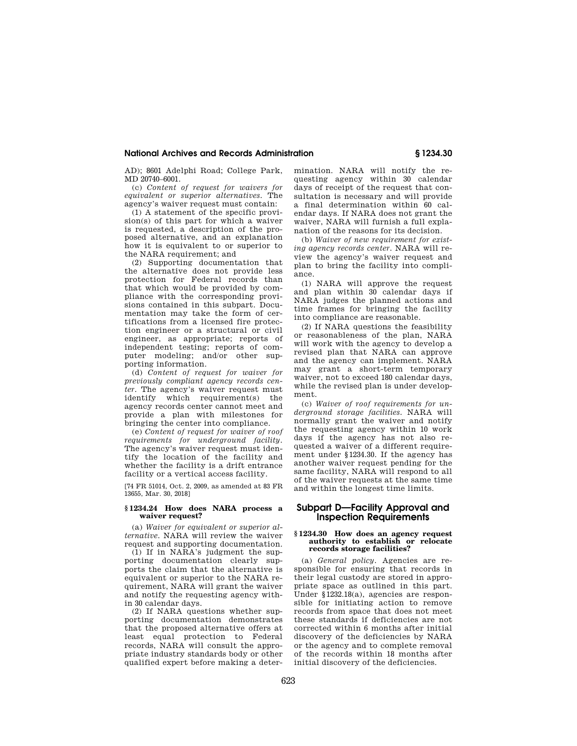#### **National Archives and Records Administration § 1234.30**

AD); 8601 Adelphi Road; College Park, MD 20740–6001.

(c) *Content of request for waivers for equivalent or superior alternatives.* The agency's waiver request must contain:

(1) A statement of the specific provision(s) of this part for which a waiver is requested, a description of the proposed alternative, and an explanation how it is equivalent to or superior to the NARA requirement; and

(2) Supporting documentation that the alternative does not provide less protection for Federal records than that which would be provided by compliance with the corresponding provisions contained in this subpart. Documentation may take the form of certifications from a licensed fire protection engineer or a structural or civil engineer, as appropriate; reports of independent testing; reports of computer modeling; and/or other supporting information.

(d) *Content of request for waiver for previously compliant agency records center.* The agency's waiver request must identify which requirement(s) the agency records center cannot meet and provide a plan with milestones for bringing the center into compliance.

(e) *Content of request for waiver of roof requirements for underground facility.*  The agency's waiver request must identify the location of the facility and whether the facility is a drift entrance facility or a vertical access facility.

[74 FR 51014, Oct. 2, 2009, as amended at 83 FR 13655, Mar. 30, 2018]

#### **§ 1234.24 How does NARA process a waiver request?**

(a) *Waiver for equivalent or superior alternative.* NARA will review the waiver request and supporting documentation.

(1) If in NARA's judgment the supporting documentation clearly supports the claim that the alternative is equivalent or superior to the NARA requirement, NARA will grant the waiver and notify the requesting agency within 30 calendar days.

(2) If NARA questions whether supporting documentation demonstrates that the proposed alternative offers at least equal protection to Federal records, NARA will consult the appropriate industry standards body or other qualified expert before making a determination. NARA will notify the requesting agency within 30 calendar days of receipt of the request that consultation is necessary and will provide a final determination within 60 calendar days. If NARA does not grant the waiver, NARA will furnish a full explanation of the reasons for its decision.

(b) *Waiver of new requirement for existing agency records center.* NARA will review the agency's waiver request and plan to bring the facility into compliance.

(1) NARA will approve the request and plan within 30 calendar days if NARA judges the planned actions and time frames for bringing the facility into compliance are reasonable.

(2) If NARA questions the feasibility or reasonableness of the plan, NARA will work with the agency to develop a revised plan that NARA can approve and the agency can implement. NARA may grant a short-term temporary waiver, not to exceed 180 calendar days, while the revised plan is under development.

(c) *Waiver of roof requirements for underground storage facilities.* NARA will normally grant the waiver and notify the requesting agency within 10 work days if the agency has not also requested a waiver of a different requirement under §1234.30. If the agency has another waiver request pending for the same facility, NARA will respond to all of the waiver requests at the same time and within the longest time limits.

# **Subpart D—Facility Approval and Inspection Requirements**

#### **§ 1234.30 How does an agency request authority to establish or relocate records storage facilities?**

(a) *General policy.* Agencies are responsible for ensuring that records in their legal custody are stored in appropriate space as outlined in this part. Under §1232.18(a), agencies are responsible for initiating action to remove records from space that does not meet these standards if deficiencies are not corrected within 6 months after initial discovery of the deficiencies by NARA or the agency and to complete removal of the records within 18 months after initial discovery of the deficiencies.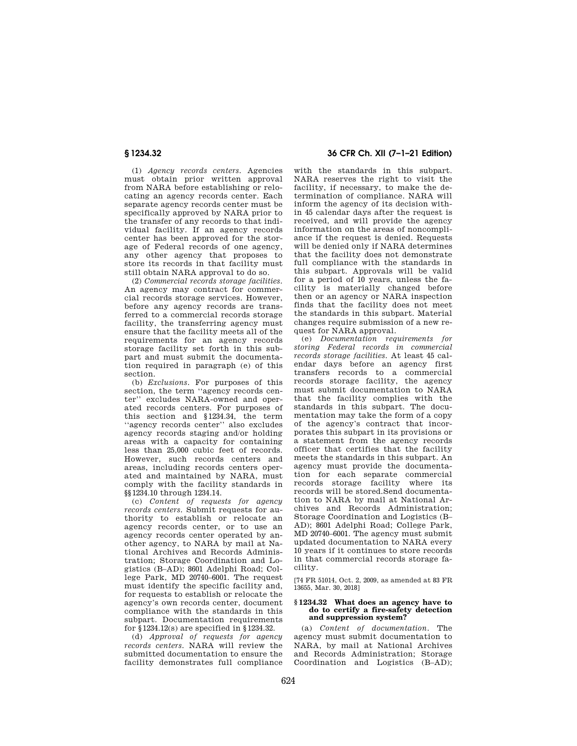(1) *Agency records centers.* Agencies must obtain prior written approval from NARA before establishing or relocating an agency records center. Each separate agency records center must be specifically approved by NARA prior to the transfer of any records to that individual facility. If an agency records center has been approved for the storage of Federal records of one agency, any other agency that proposes to store its records in that facility must still obtain NARA approval to do so.

(2) *Commercial records storage facilities.*  An agency may contract for commercial records storage services. However, before any agency records are transferred to a commercial records storage facility, the transferring agency must ensure that the facility meets all of the requirements for an agency records storage facility set forth in this subpart and must submit the documentation required in paragraph (e) of this section.

(b) *Exclusions.* For purposes of this section, the term ''agency records center'' excludes NARA-owned and operated records centers. For purposes of this section and §1234.34, the term ''agency records center'' also excludes agency records staging and/or holding areas with a capacity for containing less than 25,000 cubic feet of records. However, such records centers and areas, including records centers operated and maintained by NARA, must comply with the facility standards in §§1234.10 through 1234.14.

(c) *Content of requests for agency records centers.* Submit requests for authority to establish or relocate an agency records center, or to use an agency records center operated by another agency, to NARA by mail at National Archives and Records Administration; Storage Coordination and Logistics (B–AD); 8601 Adelphi Road; College Park, MD 20740–6001. The request must identify the specific facility and, for requests to establish or relocate the agency's own records center, document compliance with the standards in this subpart. Documentation requirements for §1234.12(s) are specified in §1234.32.

(d) *Approval of requests for agency records centers.* NARA will review the submitted documentation to ensure the facility demonstrates full compliance

# **§ 1234.32 36 CFR Ch. XII (7–1–21 Edition)**

with the standards in this subpart. NARA reserves the right to visit the facility, if necessary, to make the determination of compliance. NARA will inform the agency of its decision within 45 calendar days after the request is received, and will provide the agency information on the areas of noncompliance if the request is denied. Requests will be denied only if NARA determines that the facility does not demonstrate full compliance with the standards in this subpart. Approvals will be valid for a period of 10 years, unless the facility is materially changed before then or an agency or NARA inspection finds that the facility does not meet the standards in this subpart. Material changes require submission of a new request for NARA approval.

(e) *Documentation requirements for storing Federal records in commercial records storage facilities.* At least 45 calendar days before an agency first transfers records to a commercial records storage facility, the agency must submit documentation to NARA that the facility complies with the standards in this subpart. The documentation may take the form of a copy of the agency's contract that incorporates this subpart in its provisions or a statement from the agency records officer that certifies that the facility meets the standards in this subpart. An agency must provide the documentation for each separate commercial<br>records storage facility where its records storage facility records will be stored.Send documentation to NARA by mail at National Archives and Records Administration; Storage Coordination and Logistics (B– AD); 8601 Adelphi Road; College Park, MD 20740–6001. The agency must submit updated documentation to NARA every 10 years if it continues to store records in that commercial records storage facility.

[74 FR 51014, Oct. 2, 2009, as amended at 83 FR 13655, Mar. 30, 2018]

#### **§ 1234.32 What does an agency have to do to certify a fire-safety detection and suppression system?**

(a) *Content of documentation.* The agency must submit documentation to NARA, by mail at National Archives and Records Administration; Storage Coordination and Logistics (B–AD);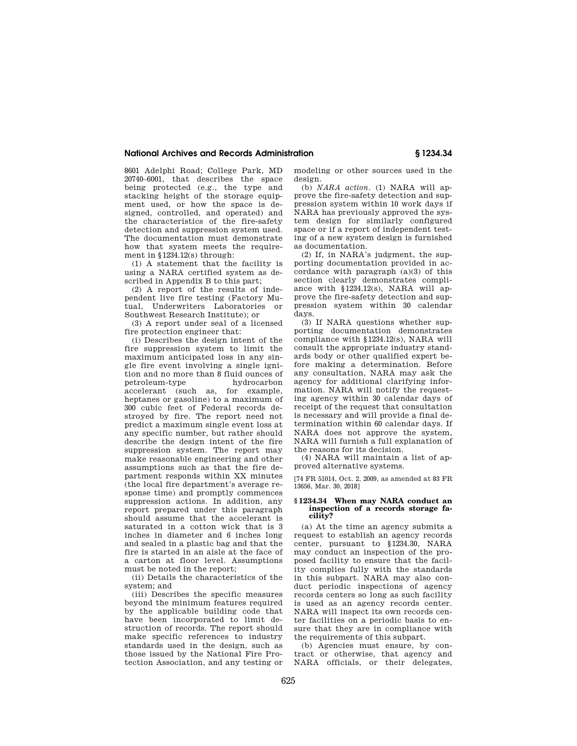#### **National Archives and Records Administration § 1234.34**

8601 Adelphi Road; College Park, MD 20740–6001, that describes the space being protected (e.g., the type and stacking height of the storage equipment used, or how the space is designed, controlled, and operated) and the characteristics of the fire-safety detection and suppression system used. The documentation must demonstrate how that system meets the requirement in §1234.12(s) through:

(1) A statement that the facility is using a NARA certified system as described in Appendix B to this part;

(2) A report of the results of independent live fire testing (Factory Mutual, Underwriters Laboratories or Southwest Research Institute); or

(3) A report under seal of a licensed fire protection engineer that:

(i) Describes the design intent of the fire suppression system to limit the maximum anticipated loss in any single fire event involving a single ignition and no more than 8 fluid ounces of petroleum-type accelerant (such as, for example, heptanes or gasoline) to a maximum of 300 cubic feet of Federal records destroyed by fire. The report need not predict a maximum single event loss at any specific number, but rather should describe the design intent of the fire suppression system. The report may make reasonable engineering and other assumptions such as that the fire department responds within XX minutes (the local fire department's average response time) and promptly commences suppression actions. In addition, any report prepared under this paragraph should assume that the accelerant is saturated in a cotton wick that is 3 inches in diameter and 6 inches long and sealed in a plastic bag and that the fire is started in an aisle at the face of a carton at floor level. Assumptions must be noted in the report;

(ii) Details the characteristics of the system; and

(iii) Describes the specific measures beyond the minimum features required by the applicable building code that have been incorporated to limit destruction of records. The report should make specific references to industry standards used in the design, such as those issued by the National Fire Protection Association, and any testing or

modeling or other sources used in the design.

(b) *NARA action.* (1) NARA will approve the fire-safety detection and suppression system within 10 work days if NARA has previously approved the system design for similarly configured space or if a report of independent testing of a new system design is furnished as documentation.

(2) If, in NARA's judgment, the supporting documentation provided in accordance with paragraph (a)(3) of this section clearly demonstrates compliance with §1234.12(s), NARA will approve the fire-safety detection and suppression system within 30 calendar days.

(3) If NARA questions whether supporting documentation demonstrates compliance with §1234.12(s), NARA will consult the appropriate industry standards body or other qualified expert before making a determination. Before any consultation, NARA may ask the agency for additional clarifying information. NARA will notify the requesting agency within 30 calendar days of receipt of the request that consultation is necessary and will provide a final determination within 60 calendar days. If NARA does not approve the system, NARA will furnish a full explanation of the reasons for its decision.

(4) NARA will maintain a list of approved alternative systems.

[74 FR 51014, Oct. 2, 2009, as amended at 83 FR 13656, Mar. 30, 2018]

#### **§ 1234.34 When may NARA conduct an inspection of a records storage facility?**

(a) At the time an agency submits a request to establish an agency records center, pursuant to §1234.30, NARA may conduct an inspection of the proposed facility to ensure that the facility complies fully with the standards in this subpart. NARA may also conduct periodic inspections of agency records centers so long as such facility is used as an agency records center. NARA will inspect its own records center facilities on a periodic basis to ensure that they are in compliance with the requirements of this subpart.

(b) Agencies must ensure, by contract or otherwise, that agency and NARA officials, or their delegates,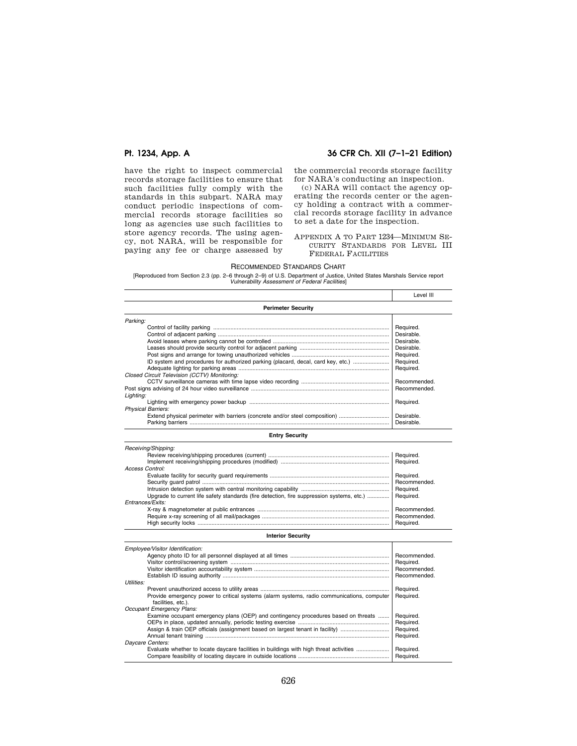# **Pt. 1234, App. A 36 CFR Ch. XII (7–1–21 Edition)**

have the right to inspect commercial records storage facilities to ensure that such facilities fully comply with the standards in this subpart. NARA may conduct periodic inspections of commercial records storage facilities so long as agencies use such facilities to store agency records. The using agency, not NARA, will be responsible for paying any fee or charge assessed by

the commercial records storage facility for NARA's conducting an inspection.

(c) NARA will contact the agency operating the records center or the agency holding a contract with a commercial records storage facility in advance to set a date for the inspection.

APPENDIX A TO PART 1234—MINIMUM SE-CURITY STANDARDS FOR LEVEL III FEDERAL FACILITIES

#### RECOMMENDED STANDARDS CHART

[Reproduced from Section 2.3 (pp. 2–6 through 2–9) of U.S. Department of Justice, United States Marshals Service report *Vulnerability Assessment of Federal Facilities*]

|                                                                                  | Level III    |
|----------------------------------------------------------------------------------|--------------|
| <b>Perimeter Security</b>                                                        |              |
| Parking:                                                                         |              |
|                                                                                  | Required.    |
|                                                                                  | Desirable.   |
|                                                                                  | Desirable.   |
|                                                                                  | Desirable.   |
|                                                                                  | Required.    |
| ID system and procedures for authorized parking (placard, decal, card key, etc.) | Required.    |
|                                                                                  | Required.    |
| Closed Circuit Television (CCTV) Monitoring:                                     |              |
|                                                                                  | Recommended. |
|                                                                                  | Recommended. |
| Lighting:                                                                        |              |
|                                                                                  | Required.    |
| <b>Physical Barriers:</b>                                                        |              |
| Extend physical perimeter with barriers (concrete and/or steel composition)      | Desirable.   |
| Parking barriers                                                                 | Desirable.   |

### **Entry Security**

| Receiving/Shipping:                                                                                  |              |
|------------------------------------------------------------------------------------------------------|--------------|
|                                                                                                      |              |
|                                                                                                      |              |
| Access Control:                                                                                      |              |
|                                                                                                      | Required.    |
|                                                                                                      | Recommended. |
|                                                                                                      |              |
| Upgrade to current life safety standards (fire detection, fire suppression systems, etc.)  Required. |              |
| Entrances/Exits:                                                                                     |              |
|                                                                                                      | Recommended. |
|                                                                                                      |              |
|                                                                                                      |              |

#### **Interior Security**

| Employee/Visitor Identification:                                                                                 |              |
|------------------------------------------------------------------------------------------------------------------|--------------|
|                                                                                                                  | Recommended. |
|                                                                                                                  | Required.    |
|                                                                                                                  | Recommended. |
|                                                                                                                  | Recommended. |
| Utilities:                                                                                                       |              |
|                                                                                                                  | Required.    |
| Provide emergency power to critical systems (alarm systems, radio communications, computer<br>facilities, etc.). | Required.    |
| Occupant Emergency Plans:                                                                                        |              |
| Examine occupant emergency plans (OEP) and contingency procedures based on threats                               | Required.    |
|                                                                                                                  | Required.    |
|                                                                                                                  | Required.    |
|                                                                                                                  | Required.    |
| Daycare Centers:                                                                                                 |              |
| Evaluate whether to locate daycare facilities in buildings with high threat activities                           | Required.    |
|                                                                                                                  | Required.    |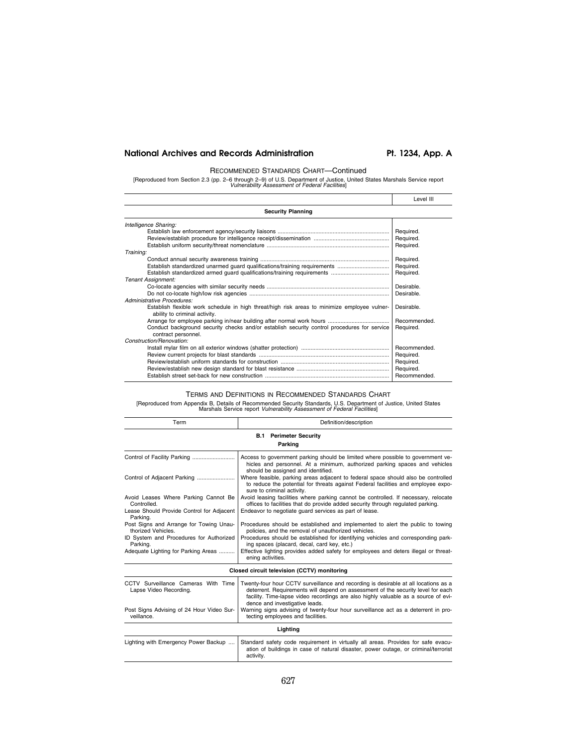# National Archives and Records Administration Pt. 1234, App. A

# RECOMMENDED STANDARDS CHART—Continued

[Reproduced from Section 2.3 (pp. 2–6 through 2–9) of U.S. Department of Justice, United States Marshals Service report *Vulnerability Assessment of Federal Facilities*]

|                                                                                                                               | Level III    |
|-------------------------------------------------------------------------------------------------------------------------------|--------------|
| <b>Security Planning</b>                                                                                                      |              |
| Intelligence Sharing:                                                                                                         |              |
|                                                                                                                               | Required.    |
|                                                                                                                               | Required.    |
|                                                                                                                               | Required.    |
| Training:                                                                                                                     |              |
|                                                                                                                               | Required.    |
|                                                                                                                               | Required.    |
|                                                                                                                               | Required.    |
| <b>Tenant Assignment:</b>                                                                                                     |              |
|                                                                                                                               | Desirable.   |
|                                                                                                                               | Desirable.   |
| Administrative Procedures:                                                                                                    |              |
| Establish flexible work schedule in high threat/high risk areas to minimize employee vulner-<br>ability to criminal activity. | Desirable.   |
|                                                                                                                               | Recommended. |
| Conduct background security checks and/or establish security control procedures for service<br>contract personnel.            | Required.    |
| Construction/Renovation:                                                                                                      |              |
|                                                                                                                               | Recommended. |
|                                                                                                                               | Required.    |
|                                                                                                                               | Required.    |
|                                                                                                                               | Required.    |
|                                                                                                                               | Recommended. |

# TERMS AND DEFINITIONS IN RECOMMENDED STANDARDS CHART

[Reproduced from Appendix B, Details of Recommended Security Standards, U.S. Department of Justice, United States Marshals Service report *Vulnerability Assessment of Federal Facilities*]

| Term                                                          | Definition/description                                                                                                                                                                                                                                                                          |
|---------------------------------------------------------------|-------------------------------------------------------------------------------------------------------------------------------------------------------------------------------------------------------------------------------------------------------------------------------------------------|
|                                                               | <b>B.1 Perimeter Security</b>                                                                                                                                                                                                                                                                   |
|                                                               | Parking                                                                                                                                                                                                                                                                                         |
|                                                               | Access to government parking should be limited where possible to government ve-<br>hicles and personnel. At a minimum, authorized parking spaces and vehicles<br>should be assigned and identified.                                                                                             |
| Control of Adjacent Parking                                   | Where feasible, parking areas adjacent to federal space should also be controlled<br>to reduce the potential for threats against Federal facilities and employee expo-<br>sure to criminal activity.                                                                                            |
| Avoid Leases Where Parking Cannot Be<br>Controlled.           | Avoid leasing facilities where parking cannot be controlled. If necessary, relocate<br>offices to facilities that do provide added security through regulated parking.                                                                                                                          |
| Lease Should Provide Control for Adjacent<br>Parking.         | Endeavor to negotiate quard services as part of lease.                                                                                                                                                                                                                                          |
| Post Signs and Arrange for Towing Unau-<br>thorized Vehicles. | Procedures should be established and implemented to alert the public to towing<br>policies, and the removal of unauthorized vehicles.                                                                                                                                                           |
| ID System and Procedures for Authorized<br>Parking.           | Procedures should be established for identifying vehicles and corresponding park-<br>ing spaces (placard, decal, card key, etc.)                                                                                                                                                                |
| Adequate Lighting for Parking Areas                           | Effective lighting provides added safety for employees and deters illegal or threat-<br>ening activities.                                                                                                                                                                                       |
|                                                               | Closed circuit television (CCTV) monitoring                                                                                                                                                                                                                                                     |
| CCTV Surveillance Cameras With Time<br>Lapse Video Recording. | Twenty-four hour CCTV surveillance and recording is desirable at all locations as a<br>deterrent. Requirements will depend on assessment of the security level for each<br>facility. Time-lapse video recordings are also highly valuable as a source of evi-<br>dence and investigative leads. |
| Post Signs Advising of 24 Hour Video Sur-<br>veillance.       | Warning signs advising of twenty-four hour surveillance act as a deterrent in pro-<br>tecting employees and facilities.                                                                                                                                                                         |
|                                                               | Lighting                                                                                                                                                                                                                                                                                        |
| Lighting with Emergency Power Backup                          | Standard safety code requirement in virtually all areas. Provides for safe evacu-<br>ation of buildings in case of natural disaster, power outage, or criminal/terrorist                                                                                                                        |

activity.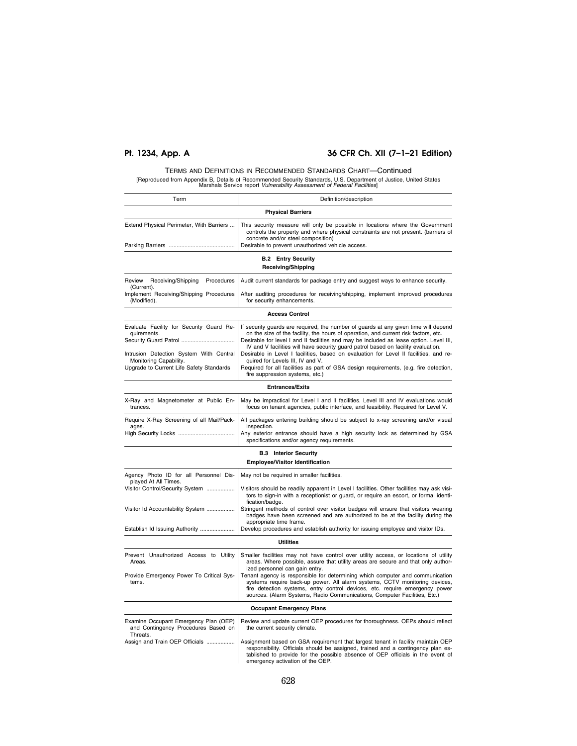# **Pt. 1234, App. A 36 CFR Ch. XII (7–1–21 Edition)**

# TERMS AND DEFINITIONS IN RECOMMENDED STANDARDS CHART—Continued [Reproduced from Appendix B, Details of Recommended Security Standards, U.S. Department of Justice, United States Marshals Service report *Vulnerability Assessment of Federal Facilities*]

| Term                                                                                                                                                                                              | Definition/description                                                                                                                                                                                                                                                                                                                                                                                                                                                                                                                                                                                              |
|---------------------------------------------------------------------------------------------------------------------------------------------------------------------------------------------------|---------------------------------------------------------------------------------------------------------------------------------------------------------------------------------------------------------------------------------------------------------------------------------------------------------------------------------------------------------------------------------------------------------------------------------------------------------------------------------------------------------------------------------------------------------------------------------------------------------------------|
|                                                                                                                                                                                                   | <b>Physical Barriers</b>                                                                                                                                                                                                                                                                                                                                                                                                                                                                                                                                                                                            |
| Extend Physical Perimeter, With Barriers<br>Parking Barriers                                                                                                                                      | This security measure will only be possible in locations where the Government<br>controls the property and where physical constraints are not present. (barriers of<br>concrete and/or steel composition)<br>Desirable to prevent unauthorized vehicle access.                                                                                                                                                                                                                                                                                                                                                      |
|                                                                                                                                                                                                   |                                                                                                                                                                                                                                                                                                                                                                                                                                                                                                                                                                                                                     |
|                                                                                                                                                                                                   | <b>B.2 Entry Security</b><br><b>Receiving/Shipping</b>                                                                                                                                                                                                                                                                                                                                                                                                                                                                                                                                                              |
| Procedures<br>Review<br>Receiving/Shipping<br>(Current).                                                                                                                                          | Audit current standards for package entry and suggest ways to enhance security.                                                                                                                                                                                                                                                                                                                                                                                                                                                                                                                                     |
| Implement Receiving/Shipping Procedures<br>(Modified).                                                                                                                                            | After auditing procedures for receiving/shipping, implement improved procedures<br>for security enhancements.                                                                                                                                                                                                                                                                                                                                                                                                                                                                                                       |
|                                                                                                                                                                                                   | <b>Access Control</b>                                                                                                                                                                                                                                                                                                                                                                                                                                                                                                                                                                                               |
| Evaluate Facility for Security Guard Re-<br>quirements.<br>Security Guard Patrol<br>Intrusion Detection System With Central<br>Monitoring Capability.<br>Upgrade to Current Life Safety Standards | If security guards are required, the number of guards at any given time will depend<br>on the size of the facility, the hours of operation, and current risk factors, etc.<br>Desirable for level I and II facilities and may be included as lease option. Level III,<br>IV and V facilities will have security guard patrol based on facility evaluation.<br>Desirable in Level I facilities, based on evaluation for Level II facilities, and re-<br>quired for Levels III, IV and V.<br>Required for all facilities as part of GSA design requirements, (e.g. fire detection,<br>fire suppression systems, etc.) |
|                                                                                                                                                                                                   | <b>Entrances/Exits</b>                                                                                                                                                                                                                                                                                                                                                                                                                                                                                                                                                                                              |
| X-Ray and Magnetometer at Public En-<br>trances.                                                                                                                                                  | May be impractical for Level I and II facilities. Level III and IV evaluations would<br>focus on tenant agencies, public interface, and feasibility. Required for Level V.                                                                                                                                                                                                                                                                                                                                                                                                                                          |
| Require X-Ray Screening of all Mail/Pack-<br>ages.<br>High Security Locks                                                                                                                         | All packages entering building should be subject to x-ray screening and/or visual<br>inspection.<br>Any exterior entrance should have a high security lock as determined by GSA<br>specifications and/or agency requirements.                                                                                                                                                                                                                                                                                                                                                                                       |
|                                                                                                                                                                                                   | <b>B.3 Interior Security</b><br><b>Employee/Visitor Identification</b>                                                                                                                                                                                                                                                                                                                                                                                                                                                                                                                                              |
| Agency Photo ID for all Personnel Dis-<br>played At All Times.<br>Visitor Control/Security System<br>Visitor Id Accountability System<br>Establish Id Issuing Authority                           | May not be required in smaller facilities.<br>Visitors should be readily apparent in Level I facilities. Other facilities may ask visi-<br>tors to sign-in with a receptionist or guard, or require an escort, or formal identi-<br>fication/badge.<br>Stringent methods of control over visitor badges will ensure that visitors wearing<br>badges have been screened and are authorized to be at the facility during the<br>appropriate time frame.<br>Develop procedures and establish authority for issuing employee and visitor IDs.                                                                           |
|                                                                                                                                                                                                   | <b>Utilities</b>                                                                                                                                                                                                                                                                                                                                                                                                                                                                                                                                                                                                    |
| Prevent Unauthorized Access to Utility<br>Areas.<br>Provide Emergency Power To Critical Sys-<br>tems                                                                                              | Smaller facilities may not have control over utility access, or locations of utility<br>areas. Where possible, assure that utility areas are secure and that only author-<br>ized personnel can gain entry.<br>Tenant agency is responsible for determining which computer and communication<br>systems require back-up power. All alarm systems, CCTV monitoring devices,<br>fire detection systems, entry control devices, etc. require emergency power                                                                                                                                                           |
|                                                                                                                                                                                                   | sources. (Alarm Systems, Radio Communications, Computer Facilities, Etc.)<br><b>Occupant Emergency Plans</b>                                                                                                                                                                                                                                                                                                                                                                                                                                                                                                        |
| Examine Occupant Emergency Plan (OEP)<br>and Contingency Procedures Based on                                                                                                                      | Review and update current OEP procedures for thoroughness. OEPs should reflect<br>the current security climate.                                                                                                                                                                                                                                                                                                                                                                                                                                                                                                     |
| Threats.<br>Assign and Train OEP Officials                                                                                                                                                        | Assignment based on GSA requirement that largest tenant in facility maintain OEP<br>responsibility. Officials should be assigned, trained and a contingency plan es-<br>tablished to provide for the possible absence of OEP officials in the event of<br>emergency activation of the OEP.                                                                                                                                                                                                                                                                                                                          |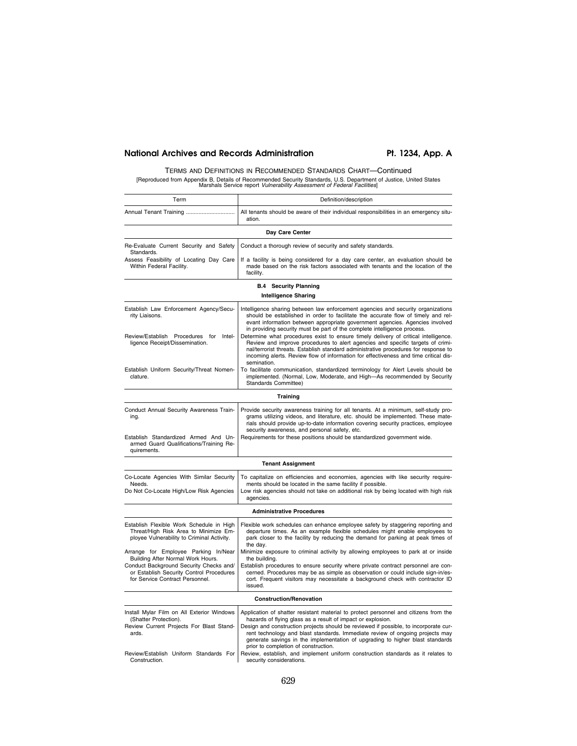# National Archives and Records Administration Pt. 1234, App. A

# TERMS AND DEFINITIONS IN RECOMMENDED STANDARDS CHART—Continued [Reproduced from Appendix B, Details of Recommended Security Standards, U.S. Department of Justice, United States Marshals Service report *Vulnerability Assessment of Federal Facilities*]

| Term                                                                                                                                                                                                                                                    | Definition/description                                                                                                                                                                                                                                                                                                                                                                                                                                                                                                                                                                            |
|---------------------------------------------------------------------------------------------------------------------------------------------------------------------------------------------------------------------------------------------------------|---------------------------------------------------------------------------------------------------------------------------------------------------------------------------------------------------------------------------------------------------------------------------------------------------------------------------------------------------------------------------------------------------------------------------------------------------------------------------------------------------------------------------------------------------------------------------------------------------|
| Annual Tenant Training                                                                                                                                                                                                                                  | All tenants should be aware of their individual responsibilities in an emergency situ-<br>ation.                                                                                                                                                                                                                                                                                                                                                                                                                                                                                                  |
|                                                                                                                                                                                                                                                         | Day Care Center                                                                                                                                                                                                                                                                                                                                                                                                                                                                                                                                                                                   |
| Re-Evaluate Current Security and Safety                                                                                                                                                                                                                 | Conduct a thorough review of security and safety standards.                                                                                                                                                                                                                                                                                                                                                                                                                                                                                                                                       |
| Standards.<br>Assess Feasibility of Locating Day Care<br>Within Federal Facility.                                                                                                                                                                       | If a facility is being considered for a day care center, an evaluation should be<br>made based on the risk factors associated with tenants and the location of the<br>facility.                                                                                                                                                                                                                                                                                                                                                                                                                   |
|                                                                                                                                                                                                                                                         | <b>B.4 Security Planning</b><br><b>Intelligence Sharing</b>                                                                                                                                                                                                                                                                                                                                                                                                                                                                                                                                       |
| Establish Law Enforcement Agency/Secu-<br>rity Liaisons.<br>Review/Establish Procedures for<br>Intel-<br>ligence Receipt/Dissemination.                                                                                                                 | Intelligence sharing between law enforcement agencies and security organizations<br>should be established in order to facilitate the accurate flow of timely and rel-<br>evant information between appropriate government agencies. Agencies involved<br>in providing security must be part of the complete intelligence process.<br>Determine what procedures exist to ensure timely delivery of critical intelligence.<br>Review and improve procedures to alert agencies and specific targets of crimi-<br>nal/terrorist threats. Establish standard administrative procedures for response to |
| Establish Uniform Security/Threat Nomen-<br>clature.                                                                                                                                                                                                    | incoming alerts. Review flow of information for effectiveness and time critical dis-<br>semination.<br>To facilitate communication, standardized terminology for Alert Levels should be<br>implemented. (Normal, Low, Moderate, and High-As recommended by Security<br>Standards Committee)                                                                                                                                                                                                                                                                                                       |
|                                                                                                                                                                                                                                                         | Training                                                                                                                                                                                                                                                                                                                                                                                                                                                                                                                                                                                          |
| Conduct Annual Security Awareness Train-<br>ing.<br>Establish Standardized Armed And Un-<br>armed Guard Qualifications/Training Re-<br>quirements.                                                                                                      | Provide security awareness training for all tenants. At a minimum, self-study pro-<br>grams utilizing videos, and literature, etc. should be implemented. These mate-<br>rials should provide up-to-date information covering security practices, employee<br>security awareness, and personal safety, etc.<br>Requirements for these positions should be standardized government wide.                                                                                                                                                                                                           |
|                                                                                                                                                                                                                                                         | <b>Tenant Assignment</b>                                                                                                                                                                                                                                                                                                                                                                                                                                                                                                                                                                          |
| Co-Locate Agencies With Similar Security<br>Needs.<br>Do Not Co-Locate High/Low Risk Agencies                                                                                                                                                           | To capitalize on efficiencies and economies, agencies with like security require-<br>ments should be located in the same facility if possible.<br>Low risk agencies should not take on additional risk by being located with high risk<br>agencies.                                                                                                                                                                                                                                                                                                                                               |
|                                                                                                                                                                                                                                                         | <b>Administrative Procedures</b>                                                                                                                                                                                                                                                                                                                                                                                                                                                                                                                                                                  |
| Establish Flexible Work Schedule in High<br>Threat/High Risk Area to Minimize Em-<br>ployee Vulnerability to Criminal Activity.<br>Arrange for Employee Parking In/Near<br>Building After Normal Work Hours.<br>Conduct Background Security Checks and/ | Flexible work schedules can enhance employee safety by staggering reporting and<br>departure times. As an example flexible schedules might enable employees to<br>park closer to the facility by reducing the demand for parking at peak times of<br>the day.<br>Minimize exposure to criminal activity by allowing employees to park at or inside<br>the building.<br>Establish procedures to ensure security where private contract personnel are con-                                                                                                                                          |
| or Establish Security Control Procedures<br>for Service Contract Personnel.                                                                                                                                                                             | cerned. Procedures may be as simple as observation or could include sign-in/es-<br>cort. Frequent visitors may necessitate a background check with contractor ID<br>issued.                                                                                                                                                                                                                                                                                                                                                                                                                       |
|                                                                                                                                                                                                                                                         | <b>Construction/Renovation</b>                                                                                                                                                                                                                                                                                                                                                                                                                                                                                                                                                                    |
| Install Mylar Film on All Exterior Windows<br>(Shatter Protection).<br>Review Current Projects For Blast Stand-<br>ards.<br>Review/Establish Uniform Standards For                                                                                      | Application of shatter resistant material to protect personnel and citizens from the<br>hazards of flying glass as a result of impact or explosion.<br>Design and construction projects should be reviewed if possible, to incorporate cur-<br>rent technology and blast standards. Immediate review of ongoing projects may<br>generate savings in the implementation of upgrading to higher blast standards<br>prior to completion of construction.<br>Review, establish, and implement uniform construction standards as it relates to                                                         |
| Construction.                                                                                                                                                                                                                                           | security considerations.                                                                                                                                                                                                                                                                                                                                                                                                                                                                                                                                                                          |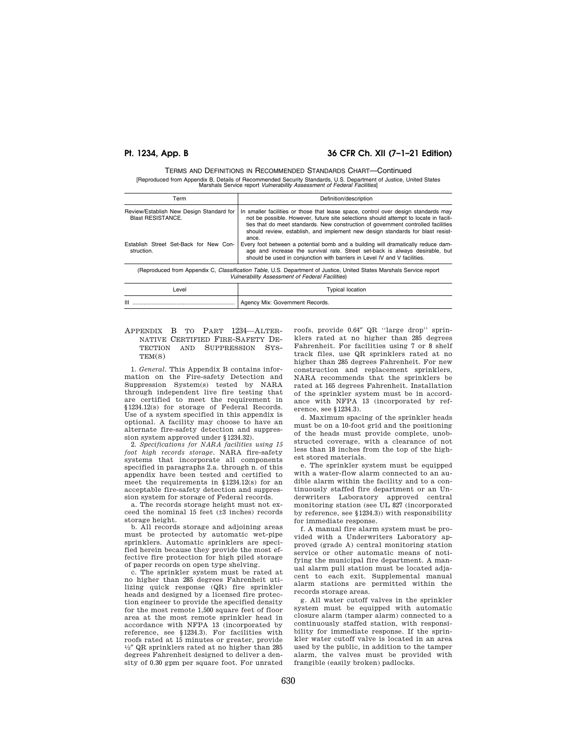# **Pt. 1234, App. B 36 CFR Ch. XII (7–1–21 Edition)**

TERMS AND DEFINITIONS IN RECOMMENDED STANDARDS CHART—Continued [Reproduced from Appendix B, Details of Recommended Security Standards, U.S. Department of Justice, United States Marshals Service report *Vulnerability Assessment of Federal Facilities*]

| Term                                                                 | Definition/description                                                                                                                                                                                                                                                                                                                                     |
|----------------------------------------------------------------------|------------------------------------------------------------------------------------------------------------------------------------------------------------------------------------------------------------------------------------------------------------------------------------------------------------------------------------------------------------|
| Review/Establish New Design Standard for<br><b>Blast RESISTANCE.</b> | In smaller facilities or those that lease space, control over design standards may<br>not be possible. However, future site selections should attempt to locate in facili-<br>ties that do meet standards. New construction of government controlled facilities<br>should review, establish, and implement new design standards for blast resist-<br>ance. |
| Establish Street Set-Back for New Con-<br>struction.                 | Every foot between a potential bomb and a building will dramatically reduce dam-<br>age and increase the survival rate. Street set-back is always desirable, but<br>should be used in conjunction with barriers in Level IV and V facilities.                                                                                                              |
|                                                                      | (Reproduced from Appendix C, Classification Table, U.S. Department of Justice, United States Marshals Service report<br><b>Vulnerability Assessment of Federal Facilities)</b>                                                                                                                                                                             |
| المتنما                                                              | Tuesday, Language                                                                                                                                                                                                                                                                                                                                          |

| .evel             | Typical location                             |
|-------------------|----------------------------------------------|
| $\mathbf{m}$<br>. | <sup>1</sup> Agency Mix: Government Records. |

#### APPENDIX B TO PART 1234—ALTER-NATIVE CERTIFIED FIRE-SAFETY DE-TECTION AND SUPPRESSION SYS- $TEM(S)$

1. *General.* This Appendix B contains information on the Fire-safety Detection and Suppression System(s) tested by NARA through independent live fire testing that are certified to meet the requirement in §1234.12(s) for storage of Federal Records. Use of a system specified in this appendix is optional. A facility may choose to have an alternate fire-safety detection and suppression system approved under §1234.32).

2. *Specifications for NARA facilities using 15 foot high records storage.* NARA fire-safety systems that incorporate all components specified in paragraphs 2.a. through n. of this appendix have been tested and certified to meet the requirements in §1234.12(s) for an acceptable fire-safety detection and suppression system for storage of Federal records.

a. The records storage height must not exceed the nominal 15 feet (±3 inches) records storage height.

b. All records storage and adjoining areas must be protected by automatic wet-pipe sprinklers. Automatic sprinklers are specified herein because they provide the most effective fire protection for high piled storage of paper records on open type shelving.

c. The sprinkler system must be rated at no higher than 285 degrees Fahrenheit utilizing quick response (QR) fire sprinkler heads and designed by a licensed fire protection engineer to provide the specified density for the most remote 1,500 square feet of floor area at the most remote sprinkler head in accordance with NFPA 13 (incorporated by reference, see §1234.3). For facilities with roofs rated at 15 minutes or greater, provide 1⁄2″ QR sprinklers rated at no higher than 285 degrees Fahrenheit designed to deliver a density of 0.30 gpm per square foot. For unrated

roofs, provide 0.64″ QR ''large drop'' sprinklers rated at no higher than 285 degrees Fahrenheit. For facilities using 7 or 8 shelf track files, use QR sprinklers rated at no higher than 285 degrees Fahrenheit. For new construction and replacement sprinklers, NARA recommends that the sprinklers be rated at 165 degrees Fahrenheit. Installation of the sprinkler system must be in accordance with NFPA 13 (incorporated by reference, see §1234.3).

d. Maximum spacing of the sprinkler heads must be on a 10-foot grid and the positioning of the heads must provide complete, unobstructed coverage, with a clearance of not less than 18 inches from the top of the highest stored materials.

e. The sprinkler system must be equipped with a water-flow alarm connected to an audible alarm within the facility and to a continuously staffed fire department or an Underwriters Laboratory approved central monitoring station (see UL 827 (incorporated by reference, see §1234.3)) with responsibility for immediate response.

f. A manual fire alarm system must be provided with a Underwriters Laboratory approved (grade A) central monitoring station service or other automatic means of notifying the municipal fire department. A manual alarm pull station must be located adjacent to each exit. Supplemental manual alarm stations are permitted within the records storage areas.

g. All water cutoff valves in the sprinkler system must be equipped with automatic closure alarm (tamper alarm) connected to a continuously staffed station, with responsibility for immediate response. If the sprinkler water cutoff valve is located in an area used by the public, in addition to the tamper alarm, the valves must be provided with frangible (easily broken) padlocks.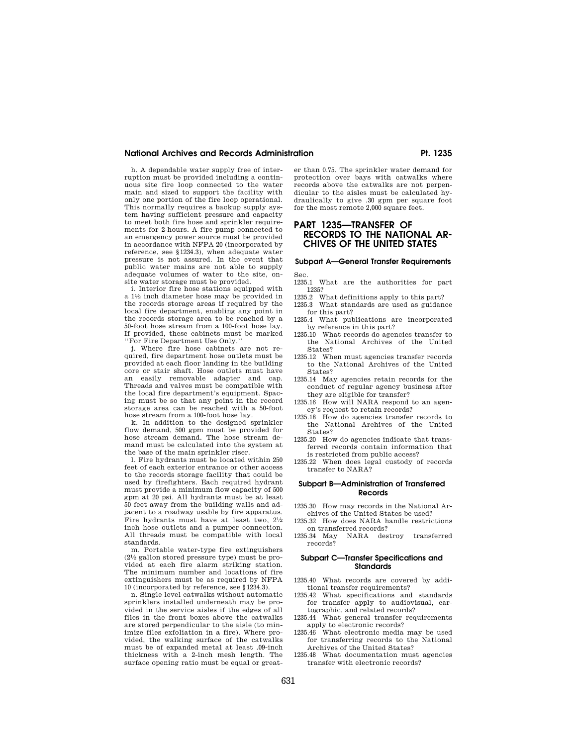## **National Archives and Records Administration Pt. 1235**

h. A dependable water supply free of interruption must be provided including a continuous site fire loop connected to the water main and sized to support the facility with only one portion of the fire loop operational. This normally requires a backup supply system having sufficient pressure and capacity to meet both fire hose and sprinkler requirements for 2-hours. A fire pump connected to an emergency power source must be provided in accordance with NFPA 20 (incorporated by reference, see §1234.3), when adequate water pressure is not assured. In the event that public water mains are not able to supply adequate volumes of water to the site, onsite water storage must be provided.

i. Interior fire hose stations equipped with a 11⁄2 inch diameter hose may be provided in the records storage areas if required by the local fire department, enabling any point in the records storage area to be reached by a 50-foot hose stream from a 100-foot hose lay. If provided, these cabinets must be marked ''For Fire Department Use Only.''

j. Where fire hose cabinets are not required, fire department hose outlets must be provided at each floor landing in the building core or stair shaft. Hose outlets must have an easily removable adapter and cap. Threads and valves must be compatible with the local fire department's equipment. Spacing must be so that any point in the record storage area can be reached with a 50-foot hose stream from a 100-foot hose lay.

k. In addition to the designed sprinkler flow demand, 500 gpm must be provided for hose stream demand. The hose stream demand must be calculated into the system at the base of the main sprinkler riser.

l. Fire hydrants must be located within 250 feet of each exterior entrance or other access to the records storage facility that could be used by firefighters. Each required hydrant must provide a minimum flow capacity of 500 gpm at 20 psi. All hydrants must be at least 50 feet away from the building walls and adjacent to a roadway usable by fire apparatus. Fire hydrants must have at least two,  $2\frac{1}{2}$ inch hose outlets and a pumper connection. All threads must be compatible with local standards.

m. Portable water-type fire extinguishers  $(2<sup>1</sup>/<sub>2</sub>$  gallon stored pressure type) must be provided at each fire alarm striking station. The minimum number and locations of fire extinguishers must be as required by NFPA 10 (incorporated by reference, see §1234.3).

n. Single level catwalks without automatic sprinklers installed underneath may be provided in the service aisles if the edges of all files in the front boxes above the catwalks are stored perpendicular to the aisle (to minimize files exfoliation in a fire). Where provided, the walking surface of the catwalks must be of expanded metal at least .09-inch thickness with a 2-inch mesh length. The surface opening ratio must be equal or greater than 0.75. The sprinkler water demand for protection over bays with catwalks where records above the catwalks are not perpendicular to the aisles must be calculated hydraulically to give .30 gpm per square foot for the most remote 2,000 square feet.

# **PART 1235—TRANSFER OF RECORDS TO THE NATIONAL AR-CHIVES OF THE UNITED STATES**

# **Subpart A—General Transfer Requirements**  Sec.

- 1235.1 What are the authorities for part
- 1235? 1235.2 What definitions apply to this part?
- 1235.3 What standards are used as guidance
- for this part? 1235.4 What publications are incorporated
- by reference in this part? 1235.10 What records do agencies transfer to the National Archives of the United
- States? 1235.12 When must agencies transfer records to the National Archives of the United States?
- 1235.14 May agencies retain records for the conduct of regular agency business after they are eligible for transfer?
- 1235.16 How will NARA respond to an agency's request to retain records?
- 1235.18 How do agencies transfer records to the National Archives of the United States?
- 1235.20 How do agencies indicate that transferred records contain information that is restricted from public access?
- 1235.22 When does legal custody of records transfer to NARA?

#### **Subpart B—Administration of Transferred Records**

- 1235.30 How may records in the National Archives of the United States be used?
- 1235.32 How does NARA handle restrictions on transferred records?
- 1235.34 May NARA destroy transferred records?

#### **Subpart C—Transfer Specifications and Standards**

- 1235.40 What records are covered by additional transfer requirements?
- 1235.42 What specifications and standards for transfer apply to audiovisual, cartographic, and related records?
- 1235.44 What general transfer requirements apply to electronic records?
- 1235.46 What electronic media may be used for transferring records to the National Archives of the United States?
- 1235.48 What documentation must agencies transfer with electronic records?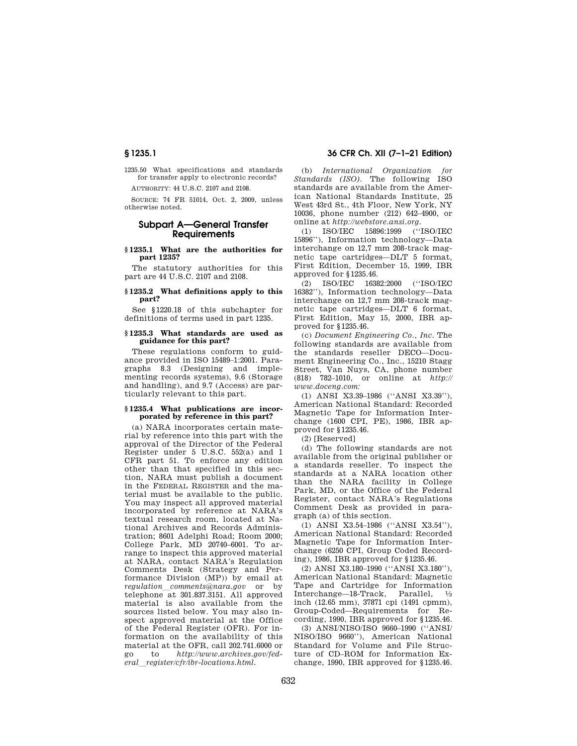1235.50 What specifications and standards for transfer apply to electronic records?

AUTHORITY: 44 U.S.C. 2107 and 2108.

SOURCE: 74 FR 51014, Oct. 2, 2009, unless otherwise noted.

# **Subpart A—General Transfer Requirements**

#### **§ 1235.1 What are the authorities for part 1235?**

The statutory authorities for this part are 44 U.S.C. 2107 and 2108.

#### **§ 1235.2 What definitions apply to this part?**

See §1220.18 of this subchapter for definitions of terms used in part 1235.

# **§ 1235.3 What standards are used as guidance for this part?**

These regulations conform to guidance provided in ISO 15489–1:2001. Paragraphs 8.3 (Designing and implementing records systems), 9.6 (Storage and handling), and 9.7 (Access) are particularly relevant to this part.

#### **§ 1235.4 What publications are incorporated by reference in this part?**

(a) NARA incorporates certain material by reference into this part with the approval of the Director of the Federal Register under 5 U.S.C. 552(a) and 1 CFR part 51. To enforce any edition other than that specified in this section, NARA must publish a document in the FEDERAL REGISTER and the material must be available to the public. You may inspect all approved material incorporated by reference at NARA's textual research room, located at National Archives and Records Administration; 8601 Adelphi Road; Room 2000; College Park, MD 20740–6001. To arrange to inspect this approved material at NARA, contact NARA's Regulation Comments Desk (Strategy and Performance Division (MP)) by email at *regulation*l*comments@nara.gov* or by telephone at 301.837.3151. All approved material is also available from the sources listed below. You may also inspect approved material at the Office of the Federal Register (OFR). For information on the availability of this material at the OFR, call 202.741.6000 or go to *http://www.archives.gov/federal*l*register/cfr/ibr-locations.html.* 

(b) *International Organization for Standards (ISO).* The following ISO standards are available from the American National Standards Institute, 25 West 43rd St., 4th Floor, New York, NY 10036, phone number (212) 642–4900, or online at *http://webstore.ansi.org.* 

(1) ISO/IEC 15896:1999 (''ISO/IEC 15896''), Information technology—Data interchange on 12,7 mm 208-track magnetic tape cartridges—DLT 5 format, First Edition, December 15, 1999, IBR approved for §1235.46.

(2) ISO/IEC 16382:2000 (''ISO/IEC 16382''), Information technology—Data interchange on 12,7 mm 208-track magnetic tape cartridges—DLT 6 format, First Edition, May 15, 2000, IBR approved for §1235.46.

(c) *Document Engineering Co., Inc.* The following standards are available from the standards reseller DECO—Document Engineering Co., Inc., 15210 Stagg Street, Van Nuys, CA, phone number (818) 782–1010, or online at *http:// www.doceng.com:* 

(1) ANSI X3.39–1986 (''ANSI X3.39''), American National Standard: Recorded Magnetic Tape for Information Interchange (1600 CPI, PE), 1986, IBR approved for §1235.46.

(2) [Reserved]

(d) The following standards are not available from the original publisher or a standards reseller. To inspect the standards at a NARA location other than the NARA facility in College Park, MD, or the Office of the Federal Register, contact NARA's Regulations Comment Desk as provided in paragraph (a) of this section.

(1) ANSI X3.54–1986 (''ANSI X3.54''), American National Standard: Recorded Magnetic Tape for Information Interchange (6250 CPI, Group Coded Recording), 1986, IBR approved for §1235.46.

(2) ANSI X3.180–1990 (''ANSI X3.180''), American National Standard: Magnetic Tape and Cartridge for Information Interchange—18-Track, Parallel, 1⁄2 inch (12.65 mm), 37871 cpi (1491 cpmm), Group-Coded—Requirements for Recording, 1990, IBR approved for §1235.46.

(3) ANSI/NISO/ISO 9660–1990 (''ANSI/ NISO/ISO 9660''), American National Standard for Volume and File Structure of CD–ROM for Information Exchange, 1990, IBR approved for §1235.46.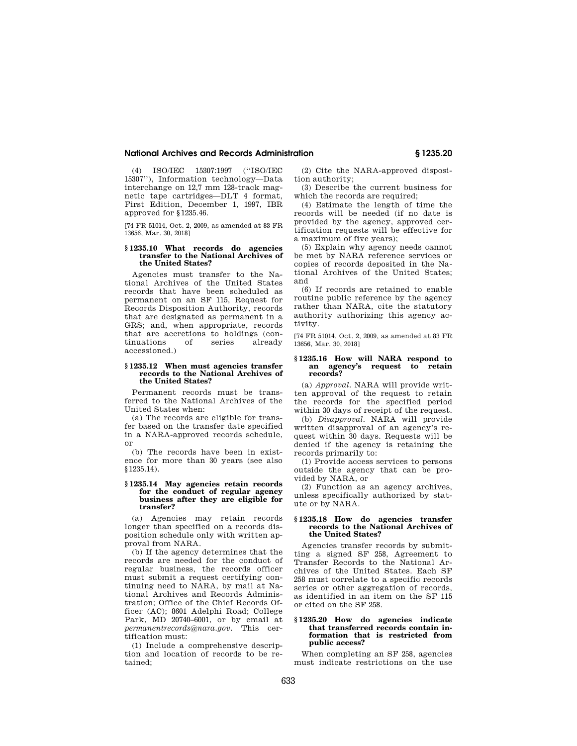#### **National Archives and Records Administration § 1235.20**

(4) ISO/IEC 15307:1997 (''ISO/IEC 15307''), Information technology—Data interchange on 12,7 mm 128-track magnetic tape cartridges—DLT 4 format, First Edition, December 1, 1997, IBR approved for §1235.46.

[74 FR 51014, Oct. 2, 2009, as amended at 83 FR 13656, Mar. 30, 2018]

#### **§ 1235.10 What records do agencies transfer to the National Archives of the United States?**

Agencies must transfer to the National Archives of the United States records that have been scheduled as permanent on an SF 115, Request for Records Disposition Authority, records that are designated as permanent in a GRS; and, when appropriate, records that are accretions to holdings (continuations of series already accessioned.)

#### **§ 1235.12 When must agencies transfer records to the National Archives of the United States?**

Permanent records must be transferred to the National Archives of the United States when:

(a) The records are eligible for transfer based on the transfer date specified in a NARA-approved records schedule, or

(b) The records have been in existence for more than 30 years (see also §1235.14).

#### **§ 1235.14 May agencies retain records for the conduct of regular agency business after they are eligible for transfer?**

(a) Agencies may retain records longer than specified on a records disposition schedule only with written approval from NARA.

(b) If the agency determines that the records are needed for the conduct of regular business, the records officer must submit a request certifying continuing need to NARA, by mail at National Archives and Records Administration; Office of the Chief Records Officer (AC); 8601 Adelphi Road; College Park, MD 20740–6001, or by email at *permanentrecords@nara.gov.* This certification must:

(1) Include a comprehensive description and location of records to be retained;

(2) Cite the NARA-approved disposition authority;

(3) Describe the current business for which the records are required;

(4) Estimate the length of time the records will be needed (if no date is provided by the agency, approved certification requests will be effective for a maximum of five years);

(5) Explain why agency needs cannot be met by NARA reference services or copies of records deposited in the National Archives of the United States; and

(6) If records are retained to enable routine public reference by the agency rather than NARA, cite the statutory authority authorizing this agency activity.

[74 FR 51014, Oct. 2, 2009, as amended at 83 FR 13656, Mar. 30, 2018]

#### **§ 1235.16 How will NARA respond to an agency's request to retain records?**

(a) *Approval.* NARA will provide written approval of the request to retain the records for the specified period within 30 days of receipt of the request.

(b) *Disapproval.* NARA will provide written disapproval of an agency's request within 30 days. Requests will be denied if the agency is retaining the records primarily to:

(1) Provide access services to persons outside the agency that can be provided by NARA, or

(2) Function as an agency archives, unless specifically authorized by statute or by NARA.

#### **§ 1235.18 How do agencies transfer records to the National Archives of the United States?**

Agencies transfer records by submitting a signed SF 258, Agreement to Transfer Records to the National Archives of the United States. Each SF 258 must correlate to a specific records series or other aggregation of records, as identified in an item on the SF 115 or cited on the SF 258.

#### **§ 1235.20 How do agencies indicate that transferred records contain information that is restricted from public access?**

When completing an SF 258, agencies must indicate restrictions on the use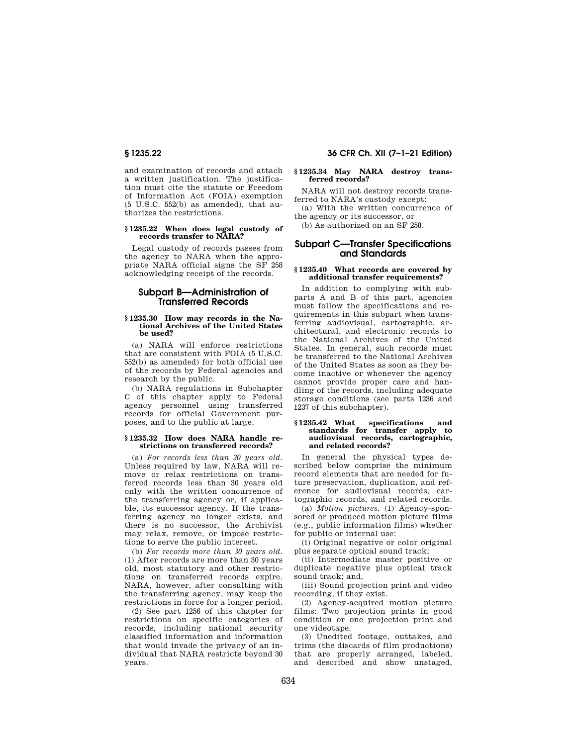and examination of records and attach a written justification. The justification must cite the statute or Freedom of Information Act (FOIA) exemption (5 U.S.C. 552(b) as amended), that authorizes the restrictions.

#### **§ 1235.22 When does legal custody of records transfer to NARA?**

Legal custody of records passes from the agency to NARA when the appropriate NARA official signs the SF 258 acknowledging receipt of the records.

## **Subpart B—Administration of Transferred Records**

#### **§ 1235.30 How may records in the National Archives of the United States be used?**

(a) NARA will enforce restrictions that are consistent with FOIA (5 U.S.C. 552(b) as amended) for both official use of the records by Federal agencies and research by the public.

(b) NARA regulations in Subchapter C of this chapter apply to Federal agency personnel using transferred records for official Government purposes, and to the public at large.

#### **§ 1235.32 How does NARA handle restrictions on transferred records?**

(a) *For records less than 30 years old.*  Unless required by law, NARA will remove or relax restrictions on transferred records less than 30 years old only with the written concurrence of the transferring agency or, if applicable, its successor agency. If the transferring agency no longer exists, and there is no successor, the Archivist may relax, remove, or impose restrictions to serve the public interest.

(b) *For records more than 30 years old.*  (1) After records are more than 30 years old, most statutory and other restrictions on transferred records expire. NARA, however, after consulting with the transferring agency, may keep the restrictions in force for a longer period.

(2) See part 1256 of this chapter for restrictions on specific categories of records, including national security classified information and information that would invade the privacy of an individual that NARA restricts beyond 30 years.

# **§ 1235.22 36 CFR Ch. XII (7–1–21 Edition)**

#### **§ 1235.34 May NARA destroy transferred records?**

NARA will not destroy records transferred to NARA's custody except:

(a) With the written concurrence of the agency or its successor, or

(b) As authorized on an SF 258.

# **Subpart C—Transfer Specifications and Standards**

#### **§ 1235.40 What records are covered by additional transfer requirements?**

In addition to complying with subparts A and B of this part, agencies must follow the specifications and requirements in this subpart when transferring audiovisual, cartographic, architectural, and electronic records to the National Archives of the United States. In general, such records must be transferred to the National Archives of the United States as soon as they become inactive or whenever the agency cannot provide proper care and handling of the records, including adequate storage conditions (see parts 1236 and 1237 of this subchapter).

#### **§ 1235.42 What specifications and standards for transfer apply to audiovisual records, cartographic, and related records?**

In general the physical types described below comprise the minimum record elements that are needed for future preservation, duplication, and reference for audiovisual records, cartographic records, and related records.

(a) *Motion pictures.* (1) Agency-sponsored or produced motion picture films (e.g., public information films) whether for public or internal use:

(i) Original negative or color original plus separate optical sound track;

(ii) Intermediate master positive or duplicate negative plus optical track sound track; and,

(iii) Sound projection print and video recording, if they exist.

(2) Agency-acquired motion picture films: Two projection prints in good condition or one projection print and one videotape.

(3) Unedited footage, outtakes, and trims (the discards of film productions) that are properly arranged, labeled, and described and show unstaged,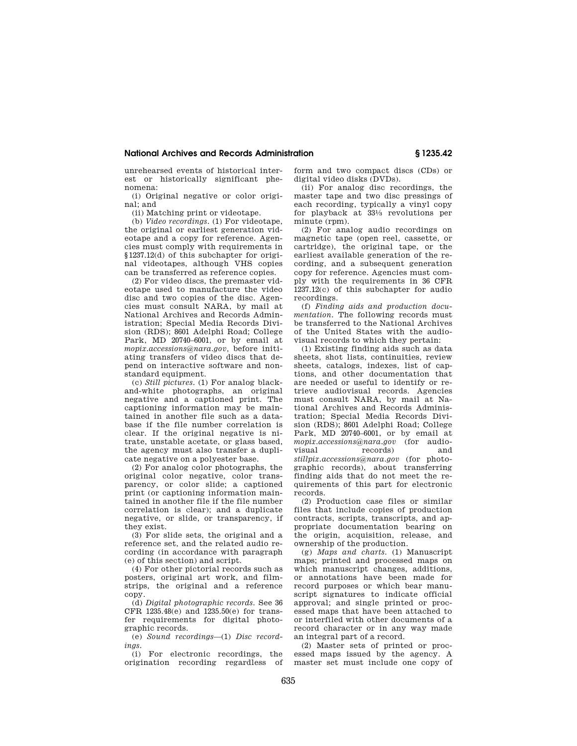## **National Archives and Records Administration § 1235.42**

unrehearsed events of historical interest or historically significant phenomena:

(i) Original negative or color original; and

(ii) Matching print or videotape.

(b) *Video recordings.* (1) For videotape, the original or earliest generation videotape and a copy for reference. Agencies must comply with requirements in §1237.12(d) of this subchapter for original videotapes, although VHS copies can be transferred as reference copies.

(2) For video discs, the premaster videotape used to manufacture the video disc and two copies of the disc. Agencies must consult NARA, by mail at National Archives and Records Administration; Special Media Records Division (RDS); 8601 Adelphi Road; College Park, MD 20740–6001, or by email at *mopix.accessions@nara.gov,* before initiating transfers of video discs that depend on interactive software and nonstandard equipment.

(c) *Still pictures.* (1) For analog blackand-white photographs, an original negative and a captioned print. The captioning information may be maintained in another file such as a database if the file number correlation is clear. If the original negative is nitrate, unstable acetate, or glass based, the agency must also transfer a duplicate negative on a polyester base.

(2) For analog color photographs, the original color negative, color transparency, or color slide; a captioned print (or captioning information maintained in another file if the file number correlation is clear); and a duplicate negative, or slide, or transparency, if they exist.

(3) For slide sets, the original and a reference set, and the related audio recording (in accordance with paragraph (e) of this section) and script.

(4) For other pictorial records such as posters, original art work, and filmstrips, the original and a reference copy.

(d) *Digital photographic records.* See 36 CFR 1235.48(e) and 1235.50(e) for transfer requirements for digital photographic records.

(e) *Sound recordings*—(1) *Disc recordings.* 

(i) For electronic recordings, the origination recording regardless of form and two compact discs (CDs) or digital video disks (DVDs).

(ii) For analog disc recordings, the master tape and two disc pressings of each recording, typically a vinyl copy for playback at 331⁄3 revolutions per minute (rpm).

(2) For analog audio recordings on magnetic tape (open reel, cassette, or cartridge), the original tape, or the earliest available generation of the recording, and a subsequent generation copy for reference. Agencies must comply with the requirements in 36 CFR 1237.12(c) of this subchapter for audio recordings.

(f) *Finding aids and production documentation.* The following records must be transferred to the National Archives of the United States with the audiovisual records to which they pertain:

(1) Existing finding aids such as data sheets, shot lists, continuities, review sheets, catalogs, indexes, list of captions, and other documentation that are needed or useful to identify or retrieve audiovisual records. Agencies must consult NARA, by mail at National Archives and Records Administration; Special Media Records Division (RDS); 8601 Adelphi Road; College Park, MD 20740–6001, or by email at *mopix.accessions@nara.gov* (for audiorecords) and *stillpix.accessions@nara.gov* (for photographic records), about transferring finding aids that do not meet the requirements of this part for electronic records.

(2) Production case files or similar files that include copies of production contracts, scripts, transcripts, and appropriate documentation bearing on the origin, acquisition, release, and ownership of the production.

(g) *Maps and charts.* (1) Manuscript maps; printed and processed maps on which manuscript changes, additions, or annotations have been made for record purposes or which bear manuscript signatures to indicate official approval; and single printed or processed maps that have been attached to or interfiled with other documents of a record character or in any way made an integral part of a record.

(2) Master sets of printed or processed maps issued by the agency. A master set must include one copy of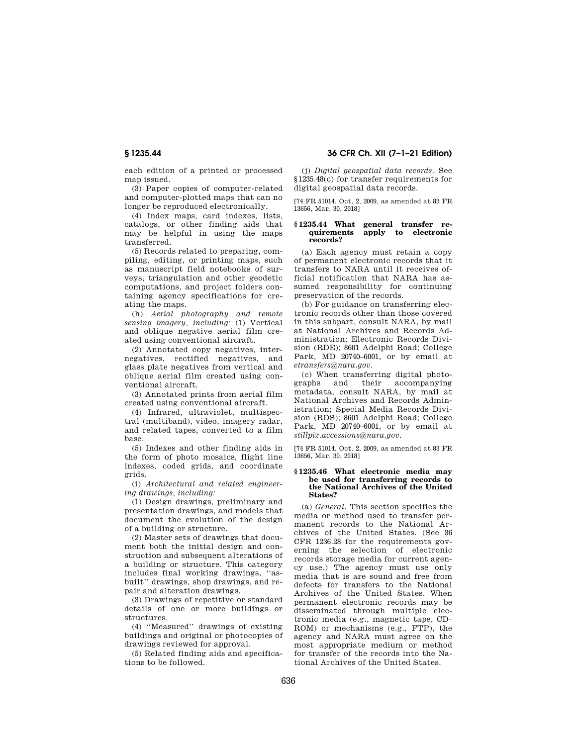**§ 1235.44 36 CFR Ch. XII (7–1–21 Edition)** 

each edition of a printed or processed map issued.

(3) Paper copies of computer-related and computer-plotted maps that can no longer be reproduced electronically.

(4) Index maps, card indexes, lists, catalogs, or other finding aids that may be helpful in using the maps transferred.

(5) Records related to preparing, compiling, editing, or printing maps, such as manuscript field notebooks of surveys, triangulation and other geodetic computations, and project folders containing agency specifications for creating the maps.

(h) *Aerial photography and remote sensing imagery, including:* (1) Vertical and oblique negative aerial film created using conventional aircraft.

(2) Annotated copy negatives, internegatives, rectified negatives, and glass plate negatives from vertical and oblique aerial film created using conventional aircraft.

(3) Annotated prints from aerial film created using conventional aircraft.

(4) Infrared, ultraviolet, multispectral (multiband), video, imagery radar, and related tapes, converted to a film base.

(5) Indexes and other finding aids in the form of photo mosaics, flight line indexes, coded grids, and coordinate grids.

(i) *Architectural and related engineering drawings, including:* 

(1) Design drawings, preliminary and presentation drawings, and models that document the evolution of the design of a building or structure.

(2) Master sets of drawings that document both the initial design and construction and subsequent alterations of a building or structure. This category includes final working drawings, ''asbuilt'' drawings, shop drawings, and repair and alteration drawings.

(3) Drawings of repetitive or standard details of one or more buildings or structures.

(4) ''Measured'' drawings of existing buildings and original or photocopies of drawings reviewed for approval.

(5) Related finding aids and specifications to be followed.

(j) *Digital geospatial data records.* See §1235.48(c) for transfer requirements for digital geospatial data records.

[74 FR 51014, Oct. 2, 2009, as amended at 83 FR 13656, Mar. 30, 2018]

#### **§ 1235.44 What general transfer requirements apply to electronic records?**

(a) Each agency must retain a copy of permanent electronic records that it transfers to NARA until it receives official notification that NARA has assumed responsibility for continuing preservation of the records.

(b) For guidance on transferring electronic records other than those covered in this subpart, consult NARA, by mail at National Archives and Records Administration; Electronic Records Division (RDE); 8601 Adelphi Road; College Park, MD 20740–6001, or by email at *etransfers@nara.gov.* 

(c) When transferring digital photographs and their accompanying metadata, consult NARA, by mail at National Archives and Records Administration; Special Media Records Division (RDS); 8601 Adelphi Road; College Park, MD 20740–6001, or by email at *stillpix.accessions@nara.gov.* 

[74 FR 51014, Oct. 2, 2009, as amended at 83 FR 13656, Mar. 30, 2018]

#### **§ 1235.46 What electronic media may be used for transferring records to the National Archives of the United States?**

(a) *General.* This section specifies the media or method used to transfer permanent records to the National Archives of the United States. (See 36 CFR 1236.28 for the requirements governing the selection of electronic records storage media for current agency use.) The agency must use only media that is are sound and free from defects for transfers to the National Archives of the United States. When permanent electronic records may be disseminated through multiple electronic media (e.g., magnetic tape, CD– ROM) or mechanisms (e.g., FTP), the agency and NARA must agree on the most appropriate medium or method for transfer of the records into the National Archives of the United States.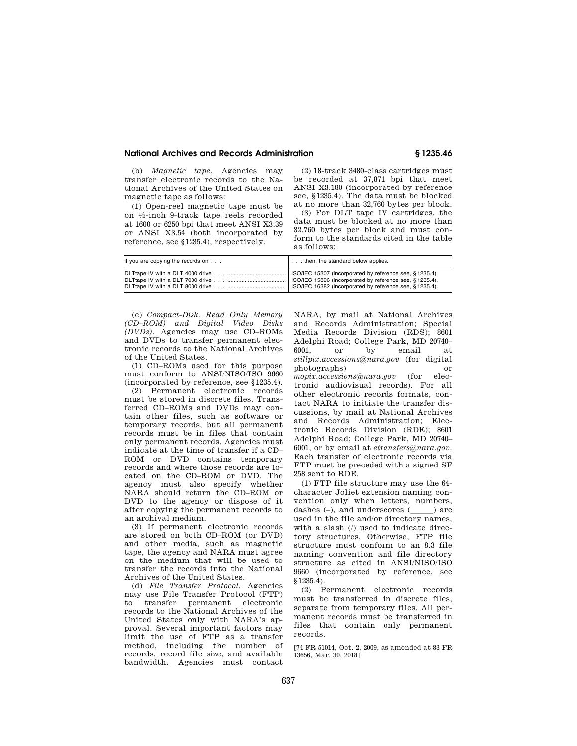#### **National Archives and Records Administration § 1235.46**

(b) *Magnetic tape.* Agencies may transfer electronic records to the National Archives of the United States on magnetic tape as follows:

(1) Open-reel magnetic tape must be on 1⁄2-inch 9-track tape reels recorded at 1600 or 6250 bpi that meet ANSI X3.39 or ANSI X3.54 (both incorporated by reference, see §1235.4), respectively.

(2) 18-track 3480-class cartridges must be recorded at 37,871 bpi that meet ANSI X3.180 (incorporated by reference see, §1235.4). The data must be blocked at no more than 32,760 bytes per block.

(3) For DLT tape IV cartridges, the data must be blocked at no more than 32,760 bytes per block and must conform to the standards cited in the table as follows:

| If you are copying the records on | then, the standard below applies.                                                                                      |
|-----------------------------------|------------------------------------------------------------------------------------------------------------------------|
|                                   | ISO/IEC 15307 (incorporated by reference see, § 1235.4).<br>  ISO/IEC 16382 (incorporated by reference see, § 1235.4). |

(c) *Compact-Disk, Read Only Memory (CD–ROM) and Digital Video Disks (DVDs).* Agencies may use CD–ROMs and DVDs to transfer permanent electronic records to the National Archives of the United States.

(1) CD–ROMs used for this purpose must conform to ANSI/NISO/ISO 9660 (incorporated by reference, see §1235.4).

(2) Permanent electronic records must be stored in discrete files. Transferred CD–ROMs and DVDs may contain other files, such as software or temporary records, but all permanent records must be in files that contain only permanent records. Agencies must indicate at the time of transfer if a CD– ROM or DVD contains temporary records and where those records are located on the CD–ROM or DVD. The agency must also specify whether NARA should return the CD–ROM or DVD to the agency or dispose of it after copying the permanent records to an archival medium.

(3) If permanent electronic records are stored on both CD–ROM (or DVD) and other media, such as magnetic tape, the agency and NARA must agree on the medium that will be used to transfer the records into the National Archives of the United States.

(d) *File Transfer Protocol.* Agencies may use File Transfer Protocol (FTP) to transfer permanent electronic records to the National Archives of the United States only with NARA's approval. Several important factors may limit the use of FTP as a transfer method, including the number of records, record file size, and available bandwidth. Agencies must contact

NARA, by mail at National Archives and Records Administration; Special Media Records Division (RDS); 8601 Adelphi Road; College Park, MD 20740– 6001, or by email at *stillpix.accessions@nara.gov* (for digital photographs) or *mopix.accessions@nara.gov* (for electronic audiovisual records). For all other electronic records formats, contact NARA to initiate the transfer discussions, by mail at National Archives and Records Administration; Electronic Records Division (RDE); 8601 Adelphi Road; College Park, MD 20740– 6001, or by email at *etransfers@nara.gov.*  Each transfer of electronic records via FTP must be preceded with a signed SF 258 sent to RDE.

(1) FTP file structure may use the 64 character Joliet extension naming convention only when letters, numbers, dashes  $(-)$ , and underscores  $(\_\_\_\)$  are used in the file and/or directory names, with a slash (/) used to indicate directory structures. Otherwise, FTP file structure must conform to an 8.3 file naming convention and file directory structure as cited in ANSI/NISO/ISO 9660 (incorporated by reference, see §1235.4).

(2) Permanent electronic records must be transferred in discrete files, separate from temporary files. All permanent records must be transferred in files that contain only permanent records.

[74 FR 51014, Oct. 2, 2009, as amended at 83 FR 13656, Mar. 30, 2018]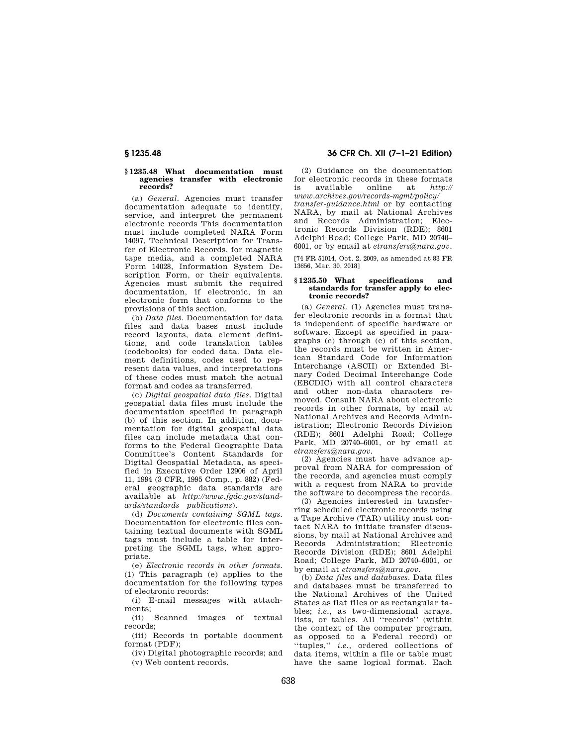#### **§ 1235.48 What documentation must agencies transfer with electronic records?**

(a) *General.* Agencies must transfer documentation adequate to identify, service, and interpret the permanent electronic records This documentation must include completed NARA Form 14097, Technical Description for Transfer of Electronic Records, for magnetic tape media, and a completed NARA Form 14028, Information System Description Form, or their equivalents. Agencies must submit the required documentation, if electronic, in an electronic form that conforms to the provisions of this section.

(b) *Data files.* Documentation for data files and data bases must include record layouts, data element definitions, and code translation tables (codebooks) for coded data. Data element definitions, codes used to represent data values, and interpretations of these codes must match the actual format and codes as transferred.

(c) *Digital geospatial data files.* Digital geospatial data files must include the documentation specified in paragraph (b) of this section. In addition, documentation for digital geospatial data files can include metadata that conforms to the Federal Geographic Data Committee's Content Standards for Digital Geospatial Metadata, as specified in Executive Order 12906 of April 11, 1994 (3 CFR, 1995 Comp., p. 882) (Federal geographic data standards are available at *http://www.fgdc.gov/standards/standards*l*publications*).

(d) *Documents containing SGML tags.*  Documentation for electronic files containing textual documents with SGML tags must include a table for interpreting the SGML tags, when appropriate.

(e) *Electronic records in other formats.*  (1) This paragraph (e) applies to the documentation for the following types of electronic records:

(i) E-mail messages with attachments;

(ii) Scanned images of textual records;

(iii) Records in portable document format (PDF);

(iv) Digital photographic records; and (v) Web content records.

# **§ 1235.48 36 CFR Ch. XII (7–1–21 Edition)**

(2) Guidance on the documentation for electronic records in these formats is available online at *http:// www.archives.gov/records-mgmt/policy/ transfer-guidance.html* or by contacting NARA, by mail at National Archives and Records Administration; Electronic Records Division (RDE); 8601 Adelphi Road; College Park, MD 20740– 6001, or by email at *etransfers@nara.gov.* 

[74 FR 51014, Oct. 2, 2009, as amended at 83 FR 13656, Mar. 30, 2018]

#### **§ 1235.50 What specifications and standards for transfer apply to electronic records?**

(a) *General.* (1) Agencies must transfer electronic records in a format that is independent of specific hardware or software. Except as specified in paragraphs (c) through (e) of this section, the records must be written in American Standard Code for Information Interchange (ASCII) or Extended Binary Coded Decimal Interchange Code (EBCDIC) with all control characters and other non-data characters removed. Consult NARA about electronic records in other formats, by mail at National Archives and Records Administration; Electronic Records Division (RDE); 8601 Adelphi Road; College Park, MD 20740–6001, or by email at *etransfers@nara.gov.* 

(2) Agencies must have advance approval from NARA for compression of the records, and agencies must comply with a request from NARA to provide the software to decompress the records.

(3) Agencies interested in transferring scheduled electronic records using a Tape Archive (TAR) utility must contact NARA to initiate transfer discussions, by mail at National Archives and Records Administration; Electronic Records Division (RDE); 8601 Adelphi Road; College Park, MD 20740–6001, or by email at *etransfers@nara.gov.* 

(b) *Data files and databases.* Data files and databases must be transferred to the National Archives of the United States as flat files or as rectangular tables; *i.e.*, as two-dimensional arrays, lists, or tables. All ''records'' (within the context of the computer program, as opposed to a Federal record) or ''tuples,'' *i.e.*, ordered collections of data items, within a file or table must have the same logical format. Each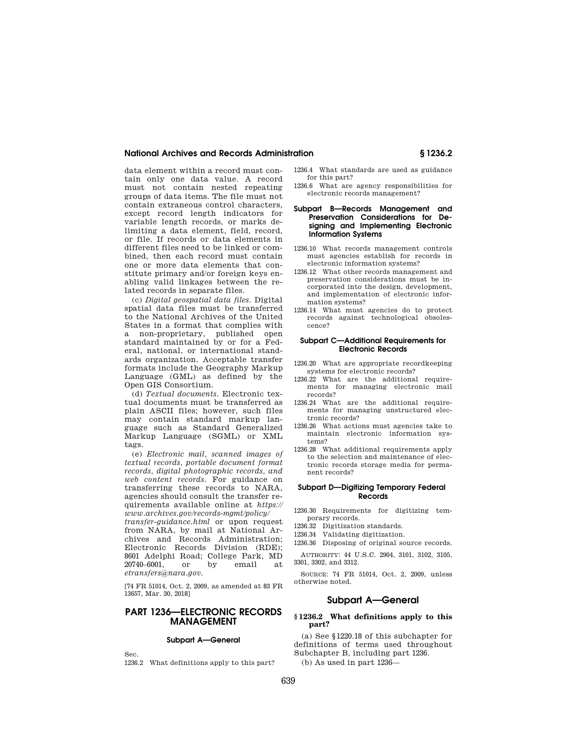#### **National Archives and Records Administration § 1236.2**

data element within a record must contain only one data value. A record must not contain nested repeating groups of data items. The file must not contain extraneous control characters, except record length indicators for variable length records, or marks delimiting a data element, field, record, or file. If records or data elements in different files need to be linked or combined, then each record must contain one or more data elements that constitute primary and/or foreign keys enabling valid linkages between the related records in separate files.

(c) *Digital geospatial data files.* Digital spatial data files must be transferred to the National Archives of the United States in a format that complies with a non-proprietary, published open standard maintained by or for a Federal, national, or international standards organization. Acceptable transfer formats include the Geography Markup Language (GML) as defined by the Open GIS Consortium.

(d) *Textual documents.* Electronic textual documents must be transferred as plain ASCII files; however, such files may contain standard markup language such as Standard Generalized Markup Language (SGML) or XML tags.

(e) *Electronic mail, scanned images of textual records, portable document format records, digital photographic records, and web content records.* For guidance on transferring these records to NARA, agencies should consult the transfer requirements available online at *https:// www.archives.gov/records-mgmt/policy/* 

*transfer-guidance.html* or upon request from NARA, by mail at National Archives and Records Administration; Electronic Records Division (RDE); 8601 Adelphi Road; College Park, MD 20740–6001, or by email at *etransfers@nara.gov.* 

[74 FR 51014, Oct. 2, 2009, as amended at 83 FR 13657, Mar. 30, 2018]

# **PART 1236—ELECTRONIC RECORDS MANAGEMENT**

#### **Subpart A—General**

Sec.

1236.2 What definitions apply to this part?

- 1236.4 What standards are used as guidance for this part?
- 1236.6 What are agency responsibilities for electronic records management?

#### **Subpart B—Records Management and Preservation Considerations for Designing and Implementing Electronic Information Systems**

- 1236.10 What records management controls must agencies establish for records in electronic information systems?
- 1236.12 What other records management and preservation considerations must be incorporated into the design, development, and implementation of electronic information systems?
- 1236.14 What must agencies do to protect records against technological obsolescence?

#### **Subpart C—Additional Requirements for Electronic Records**

- 1236.20 What are appropriate recordkeeping systems for electronic records?
- 1236.22 What are the additional requirements for managing electronic mail records?
- 1236.24 What are the additional requirements for managing unstructured electronic records?
- 1236.26 What actions must agencies take to maintain electronic information systems?
- 1236.28 What additional requirements apply to the selection and maintenance of electronic records storage media for permanent records?

#### **Subpart D—Digitizing Temporary Federal Records**

1236.30 Requirements for digitizing temporary records.

- 1236.32 Digitization standards.
- 1236.34 Validating digitization.

1236.36 Disposing of original source records. AUTHORITY: 44 U.S.C. 2904, 3101, 3102, 3105, 3301, 3302, and 3312.

SOURCE: 74 FR 51014, Oct. 2, 2009, unless otherwise noted.

# **Subpart A—General**

### **§ 1236.2 What definitions apply to this part?**

(a) See §1220.18 of this subchapter for definitions of terms used throughout Subchapter B, including part 1236. (b) As used in part 1236—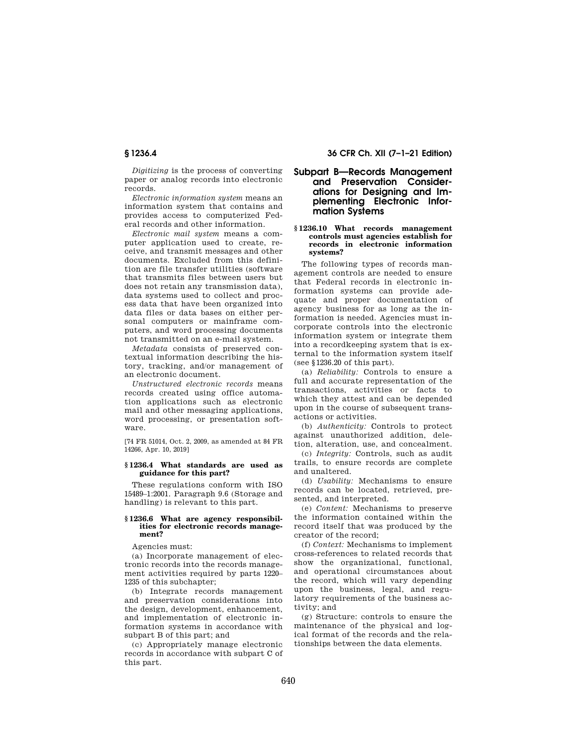*Digitizing* is the process of converting paper or analog records into electronic records.

*Electronic information system* means an information system that contains and provides access to computerized Federal records and other information.

*Electronic mail system* means a computer application used to create, receive, and transmit messages and other documents. Excluded from this definition are file transfer utilities (software that transmits files between users but does not retain any transmission data), data systems used to collect and process data that have been organized into data files or data bases on either personal computers or mainframe computers, and word processing documents not transmitted on an e-mail system.

*Metadata* consists of preserved contextual information describing the history, tracking, and/or management of an electronic document.

*Unstructured electronic records* means records created using office automation applications such as electronic mail and other messaging applications, word processing, or presentation software.

[74 FR 51014, Oct. 2, 2009, as amended at 84 FR 14266, Apr. 10, 2019]

### **§ 1236.4 What standards are used as guidance for this part?**

These regulations conform with ISO 15489–1:2001. Paragraph 9.6 (Storage and handling) is relevant to this part.

#### **§ 1236.6 What are agency responsibilities for electronic records management?**

Agencies must:

(a) Incorporate management of electronic records into the records management activities required by parts 1220– 1235 of this subchapter;

(b) Integrate records management and preservation considerations into the design, development, enhancement, and implementation of electronic information systems in accordance with subpart B of this part; and

(c) Appropriately manage electronic records in accordance with subpart C of this part.

# **§ 1236.4 36 CFR Ch. XII (7–1–21 Edition)**

# **Subpart B—Records Management and Preservation Considerations for Designing and Implementing Electronic Information Systems**

#### **§ 1236.10 What records management controls must agencies establish for records in electronic information systems?**

The following types of records management controls are needed to ensure that Federal records in electronic information systems can provide adequate and proper documentation of agency business for as long as the information is needed. Agencies must incorporate controls into the electronic information system or integrate them into a recordkeeping system that is external to the information system itself (see §1236.20 of this part).

(a) *Reliability:* Controls to ensure a full and accurate representation of the transactions, activities or facts to which they attest and can be depended upon in the course of subsequent transactions or activities.

(b) *Authenticity:* Controls to protect against unauthorized addition, deletion, alteration, use, and concealment.

(c) *Integrity:* Controls, such as audit trails, to ensure records are complete and unaltered.

(d) *Usability:* Mechanisms to ensure records can be located, retrieved, presented, and interpreted.

(e) *Content:* Mechanisms to preserve the information contained within the record itself that was produced by the creator of the record;

(f) *Context:* Mechanisms to implement cross-references to related records that show the organizational, functional, and operational circumstances about the record, which will vary depending upon the business, legal, and regulatory requirements of the business activity; and

(g) Structure: controls to ensure the maintenance of the physical and logical format of the records and the relationships between the data elements.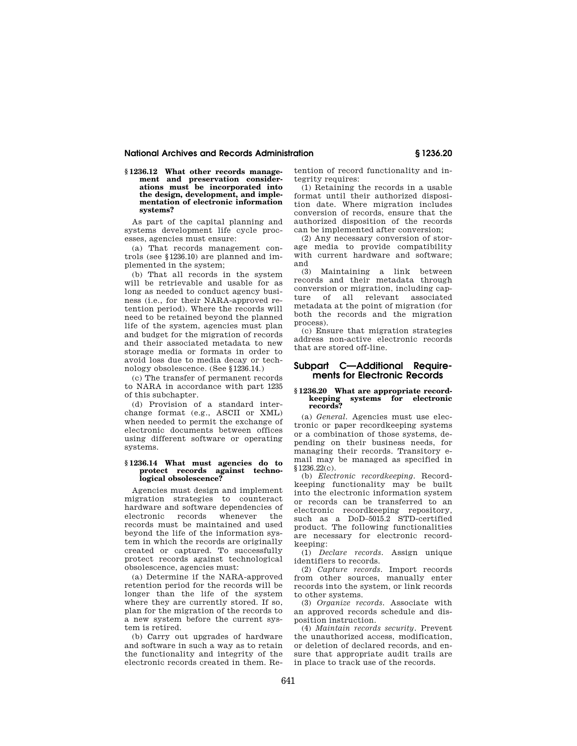#### **National Archives and Records Administration § 1236.20**

**§ 1236.12 What other records management and preservation considerations must be incorporated into the design, development, and implementation of electronic information systems?** 

As part of the capital planning and systems development life cycle processes, agencies must ensure:

(a) That records management controls (see §1236.10) are planned and implemented in the system;

(b) That all records in the system will be retrievable and usable for as long as needed to conduct agency business (i.e., for their NARA-approved retention period). Where the records will need to be retained beyond the planned life of the system, agencies must plan and budget for the migration of records and their associated metadata to new storage media or formats in order to avoid loss due to media decay or technology obsolescence. (See §1236.14.)

(c) The transfer of permanent records to NARA in accordance with part 1235 of this subchapter.

(d) Provision of a standard interchange format (e.g., ASCII or XML) when needed to permit the exchange of electronic documents between offices using different software or operating systems.

#### **§ 1236.14 What must agencies do to protect records against technological obsolescence?**

Agencies must design and implement migration strategies to counteract hardware and software dependencies of electronic records whenever the records must be maintained and used beyond the life of the information system in which the records are originally created or captured. To successfully protect records against technological obsolescence, agencies must:

(a) Determine if the NARA-approved retention period for the records will be longer than the life of the system where they are currently stored. If so, plan for the migration of the records to a new system before the current system is retired.

(b) Carry out upgrades of hardware and software in such a way as to retain the functionality and integrity of the electronic records created in them. Retention of record functionality and integrity requires:

(1) Retaining the records in a usable format until their authorized disposition date. Where migration includes conversion of records, ensure that the authorized disposition of the records can be implemented after conversion;

(2) Any necessary conversion of storage media to provide compatibility with current hardware and software; and

(3) Maintaining a link between records and their metadata through conversion or migration, including capture of all relevant associated metadata at the point of migration (for both the records and the migration process).

(c) Ensure that migration strategies address non-active electronic records that are stored off-line.

# **Subpart C—Additional Requirements for Electronic Records**

#### **§ 1236.20 What are appropriate recordkeeping systems for electronic records?**

(a) *General.* Agencies must use electronic or paper recordkeeping systems or a combination of those systems, depending on their business needs, for managing their records. Transitory email may be managed as specified in §1236.22(c).

(b) *Electronic recordkeeping.* Recordkeeping functionality may be built into the electronic information system or records can be transferred to an electronic recordkeeping repository, such as a DoD–5015.2 STD-certified product. The following functionalities are necessary for electronic recordkeeping:

(1) *Declare records.* Assign unique identifiers to records.

(2) *Capture records.* Import records from other sources, manually enter records into the system, or link records to other systems.

(3) *Organize records.* Associate with an approved records schedule and disposition instruction.

(4) *Maintain records security.* Prevent the unauthorized access, modification, or deletion of declared records, and ensure that appropriate audit trails are in place to track use of the records.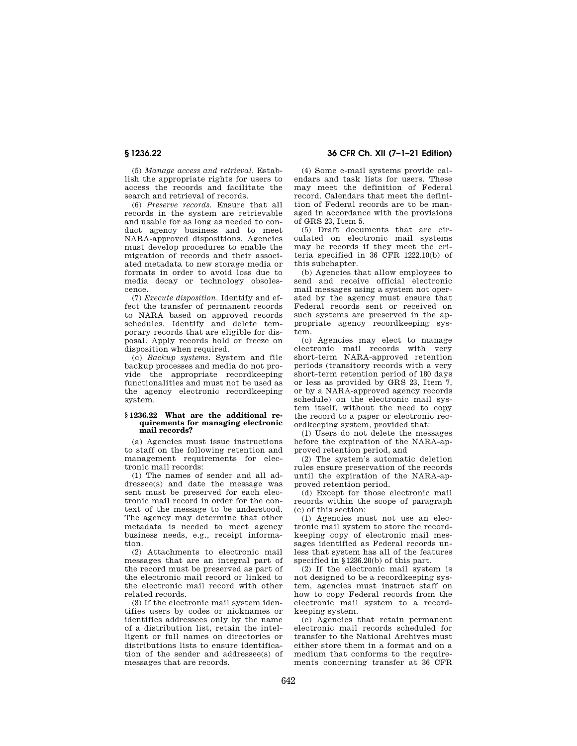(5) *Manage access and retrieval.* Establish the appropriate rights for users to access the records and facilitate the search and retrieval of records.

(6) *Preserve records.* Ensure that all records in the system are retrievable and usable for as long as needed to conduct agency business and to meet NARA-approved dispositions. Agencies must develop procedures to enable the migration of records and their associated metadata to new storage media or formats in order to avoid loss due to media decay or technology obsolescence.

(7) *Execute disposition.* Identify and effect the transfer of permanent records to NARA based on approved records schedules. Identify and delete temporary records that are eligible for disposal. Apply records hold or freeze on disposition when required.

(c) *Backup systems.* System and file backup processes and media do not provide the appropriate recordkeeping functionalities and must not be used as the agency electronic recordkeeping system.

#### **§ 1236.22 What are the additional requirements for managing electronic mail records?**

(a) Agencies must issue instructions to staff on the following retention and management requirements for electronic mail records:

(1) The names of sender and all addressee(s) and date the message was sent must be preserved for each electronic mail record in order for the context of the message to be understood. The agency may determine that other metadata is needed to meet agency business needs, e.g., receipt information.

(2) Attachments to electronic mail messages that are an integral part of the record must be preserved as part of the electronic mail record or linked to the electronic mail record with other related records.

(3) If the electronic mail system identifies users by codes or nicknames or identifies addressees only by the name of a distribution list, retain the intelligent or full names on directories or distributions lists to ensure identification of the sender and addressee(s) of messages that are records.

**§ 1236.22 36 CFR Ch. XII (7–1–21 Edition)** 

(4) Some e-mail systems provide calendars and task lists for users. These may meet the definition of Federal record. Calendars that meet the definition of Federal records are to be managed in accordance with the provisions of GRS 23, Item 5.

(5) Draft documents that are circulated on electronic mail systems may be records if they meet the criteria specified in 36 CFR 1222.10(b) of this subchapter.

(b) Agencies that allow employees to send and receive official electronic mail messages using a system not operated by the agency must ensure that Federal records sent or received on such systems are preserved in the appropriate agency recordkeeping system.

(c) Agencies may elect to manage electronic mail records with very short-term NARA-approved retention periods (transitory records with a very short-term retention period of 180 days or less as provided by GRS 23, Item 7, or by a NARA-approved agency records schedule) on the electronic mail system itself, without the need to copy the record to a paper or electronic recordkeeping system, provided that:

(1) Users do not delete the messages before the expiration of the NARA-approved retention period, and

(2) The system's automatic deletion rules ensure preservation of the records until the expiration of the NARA-approved retention period.

(d) Except for those electronic mail records within the scope of paragraph (c) of this section:

(1) Agencies must not use an electronic mail system to store the recordkeeping copy of electronic mail messages identified as Federal records unless that system has all of the features specified in §1236.20(b) of this part.

(2) If the electronic mail system is not designed to be a recordkeeping system, agencies must instruct staff on how to copy Federal records from the electronic mail system to a recordkeeping system.

(e) Agencies that retain permanent electronic mail records scheduled for transfer to the National Archives must either store them in a format and on a medium that conforms to the requirements concerning transfer at 36 CFR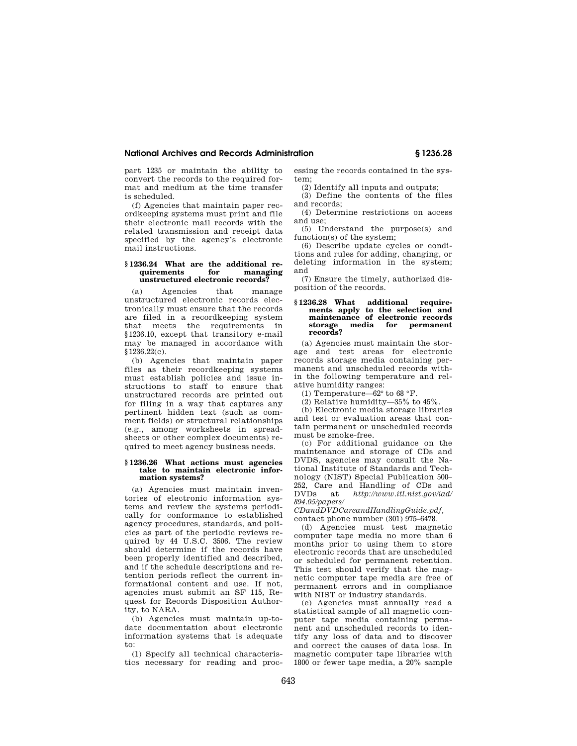## **National Archives and Records Administration § 1236.28**

part 1235 or maintain the ability to convert the records to the required format and medium at the time transfer is scheduled.

(f) Agencies that maintain paper recordkeeping systems must print and file their electronic mail records with the related transmission and receipt data specified by the agency's electronic mail instructions.

#### **§ 1236.24 What are the additional requirements for managing unstructured electronic records?**

(a) Agencies that manage unstructured electronic records electronically must ensure that the records are filed in a recordkeeping system that meets the requirements in §1236.10, except that transitory e-mail may be managed in accordance with  $$12\overline{36.22(c)}$ .

(b) Agencies that maintain paper files as their recordkeeping systems must establish policies and issue instructions to staff to ensure that unstructured records are printed out for filing in a way that captures any pertinent hidden text (such as comment fields) or structural relationships (e.g., among worksheets in spreadsheets or other complex documents) required to meet agency business needs.

#### **§ 1236.26 What actions must agencies take to maintain electronic information systems?**

(a) Agencies must maintain inventories of electronic information systems and review the systems periodically for conformance to established agency procedures, standards, and policies as part of the periodic reviews required by 44 U.S.C. 3506. The review should determine if the records have been properly identified and described, and if the schedule descriptions and retention periods reflect the current informational content and use. If not, agencies must submit an SF 115, Request for Records Disposition Authority, to NARA.

(b) Agencies must maintain up-todate documentation about electronic information systems that is adequate to:

(1) Specify all technical characteristics necessary for reading and processing the records contained in the system;

(2) Identify all inputs and outputs;

(3) Define the contents of the files and records;

(4) Determine restrictions on access and use;

(5) Understand the purpose(s) and function(s) of the system;

(6) Describe update cycles or conditions and rules for adding, changing, or deleting information in the system; and

(7) Ensure the timely, authorized disposition of the records.

# **§ 1236.28 What additional require-ments apply to the selection and maintenance of electronic records storage media for permanent records?**

(a) Agencies must maintain the storage and test areas for electronic records storage media containing permanent and unscheduled records within the following temperature and relative humidity ranges:

(1) Temperature—62° to 68 °F.

(2) Relative humidity—35% to 45%.

(b) Electronic media storage libraries and test or evaluation areas that contain permanent or unscheduled records must be smoke-free.

(c) For additional guidance on the maintenance and storage of CDs and DVDS, agencies may consult the National Institute of Standards and Technology (NIST) Special Publication 500– 252, Care and Handling of CDs and DVDs at *http://www.itl.nist.gov/iad/ 894.05/papers/* 

*CDandDVDCareandHandlingGuide.pdf,*  contact phone number (301) 975–6478.

(d) Agencies must test magnetic computer tape media no more than 6 months prior to using them to store electronic records that are unscheduled or scheduled for permanent retention. This test should verify that the magnetic computer tape media are free of permanent errors and in compliance with NIST or industry standards.

(e) Agencies must annually read a statistical sample of all magnetic computer tape media containing permanent and unscheduled records to identify any loss of data and to discover and correct the causes of data loss. In magnetic computer tape libraries with 1800 or fewer tape media, a 20% sample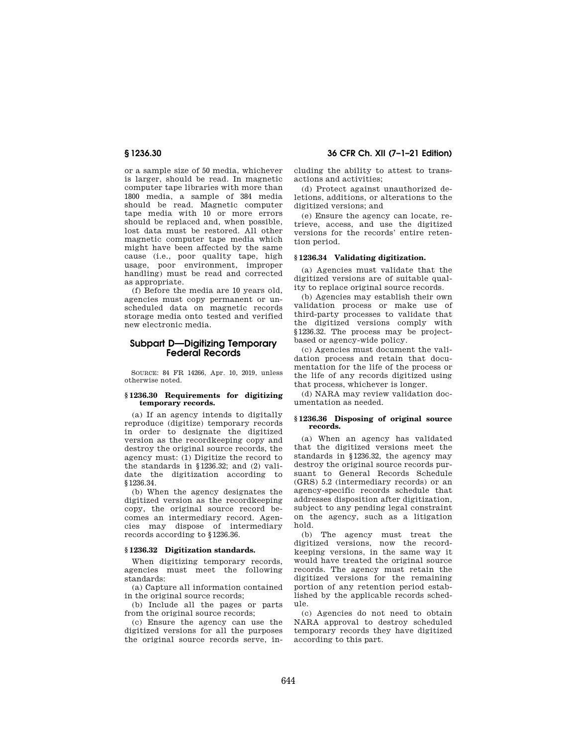or a sample size of 50 media, whichever is larger, should be read. In magnetic computer tape libraries with more than 1800 media, a sample of 384 media should be read. Magnetic computer tape media with 10 or more errors should be replaced and, when possible, lost data must be restored. All other magnetic computer tape media which might have been affected by the same cause (i.e., poor quality tape, high usage, poor environment, improper handling) must be read and corrected as appropriate.

(f) Before the media are 10 years old, agencies must copy permanent or unscheduled data on magnetic records storage media onto tested and verified new electronic media.

# **Subpart D—Digitizing Temporary Federal Records**

SOURCE: 84 FR 14266, Apr. 10, 2019, unless otherwise noted.

#### **§ 1236.30 Requirements for digitizing temporary records.**

(a) If an agency intends to digitally reproduce (digitize) temporary records in order to designate the digitized version as the recordkeeping copy and destroy the original source records, the agency must: (1) Digitize the record to the standards in §1236.32; and (2) validate the digitization according to §1236.34.

(b) When the agency designates the digitized version as the recordkeeping copy, the original source record becomes an intermediary record. Agencies may dispose of intermediary records according to §1236.36.

### **§ 1236.32 Digitization standards.**

When digitizing temporary records, agencies must meet the following standards:

(a) Capture all information contained in the original source records;

(b) Include all the pages or parts from the original source records;

(c) Ensure the agency can use the digitized versions for all the purposes the original source records serve, in-

**§ 1236.30 36 CFR Ch. XII (7–1–21 Edition)** 

cluding the ability to attest to transactions and activities;

(d) Protect against unauthorized deletions, additions, or alterations to the digitized versions; and

(e) Ensure the agency can locate, retrieve, access, and use the digitized versions for the records' entire retention period.

#### **§ 1236.34 Validating digitization.**

(a) Agencies must validate that the digitized versions are of suitable quality to replace original source records.

(b) Agencies may establish their own validation process or make use of third-party processes to validate that the digitized versions comply with §1236.32. The process may be projectbased or agency-wide policy.

(c) Agencies must document the validation process and retain that documentation for the life of the process or the life of any records digitized using that process, whichever is longer.

(d) NARA may review validation documentation as needed.

#### **§ 1236.36 Disposing of original source records.**

(a) When an agency has validated that the digitized versions meet the standards in §1236.32, the agency may destroy the original source records pursuant to General Records Schedule (GRS) 5.2 (intermediary records) or an agency-specific records schedule that addresses disposition after digitization, subject to any pending legal constraint on the agency, such as a litigation hold.

(b) The agency must treat the digitized versions, now the recordkeeping versions, in the same way it would have treated the original source records. The agency must retain the digitized versions for the remaining portion of any retention period established by the applicable records schedule.

(c) Agencies do not need to obtain NARA approval to destroy scheduled temporary records they have digitized according to this part.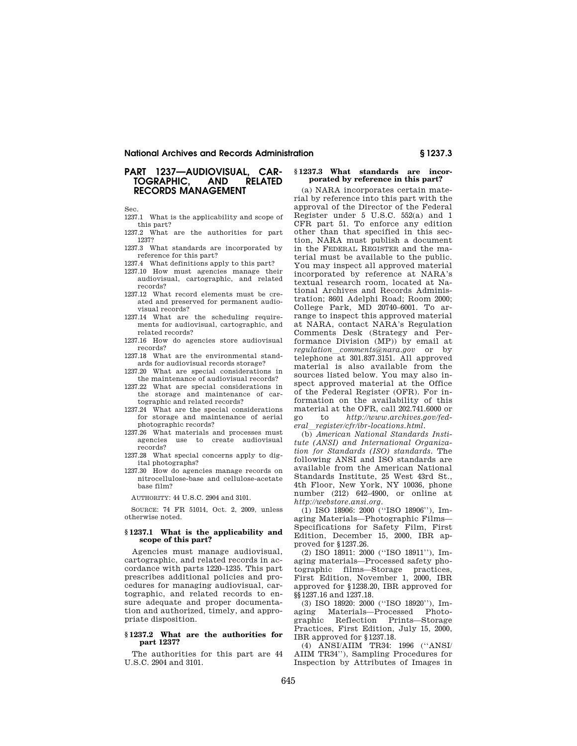#### **National Archives and Records Administration § 1237.3**

# **PART 1237—AUDIOVISUAL, CAR-TOGRAPHIC. RECORDS MANAGEMENT**

Sec.

1237.1 What is the applicability and scope of this part?

- 1237.2 What are the authorities for part 1237?
- 1237.3 What standards are incorporated by reference for this part?
- 1237.4 What definitions apply to this part?
- 1237.10 How must agencies manage their audiovisual, cartographic, and related records?
- 1237.12 What record elements must be created and preserved for permanent audiovisual records?
- 1237.14 What are the scheduling requirements for audiovisual, cartographic, and related records?
- 1237.16 How do agencies store audiovisual records?
- 1237.18 What are the environmental standards for audiovisual records storage?
- 1237.20 What are special considerations in the maintenance of audiovisual records?
- 1237.22 What are special considerations in the storage and maintenance of cartographic and related records?
- 1237.24 What are the special considerations for storage and maintenance of aerial photographic records?
- 1237.26 What materials and processes must<br>agencies use to create audiovisual use to create audiovisual records?
- 1237.28 What special concerns apply to digital photographs?
- 1237.30 How do agencies manage records on nitrocellulose-base and cellulose-acetate base film?

AUTHORITY: 44 U.S.C. 2904 and 3101.

SOURCE: 74 FR 51014, Oct. 2, 2009, unless otherwise noted.

#### **§ 1237.1 What is the applicability and scope of this part?**

Agencies must manage audiovisual, cartographic, and related records in accordance with parts 1220–1235. This part prescribes additional policies and procedures for managing audiovisual, cartographic, and related records to ensure adequate and proper documentation and authorized, timely, and appropriate disposition.

#### **§ 1237.2 What are the authorities for part 1237?**

The authorities for this part are 44 U.S.C. 2904 and 3101.

### **§ 1237.3 What standards are incorporated by reference in this part?**

(a) NARA incorporates certain material by reference into this part with the approval of the Director of the Federal Register under 5 U.S.C. 552(a) and 1 CFR part 51. To enforce any edition other than that specified in this section, NARA must publish a document in the FEDERAL REGISTER and the material must be available to the public. You may inspect all approved material incorporated by reference at NARA's textual research room, located at National Archives and Records Administration; 8601 Adelphi Road; Room 2000; College Park, MD 20740–6001. To arrange to inspect this approved material at NARA, contact NARA's Regulation Comments Desk (Strategy and Performance Division (MP)) by email at *regulation*l*comments@nara.gov* or by telephone at 301.837.3151. All approved material is also available from the sources listed below. You may also inspect approved material at the Office of the Federal Register (OFR). For information on the availability of this material at the OFR, call 202.741.6000 or go to *http://www.archives.gov/fed* $eral\_register/cfr/ibr-locations.html.$ 

(b) *American National Standards Institute (ANSI) and International Organization for Standards (ISO) standards.* The following ANSI and ISO standards are available from the American National Standards Institute, 25 West 43rd St., 4th Floor, New York, NY 10036, phone number (212) 642–4900, or online at *http://webstore.ansi.org.* 

(1) ISO 18906: 2000 (''ISO 18906''), Imaging Materials—Photographic Films— Specifications for Safety Film, First Edition, December 15, 2000, IBR approved for §1237.26.

(2) ISO 18911: 2000 (''ISO 18911''), Imaging materials—Processed safety photographic films—Storage practices, First Edition, November 1, 2000, IBR approved for §1238.20, IBR approved for §§1237.16 and 1237.18.

(3) ISO 18920: 2000 (''ISO 18920''), Imaging Materials—Processed Photographic Reflection Prints—Storage Practices, First Edition, July 15, 2000, IBR approved for §1237.18.

(4) ANSI/AIIM TR34: 1996 (''ANSI/ AIIM TR34''), Sampling Procedures for Inspection by Attributes of Images in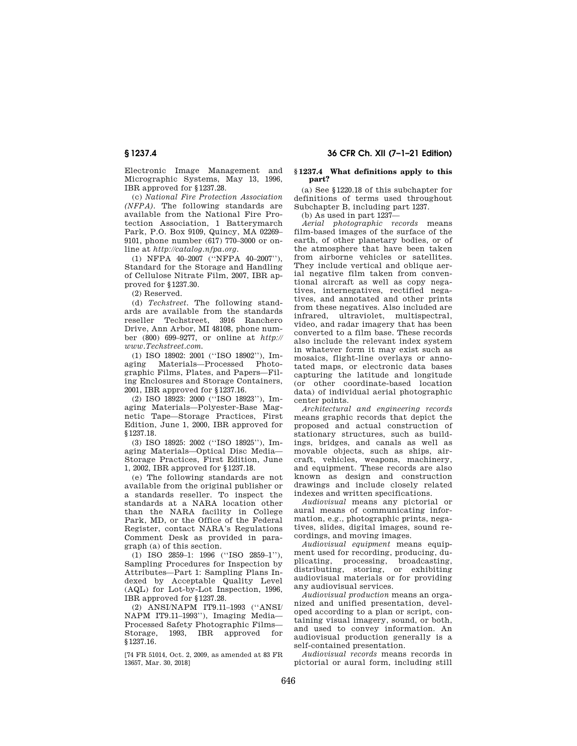Electronic Image Management and Micrographic Systems, May 13, 1996, IBR approved for §1237.28.

(c) *National Fire Protection Association (NFPA).* The following standards are available from the National Fire Protection Association, 1 Batterymarch Park, P.O. Box 9109, Quincy, MA 02269– 9101, phone number (617) 770–3000 or online at *http://catalog.nfpa.org.* 

(1) NFPA 40–2007 (''NFPA 40–2007''), Standard for the Storage and Handling of Cellulose Nitrate Film, 2007, IBR approved for §1237.30.

(2) Reserved.

(d) *Techstreet.* The following standards are available from the standards reseller Techstreet, 3916 Ranchero Drive, Ann Arbor, MI 48108, phone number (800) 699–9277, or online at *http:// www.Techstreet.com.* 

(1) ISO 18902: 2001 (''ISO 18902''), Imaging Materials—Processed Photographic Films, Plates, and Papers—Filing Enclosures and Storage Containers, 2001, IBR approved for §1237.16.

(2) ISO 18923: 2000 (''ISO 18923''), Imaging Materials—Polyester-Base Magnetic Tape—Storage Practices, First Edition, June 1, 2000, IBR approved for §1237.18.

(3) ISO 18925: 2002 (''ISO 18925''), Imaging Materials—Optical Disc Media— Storage Practices, First Edition, June 1, 2002, IBR approved for §1237.18.

(e) The following standards are not available from the original publisher or a standards reseller. To inspect the standards at a NARA location other than the NARA facility in College Park, MD, or the Office of the Federal Register, contact NARA's Regulations Comment Desk as provided in paragraph (a) of this section.

(1) ISO 2859–1: 1996 (''ISO 2859–1''), Sampling Procedures for Inspection by Attributes—Part 1: Sampling Plans Indexed by Acceptable Quality Level (AQL) for Lot-by-Lot Inspection, 1996, IBR approved for §1237.28.

(2) ANSI/NAPM IT9.11–1993 (''ANSI/ NAPM IT9.11–1993''), Imaging Media— Processed Safety Photographic Films— Storage, 1993, IBR approved for §1237.16.

[74 FR 51014, Oct. 2, 2009, as amended at 83 FR 13657, Mar. 30, 2018]

# **§ 1237.4 36 CFR Ch. XII (7–1–21 Edition)**

#### **§ 1237.4 What definitions apply to this part?**

(a) See §1220.18 of this subchapter for definitions of terms used throughout Subchapter B, including part 1237.

(b) As used in part 1237—

*Aerial photographic records* means film-based images of the surface of the earth, of other planetary bodies, or of the atmosphere that have been taken from airborne vehicles or satellites. They include vertical and oblique aerial negative film taken from conventional aircraft as well as copy negatives, internegatives, rectified negatives, and annotated and other prints from these negatives. Also included are infrared, ultraviolet, multispectral, video, and radar imagery that has been converted to a film base. These records also include the relevant index system in whatever form it may exist such as mosaics, flight-line overlays or annotated maps, or electronic data bases capturing the latitude and longitude (or other coordinate-based location data) of individual aerial photographic center points.

*Architectural and engineering records*  means graphic records that depict the proposed and actual construction of stationary structures, such as buildings, bridges, and canals as well as movable objects, such as ships, aircraft, vehicles, weapons, machinery, and equipment. These records are also known as design and construction drawings and include closely related indexes and written specifications.

*Audiovisual* means any pictorial or aural means of communicating information, e.g., photographic prints, negatives, slides, digital images, sound recordings, and moving images.

*Audiovisual equipment* means equipment used for recording, producing, duplicating, processing, broadcasting, distributing, storing, or exhibiting audiovisual materials or for providing any audiovisual services.

*Audiovisual production* means an organized and unified presentation, developed according to a plan or script, containing visual imagery, sound, or both, and used to convey information. An audiovisual production generally is a self-contained presentation.

*Audiovisual records* means records in pictorial or aural form, including still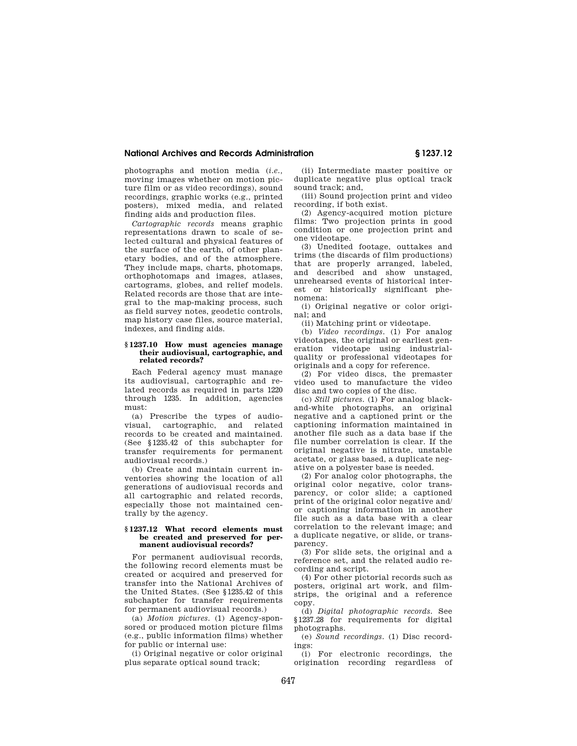## **National Archives and Records Administration § 1237.12**

photographs and motion media (*i.e.,*  moving images whether on motion picture film or as video recordings), sound recordings, graphic works (e.g., printed posters), mixed media, and related finding aids and production files.

*Cartographic records* means graphic representations drawn to scale of selected cultural and physical features of the surface of the earth, of other planetary bodies, and of the atmosphere. They include maps, charts, photomaps, orthophotomaps and images, atlases, cartograms, globes, and relief models. Related records are those that are integral to the map-making process, such as field survey notes, geodetic controls, map history case files, source material, indexes, and finding aids.

#### **§ 1237.10 How must agencies manage their audiovisual, cartographic, and related records?**

Each Federal agency must manage its audiovisual, cartographic and related records as required in parts 1220 through 1235. In addition, agencies must:

(a) Prescribe the types of audiovisual, cartographic, and related records to be created and maintained. (See §1235.42 of this subchapter for transfer requirements for permanent audiovisual records.)

(b) Create and maintain current inventories showing the location of all generations of audiovisual records and all cartographic and related records, especially those not maintained centrally by the agency.

#### **§ 1237.12 What record elements must be created and preserved for permanent audiovisual records?**

For permanent audiovisual records, the following record elements must be created or acquired and preserved for transfer into the National Archives of the United States. (See §1235.42 of this subchapter for transfer requirements for permanent audiovisual records.)

(a) *Motion pictures.* (1) Agency-sponsored or produced motion picture films (e.g., public information films) whether for public or internal use:

(i) Original negative or color original plus separate optical sound track;

(ii) Intermediate master positive or duplicate negative plus optical track sound track; and,

(iii) Sound projection print and video recording, if both exist.

(2) Agency-acquired motion picture films: Two projection prints in good condition or one projection print and one videotape.

(3) Unedited footage, outtakes and trims (the discards of film productions) that are properly arranged, labeled, and described and show unstaged, unrehearsed events of historical interest or historically significant phenomena:

(i) Original negative or color original; and

(ii) Matching print or videotape.

(b) *Video recordings.* (1) For analog videotapes, the original or earliest generation videotape using industrialquality or professional videotapes for originals and a copy for reference.

(2) For video discs, the premaster video used to manufacture the video disc and two copies of the disc.

(c) *Still pictures.* (1) For analog blackand-white photographs, an original negative and a captioned print or the captioning information maintained in another file such as a data base if the file number correlation is clear. If the original negative is nitrate, unstable acetate, or glass based, a duplicate negative on a polyester base is needed.

(2) For analog color photographs, the original color negative, color transparency, or color slide; a captioned print of the original color negative and/ or captioning information in another file such as a data base with a clear correlation to the relevant image; and a duplicate negative, or slide, or transparency.

(3) For slide sets, the original and a reference set, and the related audio recording and script.

(4) For other pictorial records such as posters, original art work, and filmstrips, the original and a reference copy.

(d) *Digital photographic records.* See §1237.28 for requirements for digital photographs.

(e) *Sound recordings.* (1) Disc recordings.

(i) For electronic recordings, the origination recording regardless of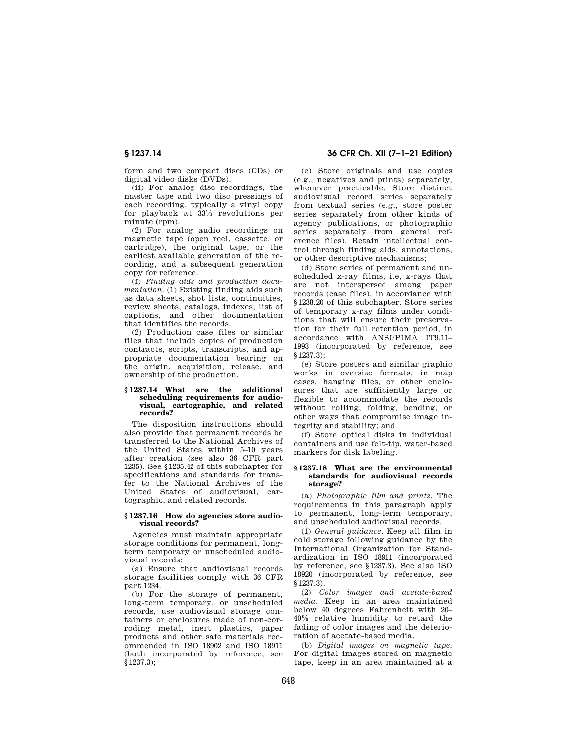**§ 1237.14 36 CFR Ch. XII (7–1–21 Edition)** 

form and two compact discs (CDs) or digital video disks (DVDs).

(ii) For analog disc recordings, the master tape and two disc pressings of each recording, typically a vinyl copy for playback at 331⁄3 revolutions per minute (rpm).

(2) For analog audio recordings on magnetic tape (open reel, cassette, or cartridge), the original tape, or the earliest available generation of the recording, and a subsequent generation copy for reference.

(f) *Finding aids and production documentation.* (1) Existing finding aids such as data sheets, shot lists, continuities, review sheets, catalogs, indexes, list of captions, and other documentation that identifies the records.

(2) Production case files or similar files that include copies of production contracts, scripts, transcripts, and appropriate documentation bearing on the origin, acquisition, release, and ownership of the production.

#### **§ 1237.14 What are the additional scheduling requirements for audiovisual, cartographic, and related records?**

The disposition instructions should also provide that permanent records be transferred to the National Archives of the United States within 5–10 years after creation (see also 36 CFR part 1235). See §1235.42 of this subchapter for specifications and standards for transfer to the National Archives of the United States of audiovisual, cartographic, and related records.

### **§ 1237.16 How do agencies store audiovisual records?**

Agencies must maintain appropriate storage conditions for permanent, longterm temporary or unscheduled audiovisual records:

(a) Ensure that audiovisual records storage facilities comply with 36 CFR part 1234.

(b) For the storage of permanent, long-term temporary, or unscheduled records, use audiovisual storage containers or enclosures made of non-corroding metal, inert plastics, paper products and other safe materials recommended in ISO 18902 and ISO 18911 (both incorporated by reference, see §1237.3);

(c) Store originals and use copies (e.g., negatives and prints) separately, whenever practicable. Store distinct audiovisual record series separately from textual series (e.g., store poster series separately from other kinds of agency publications, or photographic series separately from general reference files). Retain intellectual control through finding aids, annotations, or other descriptive mechanisms;

(d) Store series of permanent and unscheduled x-ray films, i.e, x-rays that are not interspersed among paper records (case files), in accordance with §1238.20 of this subchapter. Store series of temporary x-ray films under conditions that will ensure their preservation for their full retention period, in accordance with ANSI/PIMA IT9.11– 1993 (incorporated by reference, see §1237.3);

(e) Store posters and similar graphic works in oversize formats, in map cases, hanging files, or other enclosures that are sufficiently large or flexible to accommodate the records without rolling, folding, bending, or other ways that compromise image integrity and stability; and

(f) Store optical disks in individual containers and use felt-tip, water-based markers for disk labeling.

#### **§ 1237.18 What are the environmental standards for audiovisual records storage?**

(a) *Photographic film and prints.* The requirements in this paragraph apply to permanent, long-term temporary, and unscheduled audiovisual records.

(1) *General guidance.* Keep all film in cold storage following guidance by the International Organization for Standardization in ISO 18911 (incorporated by reference, see §1237.3). See also ISO 18920 (incorporated by reference, see §1237.3).

(2) *Color images and acetate-based media.* Keep in an area maintained below 40 degrees Fahrenheit with 20– 40% relative humidity to retard the fading of color images and the deterioration of acetate-based media.

(b) *Digital images on magnetic tape.*  For digital images stored on magnetic tape, keep in an area maintained at a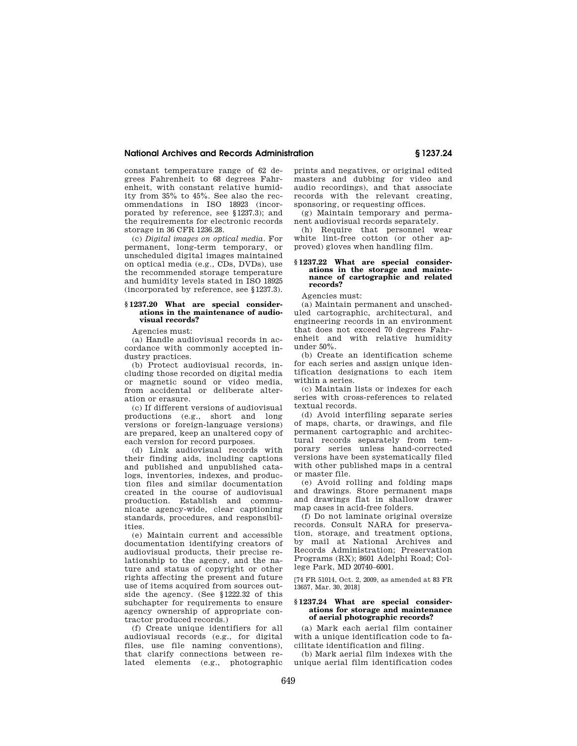#### **National Archives and Records Administration § 1237.24**

constant temperature range of 62 degrees Fahrenheit to 68 degrees Fahrenheit, with constant relative humidity from 35% to 45%. See also the recommendations in ISO 18923 (incorporated by reference, see §1237.3); and the requirements for electronic records storage in 36 CFR 1236.28.

(c) *Digital images on optical media.* For permanent, long-term temporary, or unscheduled digital images maintained on optical media (e.g., CDs, DVDs), use the recommended storage temperature and humidity levels stated in ISO 18925 (incorporated by reference, see §1237.3).

#### **§ 1237.20 What are special considerations in the maintenance of audiovisual records?**

Agencies must:

(a) Handle audiovisual records in accordance with commonly accepted industry practices.

(b) Protect audiovisual records, including those recorded on digital media or magnetic sound or video media, from accidental or deliberate alteration or erasure.

(c) If different versions of audiovisual productions (e.g., short and long versions or foreign-language versions) are prepared, keep an unaltered copy of each version for record purposes.

(d) Link audiovisual records with their finding aids, including captions and published and unpublished catalogs, inventories, indexes, and production files and similar documentation created in the course of audiovisual production. Establish and communicate agency-wide, clear captioning standards, procedures, and responsibilities.

(e) Maintain current and accessible documentation identifying creators of audiovisual products, their precise relationship to the agency, and the nature and status of copyright or other rights affecting the present and future use of items acquired from sources outside the agency. (See §1222.32 of this subchapter for requirements to ensure agency ownership of appropriate contractor produced records.)

(f) Create unique identifiers for all audiovisual records (e.g., for digital files, use file naming conventions), that clarify connections between related elements (e.g., photographic

prints and negatives, or original edited masters and dubbing for video and audio recordings), and that associate records with the relevant creating, sponsoring, or requesting offices.

(g) Maintain temporary and permanent audiovisual records separately.

(h) Require that personnel wear white lint-free cotton (or other approved) gloves when handling film.

#### **§ 1237.22 What are special considerations in the storage and maintenance of cartographic and related records?**

Agencies must:

(a) Maintain permanent and unscheduled cartographic, architectural, and engineering records in an environment that does not exceed 70 degrees Fahrenheit and with relative humidity under 50%.

(b) Create an identification scheme for each series and assign unique identification designations to each item within a series.

(c) Maintain lists or indexes for each series with cross-references to related textual records.

(d) Avoid interfiling separate series of maps, charts, or drawings, and file permanent cartographic and architectural records separately from temporary series unless hand-corrected versions have been systematically filed with other published maps in a central or master file.

(e) Avoid rolling and folding maps and drawings. Store permanent maps and drawings flat in shallow drawer map cases in acid-free folders.

(f) Do not laminate original oversize records. Consult NARA for preservation, storage, and treatment options, by mail at National Archives and Records Administration; Preservation Programs (RX); 8601 Adelphi Road; College Park, MD 20740–6001.

[74 FR 51014, Oct. 2, 2009, as amended at 83 FR 13657, Mar. 30, 2018]

#### **§ 1237.24 What are special considerations for storage and maintenance of aerial photographic records?**

(a) Mark each aerial film container with a unique identification code to facilitate identification and filing.

(b) Mark aerial film indexes with the unique aerial film identification codes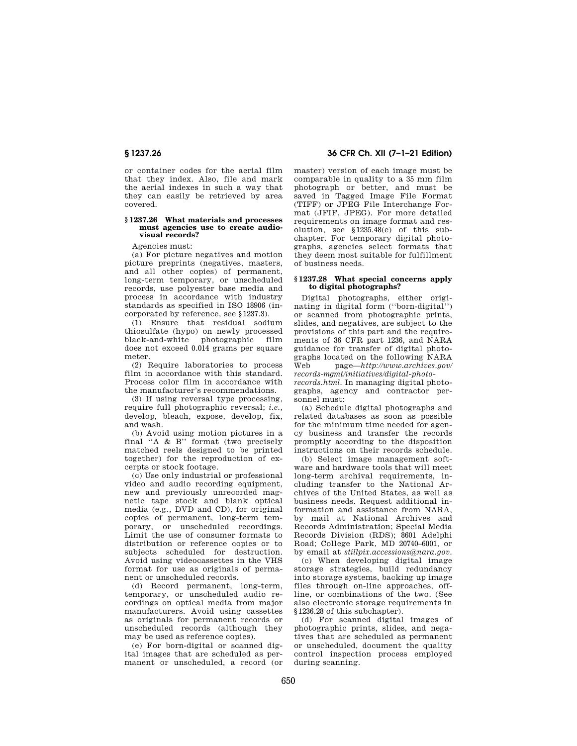or container codes for the aerial film that they index. Also, file and mark the aerial indexes in such a way that they can easily be retrieved by area covered.

#### **§ 1237.26 What materials and processes must agencies use to create audiovisual records?**

Agencies must:

(a) For picture negatives and motion picture preprints (negatives, masters, and all other copies) of permanent, long-term temporary, or unscheduled records, use polyester base media and process in accordance with industry standards as specified in ISO 18906 (incorporated by reference, see §1237.3).

(1) Ensure that residual sodium thiosulfate (hypo) on newly processed black-and-white photographic film does not exceed 0.014 grams per square meter.

(2) Require laboratories to process film in accordance with this standard. Process color film in accordance with the manufacturer's recommendations.

(3) If using reversal type processing, require full photographic reversal; *i.e.,*  develop, bleach, expose, develop, fix, and wash.

(b) Avoid using motion pictures in a final ''A & B'' format (two precisely matched reels designed to be printed together) for the reproduction of excerpts or stock footage.

(c) Use only industrial or professional video and audio recording equipment, new and previously unrecorded magnetic tape stock and blank optical media (e.g., DVD and CD), for original copies of permanent, long-term temporary, or unscheduled recordings. Limit the use of consumer formats to distribution or reference copies or to subjects scheduled for destruction. Avoid using videocassettes in the VHS format for use as originals of permanent or unscheduled records.

(d) Record permanent, long-term, temporary, or unscheduled audio recordings on optical media from major manufacturers. Avoid using cassettes as originals for permanent records or unscheduled records (although they may be used as reference copies).

(e) For born-digital or scanned digital images that are scheduled as permanent or unscheduled, a record (or

**§ 1237.26 36 CFR Ch. XII (7–1–21 Edition)** 

master) version of each image must be comparable in quality to a 35 mm film photograph or better, and must be saved in Tagged Image File Format (TIFF) or JPEG File Interchange Format (JFIF, JPEG). For more detailed requirements on image format and resolution, see §1235.48(e) of this subchapter. For temporary digital photographs, agencies select formats that they deem most suitable for fulfillment of business needs.

#### **§ 1237.28 What special concerns apply to digital photographs?**

Digital photographs, either originating in digital form (''born-digital'') or scanned from photographic prints, slides, and negatives, are subject to the provisions of this part and the requirements of 36 CFR part 1236, and NARA guidance for transfer of digital photographs located on the following NARA Web page—*http://www.archives.gov/ records-mgmt/initiatives/digital-photo-*

*records.html.* In managing digital photographs, agency and contractor personnel must:

(a) Schedule digital photographs and related databases as soon as possible for the minimum time needed for agency business and transfer the records promptly according to the disposition instructions on their records schedule.

(b) Select image management software and hardware tools that will meet long-term archival requirements, including transfer to the National Archives of the United States, as well as business needs. Request additional information and assistance from NARA, by mail at National Archives and Records Administration; Special Media Records Division (RDS); 8601 Adelphi Road; College Park, MD 20740–6001, or by email at *stillpix.accessions@nara.gov.* 

(c) When developing digital image storage strategies, build redundancy into storage systems, backing up image files through on-line approaches, offline, or combinations of the two. (See also electronic storage requirements in §1236.28 of this subchapter).

(d) For scanned digital images of photographic prints, slides, and negatives that are scheduled as permanent or unscheduled, document the quality control inspection process employed during scanning.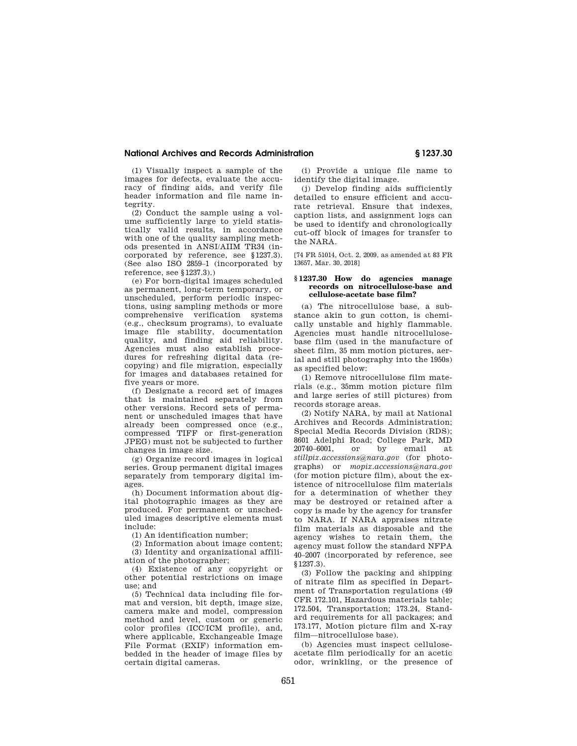## **National Archives and Records Administration § 1237.30**

(1) Visually inspect a sample of the images for defects, evaluate the accuracy of finding aids, and verify file header information and file name integrity.

(2) Conduct the sample using a volume sufficiently large to yield statistically valid results, in accordance with one of the quality sampling methods presented in ANSI/AIIM TR34 (incorporated by reference, see §1237.3). (See also ISO 2859–1 (incorporated by reference, see  $$1237.3)$ .

(e) For born-digital images scheduled as permanent, long-term temporary, or unscheduled, perform periodic inspections, using sampling methods or more comprehensive verification systems (e.g., checksum programs), to evaluate image file stability, documentation quality, and finding aid reliability. Agencies must also establish procedures for refreshing digital data (recopying) and file migration, especially for images and databases retained for five years or more.

(f) Designate a record set of images that is maintained separately from other versions. Record sets of permanent or unscheduled images that have already been compressed once (e.g., compressed TIFF or first-generation JPEG) must not be subjected to further changes in image size.

(g) Organize record images in logical series. Group permanent digital images separately from temporary digital images.

(h) Document information about digital photographic images as they are produced. For permanent or unscheduled images descriptive elements must include:

(1) An identification number;

(2) Information about image content; (3) Identity and organizational affiliation of the photographer;

(4) Existence of any copyright or other potential restrictions on image use; and

(5) Technical data including file format and version, bit depth, image size, camera make and model, compression method and level, custom or generic color profiles (ICC/ICM profile), and, where applicable, Exchangeable Image File Format (EXIF) information embedded in the header of image files by certain digital cameras.

(i) Provide a unique file name to identify the digital image.

(j) Develop finding aids sufficiently detailed to ensure efficient and accurate retrieval. Ensure that indexes, caption lists, and assignment logs can be used to identify and chronologically cut-off block of images for transfer to the NARA.

[74 FR 51014, Oct. 2, 2009, as amended at 83 FR 13657, Mar. 30, 2018]

#### **§ 1237.30 How do agencies manage records on nitrocellulose-base and cellulose-acetate base film?**

(a) The nitrocellulose base, a substance akin to gun cotton, is chemically unstable and highly flammable. Agencies must handle nitrocellulosebase film (used in the manufacture of sheet film, 35 mm motion pictures, aerial and still photography into the 1950s) as specified below:

(1) Remove nitrocellulose film materials (e.g., 35mm motion picture film and large series of still pictures) from records storage areas.

(2) Notify NARA, by mail at National Archives and Records Administration; Special Media Records Division (RDS); 8601 Adelphi Road; College Park, MD 20740–6001, or by email at *stillpix.accessions@nara.gov* (for photographs) or *mopix.accessions@nara.gov*  (for motion picture film), about the existence of nitrocellulose film materials for a determination of whether they may be destroyed or retained after a copy is made by the agency for transfer to NARA. If NARA appraises nitrate film materials as disposable and the agency wishes to retain them, the agency must follow the standard NFPA 40–2007 (incorporated by reference, see §1237.3).

(3) Follow the packing and shipping of nitrate film as specified in Department of Transportation regulations (49 CFR 172.101, Hazardous materials table; 172.504, Transportation; 173.24, Standard requirements for all packages; and 173.177, Motion picture film and X-ray film—nitrocellulose base).

(b) Agencies must inspect celluloseacetate film periodically for an acetic odor, wrinkling, or the presence of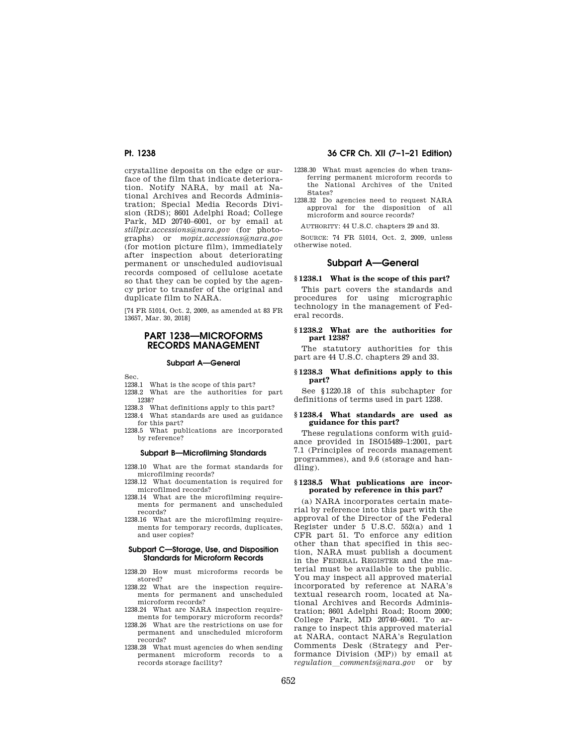crystalline deposits on the edge or surface of the film that indicate deterioration. Notify NARA, by mail at National Archives and Records Administration; Special Media Records Division (RDS); 8601 Adelphi Road; College Park, MD 20740–6001, or by email at *stillpix.accessions@nara.gov* (for photographs) or *mopix.accessions@nara.gov*  (for motion picture film), immediately after inspection about deteriorating permanent or unscheduled audiovisual records composed of cellulose acetate so that they can be copied by the agency prior to transfer of the original and duplicate film to NARA.

[74 FR 51014, Oct. 2, 2009, as amended at 83 FR 13657, Mar. 30, 2018]

# **PART 1238—MICROFORMS RECORDS MANAGEMENT**

#### **Subpart A—General**

Sec.

- 1238.1 What is the scope of this part?
- 1238.2 What are the authorities for part 1238?
- 1238.3 What definitions apply to this part?
- 1238.4 What standards are used as guidance for this part?
- 1238.5 What publications are incorporated by reference?

#### **Subpart B—Microfilming Standards**

- 1238.10 What are the format standards for microfilming records?
- 1238.12 What documentation is required for microfilmed records?
- 1238.14 What are the microfilming requirements for permanent and unscheduled records?
- 1238.16 What are the microfilming requirements for temporary records, duplicates, and user copies?

#### **Subpart C—Storage, Use, and Disposition Standards for Microform Records**

- 1238.20 How must microforms records be stored?
- 1238.22 What are the inspection requirements for permanent and unscheduled microform records?
- 1238.24 What are NARA inspection requirements for temporary microform records?
- 1238.26 What are the restrictions on use for permanent and unscheduled microform records?
- 1238.28 What must agencies do when sending permanent microform records to a records storage facility?

# **Pt. 1238 36 CFR Ch. XII (7–1–21 Edition)**

- 1238.30 What must agencies do when transferring permanent microform records to the National Archives of the United States?
- 1238.32 Do agencies need to request NARA approval for the disposition of all microform and source records?

AUTHORITY: 44 U.S.C. chapters 29 and 33.

SOURCE: 74 FR 51014, Oct. 2, 2009, unless otherwise noted.

#### **Subpart A—General**

#### **§ 1238.1 What is the scope of this part?**

This part covers the standards and procedures for using micrographic technology in the management of Federal records.

#### **§ 1238.2 What are the authorities for part 1238?**

The statutory authorities for this part are 44 U.S.C. chapters 29 and 33.

#### **§ 1238.3 What definitions apply to this part?**

See §1220.18 of this subchapter for definitions of terms used in part 1238.

#### **§ 1238.4 What standards are used as guidance for this part?**

These regulations conform with guidance provided in ISO15489–1:2001, part 7.1 (Principles of records management programmes), and 9.6 (storage and handling).

#### **§ 1238.5 What publications are incorporated by reference in this part?**

(a) NARA incorporates certain material by reference into this part with the approval of the Director of the Federal Register under 5 U.S.C. 552(a) and 1 CFR part 51. To enforce any edition other than that specified in this section, NARA must publish a document in the FEDERAL REGISTER and the material must be available to the public. You may inspect all approved material incorporated by reference at NARA's textual research room, located at National Archives and Records Administration; 8601 Adelphi Road; Room 2000; College Park, MD 20740–6001. To arrange to inspect this approved material at NARA, contact NARA's Regulation Comments Desk (Strategy and Performance Division (MP)) by email at *regulation*l*comments@nara.gov* or by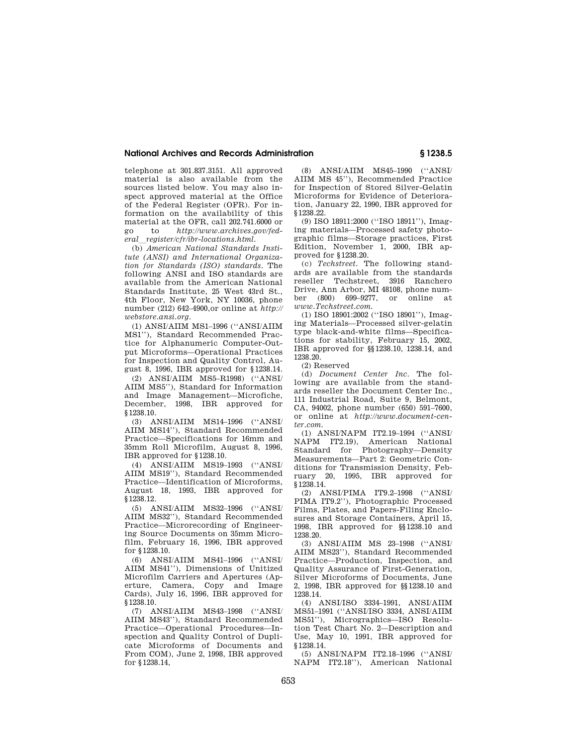## **National Archives and Records Administration § 1238.5**

telephone at 301.837.3151. All approved material is also available from the sources listed below. You may also inspect approved material at the Office of the Federal Register (OFR). For information on the availability of this material at the OFR, call 202.741.6000 or go to *http://www.archives.gov/federal*l*register/cfr/ibr-locations.html.* 

(b) *American National Standards Institute (ANSI) and International Organization for Standards (ISO) standards.* The following ANSI and ISO standards are available from the American National Standards Institute, 25 West 43rd St., 4th Floor, New York, NY 10036, phone number (212) 642–4900,or online at *http:// webstore.ansi.org.* 

(1) ANSI/AIIM MS1–1996 (''ANSI/AIIM MS1''), Standard Recommended Practice for Alphanumeric Computer-Output Microforms—Operational Practices for Inspection and Quality Control, August 8, 1996, IBR approved for §1238.14.

(2) ANSI/AIIM MS5–R1998) (''ANSI/ AIIM MS5''), Standard for Information and Image Management—Microfiche, December, 1998, IBR approved for §1238.10.

(3) ANSI/AIIM MS14–1996 (''ANSI/ AIIM MS14''), Standard Recommended Practice—Specifications for 16mm and 35mm Roll Microfilm, August 8, 1996, IBR approved for §1238.10.

(4) ANSI/AIIM MS19–1993 (''ANSI/ AIIM MS19''), Standard Recommended Practice—Identification of Microforms, August 18, 1993, IBR approved for §1238.12.

(5) ANSI/AIIM MS32–1996 (''ANSI/ AIIM MS32''), Standard Recommended Practice—Microrecording of Engineering Source Documents on 35mm Microfilm, February 16, 1996, IBR approved for §1238.10.

(6) ANSI/AIIM MS41–1996 (''ANSI/ AIIM MS41''), Dimensions of Unitized Microfilm Carriers and Apertures (Aperture, Camera, Copy and Image Cards), July 16, 1996, IBR approved for §1238.10.

(7) ANSI/AIIM MS43–1998 (''ANSI/ AIIM MS43''), Standard Recommended Practice—Operational Procedures—Inspection and Quality Control of Duplicate Microforms of Documents and From COM), June 2, 1998, IBR approved for §1238.14,

(8) ANSI/AIIM MS45–1990 (''ANSI/ AIIM MS 45''), Recommended Practice for Inspection of Stored Silver-Gelatin Microforms for Evidence of Deterioration, January 22, 1990, IBR approved for §1238.22.

(9) ISO 18911:2000 (''ISO 18911''), Imaging materials—Processed safety photographic films—Storage practices, First Edition, November 1, 2000, IBR approved for §1238.20.

(c) *Techstreet.* The following standards are available from the standards reseller Techstreet, 3916 Ranchero Drive, Ann Arbor, MI 48108, phone number (800) 699–9277, or online at *www.Techstreet.com.* 

(1) ISO 18901:2002 (''ISO 18901''), Imaging Materials—Processed silver-gelatin type black-and-white films—Specifications for stability, February 15, 2002, IBR approved for §§1238.10, 1238.14, and 1238.20.

(2) Reserved

(d) *Document Center Inc.* The following are available from the standards reseller the Document Center Inc., 111 Industrial Road, Suite 9, Belmont, CA, 94002, phone number (650) 591–7600, or online at *http://www.document-center.com.* 

(1) ANSI/NAPM IT2.19–1994 (''ANSI/ NAPM IT2.19), American National Standard for Photography—Density Measurements—Part 2: Geometric Conditions for Transmission Density, February 20, 1995, IBR approved for §1238.14.

(2) ANSI/PIMA IT9.2–1998 (''ANSI/ PIMA IT9.2''), Photographic Processed Films, Plates, and Papers-Filing Enclosures and Storage Containers, April 15, 1998, IBR approved for §§1238.10 and 1238.20.

(3) ANSI/AIIM MS 23–1998 (''ANSI/ AIIM MS23''), Standard Recommended Practice—Production, Inspection, and Quality Assurance of First-Generation, Silver Microforms of Documents, June 2, 1998, IBR approved for §§1238.10 and 1238.14.

(4) ANSI/ISO 3334–1991, ANSI/AIIM MS51–1991 (''ANSI/ISO 3334, ANSI/AIIM MS51''), Micrographics—ISO Resolution Test Chart No. 2—Description and Use, May 10, 1991, IBR approved for §1238.14.

(5) ANSI/NAPM IT2.18–1996 (''ANSI/ NAPM IT2.18''), American National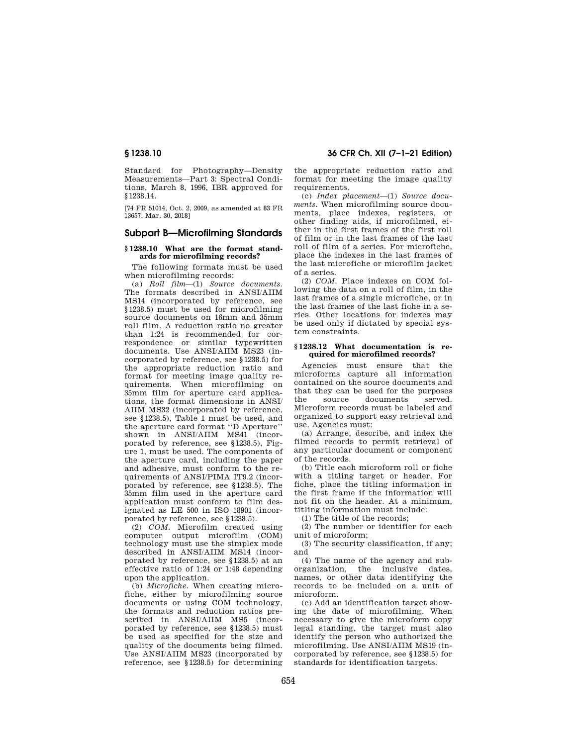Standard for Photography—Density Measurements—Part 3: Spectral Conditions, March 8, 1996, IBR approved for §1238.14.

[74 FR 51014, Oct. 2, 2009, as amended at 83 FR 13657, Mar. 30, 2018]

# **Subpart B—Microfilming Standards**

## **§ 1238.10 What are the format standards for microfilming records?**

The following formats must be used when microfilming records:

(a) *Roll film*—(1) *Source documents.*  The formats described in ANSI/AIIM MS14 (incorporated by reference, see §1238.5) must be used for microfilming source documents on 16mm and 35mm roll film. A reduction ratio no greater than 1:24 is recommended for correspondence or similar typewritten documents. Use ANSI/AIIM MS23 (incorporated by reference, see §1238.5) for the appropriate reduction ratio and format for meeting image quality requirements. When microfilming on 35mm film for aperture card applications, the format dimensions in ANSI/ AIIM MS32 (incorporated by reference, see §1238.5), Table 1 must be used, and the aperture card format ''D Aperture'' shown in ANSI/AIIM MS41 (incorporated by reference, see §1238.5), Figure 1, must be used. The components of the aperture card, including the paper and adhesive, must conform to the requirements of ANSI/PIMA IT9.2 (incorporated by reference, see §1238.5). The 35mm film used in the aperture card application must conform to film designated as LE 500 in ISO 18901 (incorporated by reference, see §1238.5).

(2) *COM.* Microfilm created using computer output microfilm (COM) technology must use the simplex mode described in ANSI/AIIM MS14 (incorporated by reference, see §1238.5) at an effective ratio of 1:24 or 1:48 depending upon the application.

(b) *Microfiche.* When creating microfiche, either by microfilming source documents or using COM technology, the formats and reduction ratios prescribed in ANSI/AIIM MS5 (incorporated by reference, see §1238.5) must be used as specified for the size and quality of the documents being filmed. Use ANSI/AIIM MS23 (incorporated by reference, see §1238.5) for determining

**§ 1238.10 36 CFR Ch. XII (7–1–21 Edition)** 

the appropriate reduction ratio and format for meeting the image quality requirements.

(c) *Index placement*—(1) *Source documents.* When microfilming source documents, place indexes, registers, or other finding aids, if microfilmed, either in the first frames of the first roll of film or in the last frames of the last roll of film of a series. For microfiche, place the indexes in the last frames of the last microfiche or microfilm jacket of a series.

(2) *COM.* Place indexes on COM following the data on a roll of film, in the last frames of a single microfiche, or in the last frames of the last fiche in a series. Other locations for indexes may be used only if dictated by special system constraints.

## **§ 1238.12 What documentation is required for microfilmed records?**

Agencies must ensure that the microforms capture all information contained on the source documents and that they can be used for the purposes the source documents served. Microform records must be labeled and organized to support easy retrieval and use. Agencies must:

(a) Arrange, describe, and index the filmed records to permit retrieval of any particular document or component of the records.

(b) Title each microform roll or fiche with a titling target or header. For fiche, place the titling information in the first frame if the information will not fit on the header. At a minimum, titling information must include:

(1) The title of the records;

(2) The number or identifier for each unit of microform;

(3) The security classification, if any; and

(4) The name of the agency and suborganization, the inclusive dates, names, or other data identifying the records to be included on a unit of microform.

(c) Add an identification target showing the date of microfilming. When necessary to give the microform copy legal standing, the target must also identify the person who authorized the microfilming. Use ANSI/AIIM MS19 (incorporated by reference, see §1238.5) for standards for identification targets.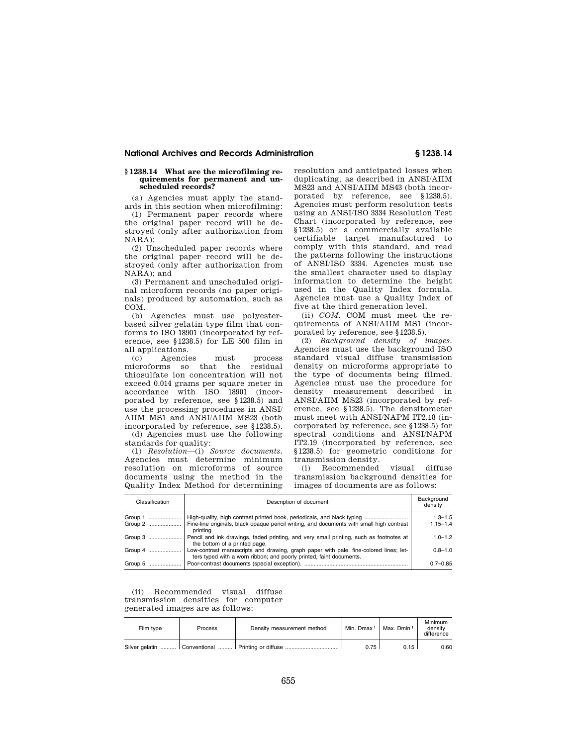## **National Archives and Records Administration § 1238.14**

#### **§ 1238.14 What are the microfilming requirements for permanent and unscheduled records?**

(a) Agencies must apply the standards in this section when microfilming:

(1) Permanent paper records where the original paper record will be destroyed (only after authorization from NARA);

(2) Unscheduled paper records where the original paper record will be destroyed (only after authorization from  $NARA$ ); and

(3) Permanent and unscheduled original microform records (no paper originals) produced by automation, such as COM.

(b) Agencies must use polyesterbased silver gelatin type film that conforms to ISO 18901 (incorporated by reference, see §1238.5) for LE 500 film in all applications.

(c) Agencies must process microforms so that the residual thiosulfate ion concentration will not exceed 0.014 grams per square meter in accordance with ISO 18901 (incorporated by reference, see §1238.5) and use the processing procedures in ANSI/ AIIM MS1 and ANSI/AIIM MS23 (both incorporated by reference, see §1238.5).

(d) Agencies must use the following standards for quality:

(1) *Resolution*—(i) *Source documents.*  Agencies must determine minimum resolution on microforms of source documents using the method in the Quality Index Method for determining resolution and anticipated losses when duplicating, as described in ANSI/AIIM MS23 and ANSI/AIIM MS43 (both incorporated by reference, see §1238.5). Agencies must perform resolution tests using an ANSI/ISO 3334 Resolution Test Chart (incorporated by reference, see §1238.5) or a commercially available certifiable target manufactured to comply with this standard, and read the patterns following the instructions of ANSI/ISO 3334. Agencies must use the smallest character used to display information to determine the height used in the Quality Index formula. Agencies must use a Quality Index of five at the third generation level.

(ii) *COM.* COM must meet the requirements of ANSI/AIIM MS1 (incorporated by reference, see §1238.5).

(2) *Background density of images.*  Agencies must use the background ISO standard visual diffuse transmission density on microforms appropriate to the type of documents being filmed. Agencies must use the procedure for density measurement described in ANSI/AIIM MS23 (incorporated by reference, see §1238.5). The densitometer must meet with ANSI/NAPM IT2.18 (incorporated by reference, see §1238.5) for spectral conditions and ANSI/NAPM IT2.19 (incorporated by reference, see §1238.5) for geometric conditions for transmission density.

(i) Recommended visual diffuse transmission background densities for images of documents are as follows:

| Classification | Description of document                                                                                                                                      | Background<br>density |
|----------------|--------------------------------------------------------------------------------------------------------------------------------------------------------------|-----------------------|
| Group 1        | High-quality, high contrast printed book, periodicals, and black typing                                                                                      | $1.3 - 1.5$           |
|                | Fine-line originals, black opaque pencil writing, and documents with small high contrast<br>printing.                                                        | $1.15 - 1.4$          |
| Group 3        | Pencil and ink drawings, faded printing, and very small printing, such as footnotes at<br>the bottom of a printed page.                                      | $1.0 - 1.2$           |
| Group 4        | Low-contrast manuscripts and drawing, graph paper with pale, fine-colored lines; let-<br>ters typed with a worn ribbon; and poorly printed, faint documents. | $0.8 - 1.0$           |
| Group 5        |                                                                                                                                                              | $0.7 - 0.85$          |

(ii) Recommended visual diffuse transmission densities for computer generated images are as follows:

| Film type | Process | Density measurement method | Min. Dmax <sup>1</sup> | Max. Dmin 1 | Minimum<br>density<br>difference |
|-----------|---------|----------------------------|------------------------|-------------|----------------------------------|
|           |         |                            | 0.75                   | 0.15        | 0.60                             |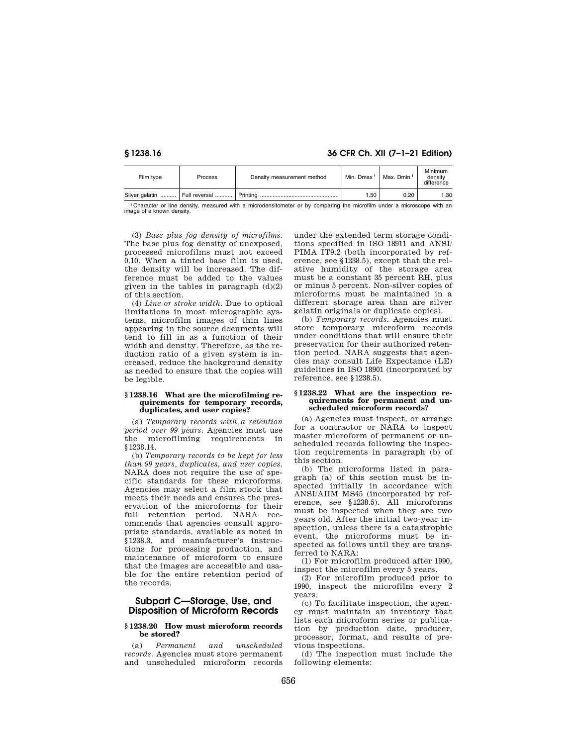**§ 1238.16 36 CFR Ch. XII (7–1–21 Edition)** 

| Film type | <b>Process</b> | Density measurement method | Min. Dmax <sup>1</sup> | Max. Dmin 1 | Minimum<br>density<br>difference |
|-----------|----------------|----------------------------|------------------------|-------------|----------------------------------|
|           |                |                            | 1.50                   | 0.20        | 1.30                             |

1 Character or line density, measured with a microdensitometer or by comparing the microfilm under a microscope with an image of a known density.

(3) *Base plus fog density of microfilms.*  The base plus fog density of unexposed, processed microfilms must not exceed 0.10. When a tinted base film is used, the density will be increased. The difference must be added to the values given in the tables in paragraph  $(d)(2)$ of this section.

(4) *Line or stroke width.* Due to optical limitations in most micrographic systems, microfilm images of thin lines appearing in the source documents will tend to fill in as a function of their width and density. Therefore, as the reduction ratio of a given system is increased, reduce the background density as needed to ensure that the copies will be legible.

#### **§ 1238.16 What are the microfilming requirements for temporary records, duplicates, and user copies?**

(a) *Temporary records with a retention period over 99 years.* Agencies must use the microfilming requirements in §1238.14.

(b) *Temporary records to be kept for less than 99 years, duplicates, and user copies.*  NARA does not require the use of specific standards for these microforms. Agencies may select a film stock that meets their needs and ensures the preservation of the microforms for their full retention period. NARA recommends that agencies consult appropriate standards, available as noted in §1238.3, and manufacturer's instructions for processing production, and maintenance of microform to ensure that the images are accessible and usable for the entire retention period of the records.

# **Subpart C—Storage, Use, and Disposition of Microform Records**

#### **§ 1238.20 How must microform records be stored?**

(a) *Permanent and unscheduled records.* Agencies must store permanent and unscheduled microform records

under the extended term storage conditions specified in ISO 18911 and ANSI/ PIMA IT9.2 (both incorporated by reference, see §1238.5), except that the relative humidity of the storage area must be a constant 35 percent RH, plus or minus 5 percent. Non-silver copies of microforms must be maintained in a different storage area than are silver gelatin originals or duplicate copies).

(b) *Temporary records.* Agencies must store temporary microform records under conditions that will ensure their preservation for their authorized retention period. NARA suggests that agencies may consult Life Expectance (LE) guidelines in ISO 18901 (incorporated by reference, see §1238.5).

#### **§ 1238.22 What are the inspection requirements for permanent and unscheduled microform records?**

(a) Agencies must inspect, or arrange for a contractor or NARA to inspect master microform of permanent or unscheduled records following the inspection requirements in paragraph (b) of this section.

(b) The microforms listed in paragraph (a) of this section must be inspected initially in accordance with ANSI/AIIM MS45 (incorporated by reference, see §1238.5). All microforms must be inspected when they are two years old. After the initial two-year inspection, unless there is a catastrophic event, the microforms must be inspected as follows until they are transferred to NARA:

(1) For microfilm produced after 1990, inspect the microfilm every 5 years.

(2) For microfilm produced prior to 1990, inspect the microfilm every 2 years.

(c) To facilitate inspection, the agency must maintain an inventory that lists each microform series or publication by production date, producer, processor, format, and results of previous inspections.

(d) The inspection must include the following elements: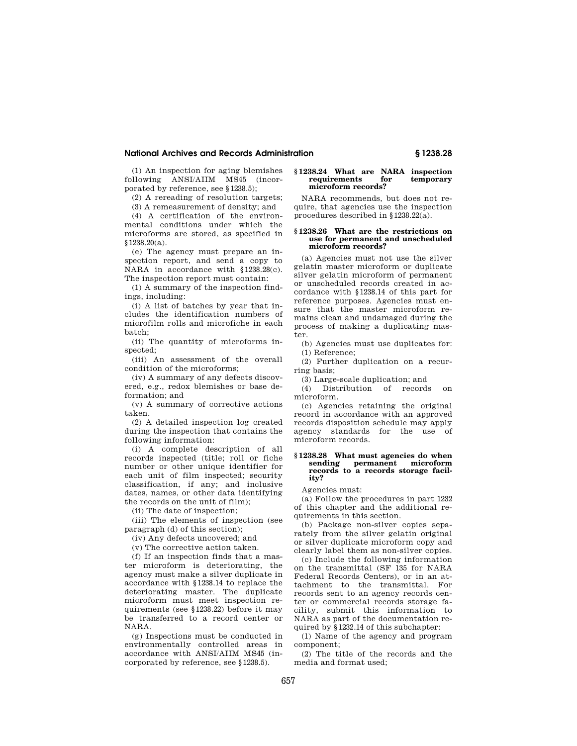## **National Archives and Records Administration § 1238.28**

(1) An inspection for aging blemishes following ANSI/AIIM MS45 (incorporated by reference, see §1238.5);

(2) A rereading of resolution targets;

(3) A remeasurement of density; and

(4) A certification of the environmental conditions under which the microforms are stored, as specified in §1238.20(a).

(e) The agency must prepare an inspection report, and send a copy to NARA in accordance with §1238.28(c). The inspection report must contain:

(1) A summary of the inspection findings, including:

(i) A list of batches by year that includes the identification numbers of microfilm rolls and microfiche in each batch;

(ii) The quantity of microforms inspected;

(iii) An assessment of the overall condition of the microforms;

(iv) A summary of any defects discovered, e.g., redox blemishes or base deformation; and

(v) A summary of corrective actions taken.

(2) A detailed inspection log created during the inspection that contains the following information:

(i) A complete description of all records inspected (title; roll or fiche number or other unique identifier for each unit of film inspected; security classification, if any; and inclusive dates, names, or other data identifying the records on the unit of film);

(ii) The date of inspection;

(iii) The elements of inspection (see paragraph (d) of this section);

(iv) Any defects uncovered; and

(v) The corrective action taken.

(f) If an inspection finds that a master microform is deteriorating, the agency must make a silver duplicate in accordance with §1238.14 to replace the deteriorating master. The duplicate microform must meet inspection requirements (see §1238.22) before it may be transferred to a record center or NARA.

(g) Inspections must be conducted in environmentally controlled areas in accordance with ANSI/AIIM MS45 (incorporated by reference, see §1238.5).

#### **§ 1238.24 What are NARA inspection**  requirements **microform records?**

NARA recommends, but does not require, that agencies use the inspection procedures described in §1238.22(a).

#### **§ 1238.26 What are the restrictions on use for permanent and unscheduled microform records?**

(a) Agencies must not use the silver gelatin master microform or duplicate silver gelatin microform of permanent or unscheduled records created in accordance with §1238.14 of this part for reference purposes. Agencies must ensure that the master microform remains clean and undamaged during the process of making a duplicating master.

(b) Agencies must use duplicates for: (1) Reference;

(2) Further duplication on a recurring basis;

(3) Large-scale duplication; and

(4) Distribution of records on microform.

(c) Agencies retaining the original record in accordance with an approved records disposition schedule may apply agency standards for the use of microform records.

### **§ 1238.28 What must agencies do when sending permanent microform records to a records storage facility?**

Agencies must:

(a) Follow the procedures in part 1232 of this chapter and the additional requirements in this section.

(b) Package non-silver copies separately from the silver gelatin original or silver duplicate microform copy and clearly label them as non-silver copies.

(c) Include the following information on the transmittal (SF 135 for NARA Federal Records Centers), or in an attachment to the transmittal. For records sent to an agency records center or commercial records storage facility, submit this information to NARA as part of the documentation required by §1232.14 of this subchapter:

(1) Name of the agency and program component;

(2) The title of the records and the media and format used;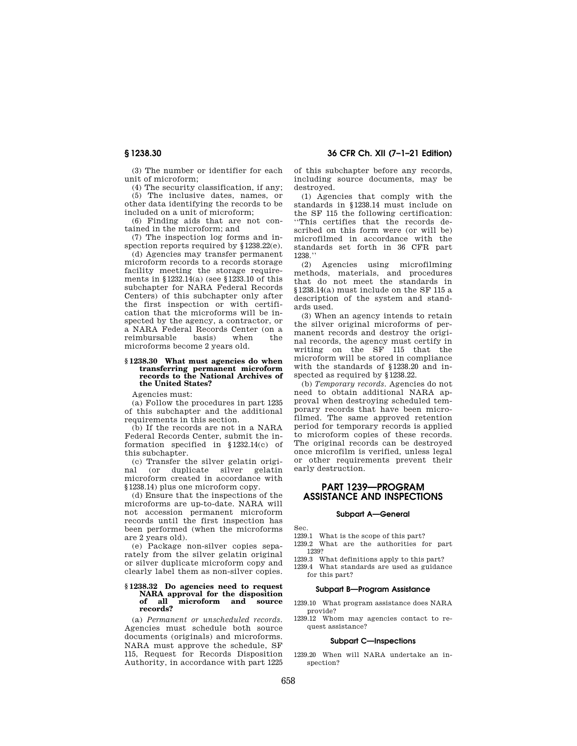(3) The number or identifier for each unit of microform;

(4) The security classification, if any;

(5) The inclusive dates, names, or other data identifying the records to be included on a unit of microform;

(6) Finding aids that are not contained in the microform; and

(7) The inspection log forms and inspection reports required by §1238.22(e).

(d) Agencies may transfer permanent microform records to a records storage facility meeting the storage requirements in §1232.14(a) (see §1233.10 of this subchapter for NARA Federal Records Centers) of this subchapter only after the first inspection or with certification that the microforms will be inspected by the agency, a contractor, or a NARA Federal Records Center (on a reimbursable basis) when the microforms become 2 years old.

# **§ 1238.30 What must agencies do when transferring permanent microform records to the National Archives of the United States?**

Agencies must:

(a) Follow the procedures in part 1235 of this subchapter and the additional requirements in this section.

(b) If the records are not in a NARA Federal Records Center, submit the information specified in §1232.14(c) of this subchapter.

(c) Transfer the silver gelatin original (or duplicate silver gelatin microform created in accordance with §1238.14) plus one microform copy.

(d) Ensure that the inspections of the microforms are up-to-date. NARA will not accession permanent microform records until the first inspection has been performed (when the microforms are 2 years old).

(e) Package non-silver copies separately from the silver gelatin original or silver duplicate microform copy and clearly label them as non-silver copies.

#### **§ 1238.32 Do agencies need to request NARA approval for the disposition**  microform and source **records?**

(a) *Permanent or unscheduled records.*  Agencies must schedule both source documents (originals) and microforms. NARA must approve the schedule, SF 115, Request for Records Disposition Authority, in accordance with part 1225 of this subchapter before any records, including source documents, may be destroyed.

(1) Agencies that comply with the standards in §1238.14 must include on the SF 115 the following certification: ''This certifies that the records described on this form were (or will be) microfilmed in accordance with the standards set forth in 36 CFR part 1238.''

(2) Agencies using microfilming methods, materials, and procedures that do not meet the standards in §1238.14(a) must include on the SF 115 a description of the system and standards used.

(3) When an agency intends to retain the silver original microforms of permanent records and destroy the original records, the agency must certify in writing on the SF 115 that the microform will be stored in compliance with the standards of §1238.20 and inspected as required by §1238.22.

(b) *Temporary records.* Agencies do not need to obtain additional NARA approval when destroying scheduled temporary records that have been microfilmed. The same approved retention period for temporary records is applied to microform copies of these records. The original records can be destroyed once microfilm is verified, unless legal or other requirements prevent their early destruction.

# **PART 1239—PROGRAM ASSISTANCE AND INSPECTIONS**

### **Subpart A—General**

Sec.

1239.1 What is the scope of this part?

1239.2 What are the authorities for part 1239?

1239.3 What definitions apply to this part?

1239.4 What standards are used as guidance for this part?

# **Subpart B—Program Assistance**

- 1239.10 What program assistance does NARA provide?
- 1239.12 Whom may agencies contact to request assistance?

### **Subpart C—Inspections**

1239.20 When will NARA undertake an inspection?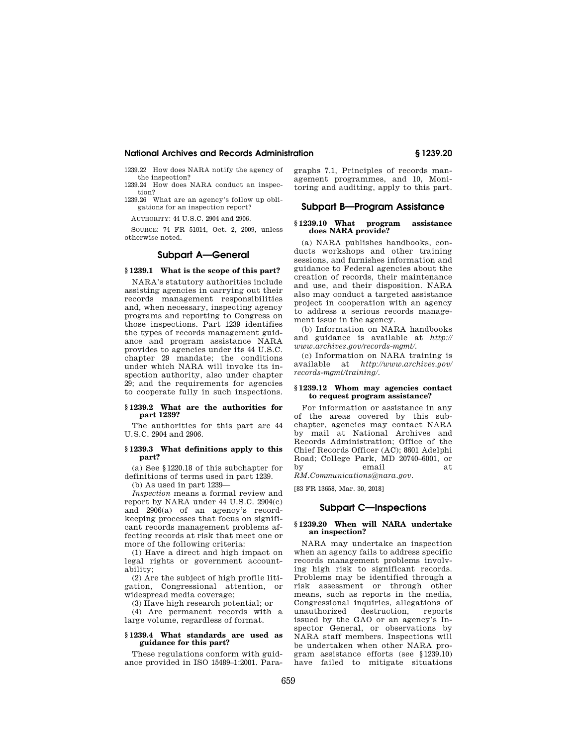## **National Archives and Records Administration § 1239.20**

1239.22 How does NARA notify the agency of the inspection? 1239.24 How does NARA conduct an inspec-

tion? 1239.26 What are an agency's follow up obli-

gations for an inspection report?

AUTHORITY: 44 U.S.C. 2904 and 2906.

SOURCE: 74 FR 51014, Oct. 2, 2009, unless otherwise noted.

# **Subpart A—General**

## **§ 1239.1 What is the scope of this part?**

NARA's statutory authorities include assisting agencies in carrying out their records management responsibilities and, when necessary, inspecting agency programs and reporting to Congress on those inspections. Part 1239 identifies the types of records management guidance and program assistance NARA provides to agencies under its 44 U.S.C. chapter 29 mandate; the conditions under which NARA will invoke its inspection authority, also under chapter 29; and the requirements for agencies to cooperate fully in such inspections.

## **§ 1239.2 What are the authorities for part 1239?**

The authorities for this part are 44 U.S.C. 2904 and 2906.

### **§ 1239.3 What definitions apply to this part?**

(a) See §1220.18 of this subchapter for definitions of terms used in part 1239.

(b) As used in part 1239—

*Inspection* means a formal review and report by NARA under 44 U.S.C. 2904(c) and 2906(a) of an agency's recordkeeping processes that focus on significant records management problems affecting records at risk that meet one or more of the following criteria:

(1) Have a direct and high impact on legal rights or government accountability;

(2) Are the subject of high profile litigation, Congressional attention, or widespread media coverage;

(3) Have high research potential; or

(4) Are permanent records with a large volume, regardless of format.

#### **§ 1239.4 What standards are used as guidance for this part?**

These regulations conform with guidance provided in ISO 15489–1:2001. Paragraphs 7.1, Principles of records management programmes, and 10, Monitoring and auditing, apply to this part.

# **Subpart B—Program Assistance**

# **§ 1239.10 What program assistance does NARA provide?**

(a) NARA publishes handbooks, conducts workshops and other training sessions, and furnishes information and guidance to Federal agencies about the creation of records, their maintenance and use, and their disposition. NARA also may conduct a targeted assistance project in cooperation with an agency to address a serious records management issue in the agency.

(b) Information on NARA handbooks and guidance is available at *http:// www.archives.gov/records-mgmt/.* 

(c) Information on NARA training is available at *http://www.archives.gov/ records-mgmt/training/.* 

### **§ 1239.12 Whom may agencies contact to request program assistance?**

For information or assistance in any of the areas covered by this subchapter, agencies may contact NARA by mail at National Archives and Records Administration; Office of the Chief Records Officer (AC); 8601 Adelphi Road; College Park, MD 20740–6001, or by email at

*RM.Communications@nara.gov.* 

[83 FR 13658, Mar. 30, 2018]

# **Subpart C—Inspections**

#### **§ 1239.20 When will NARA undertake an inspection?**

NARA may undertake an inspection when an agency fails to address specific records management problems involving high risk to significant records. Problems may be identified through a risk assessment or through other means, such as reports in the media, Congressional inquiries, allegations of unauthorized destruction, reports issued by the GAO or an agency's Inspector General, or observations by NARA staff members. Inspections will be undertaken when other NARA program assistance efforts (see §1239.10) have failed to mitigate situations